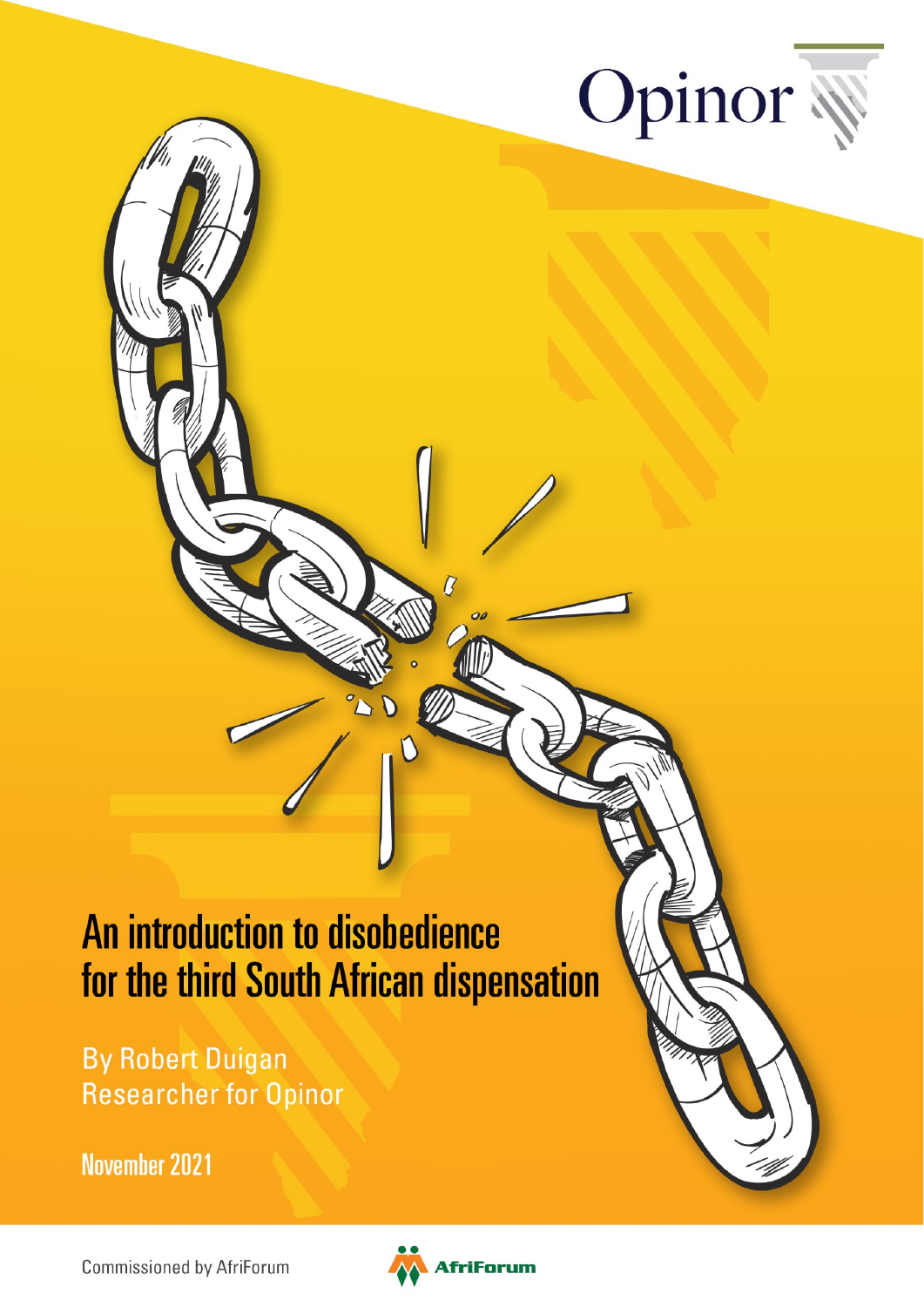

# An introduction to disobedience for the third South African dispensation

**By Robert Duigan Researcher for Opinor** 

**November 2021** 

**Commissioned by AfriForum** 



 $\overline{B}$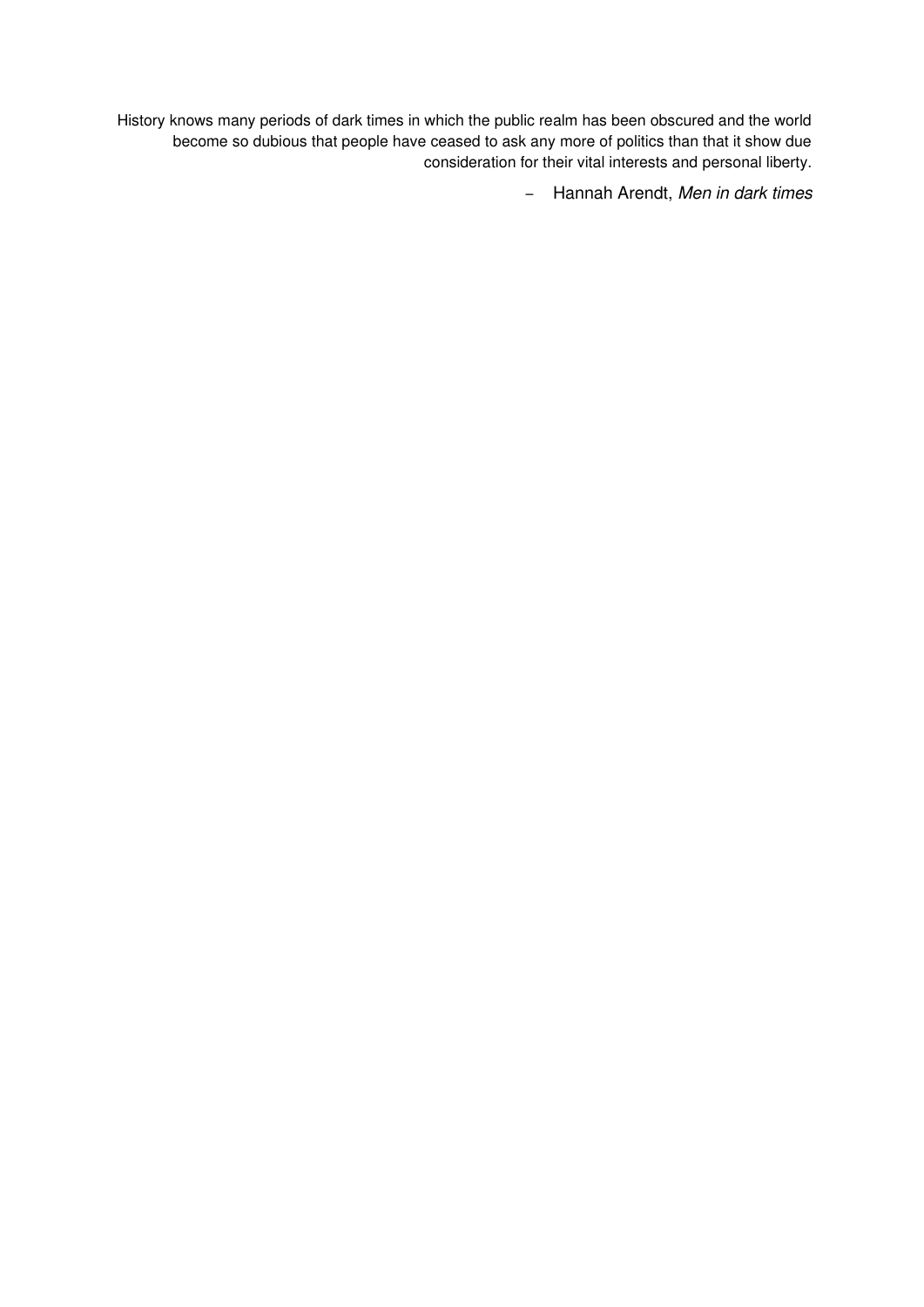History knows many periods of dark times in which the public realm has been obscured and the world become so dubious that people have ceased to ask any more of politics than that it show due consideration for their vital interests and personal liberty.

– Hannah Arendt, Men in dark times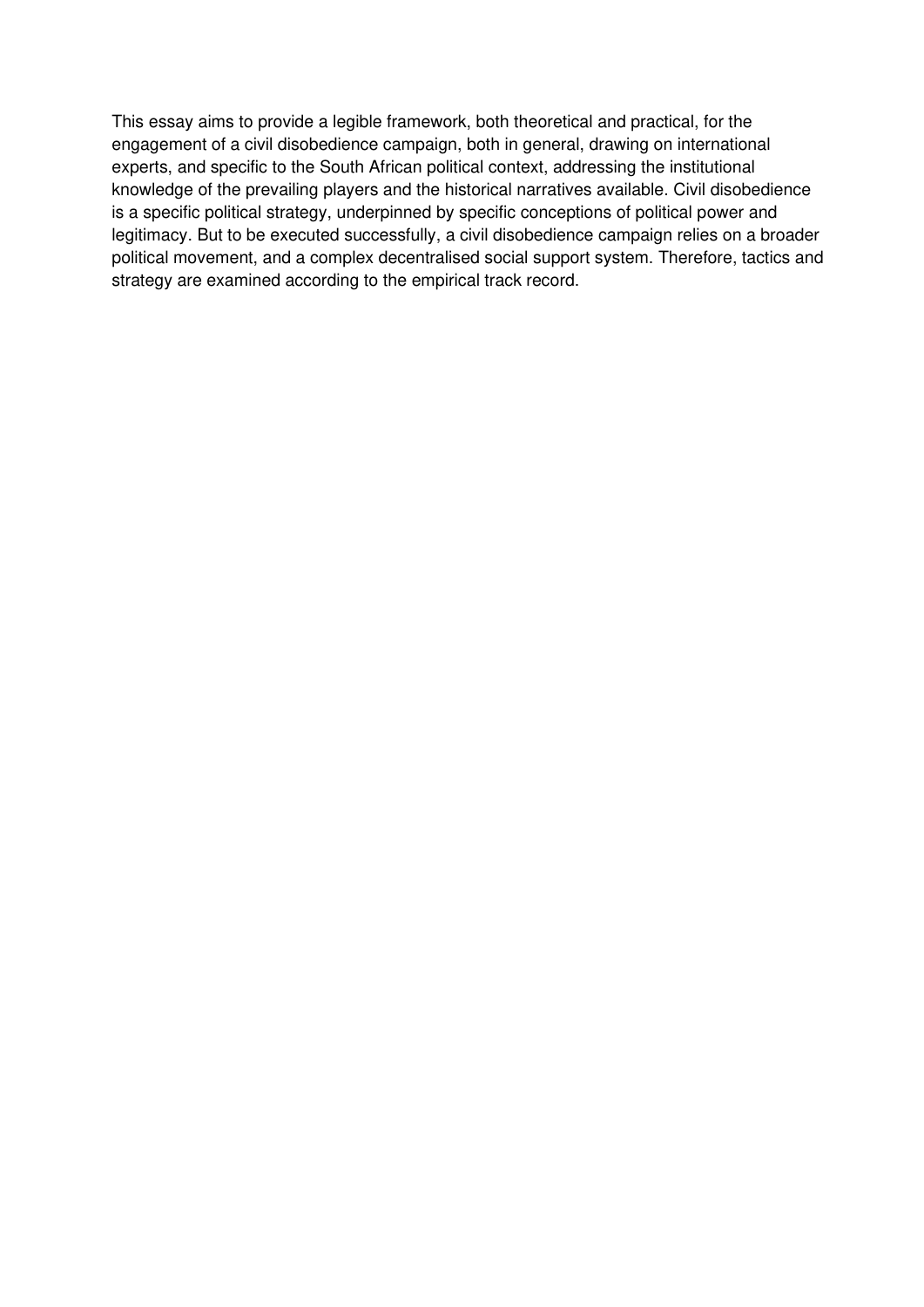This essay aims to provide a legible framework, both theoretical and practical, for the engagement of a civil disobedience campaign, both in general, drawing on international experts, and specific to the South African political context, addressing the institutional knowledge of the prevailing players and the historical narratives available. Civil disobedience is a specific political strategy, underpinned by specific conceptions of political power and legitimacy. But to be executed successfully, a civil disobedience campaign relies on a broader political movement, and a complex decentralised social support system. Therefore, tactics and strategy are examined according to the empirical track record.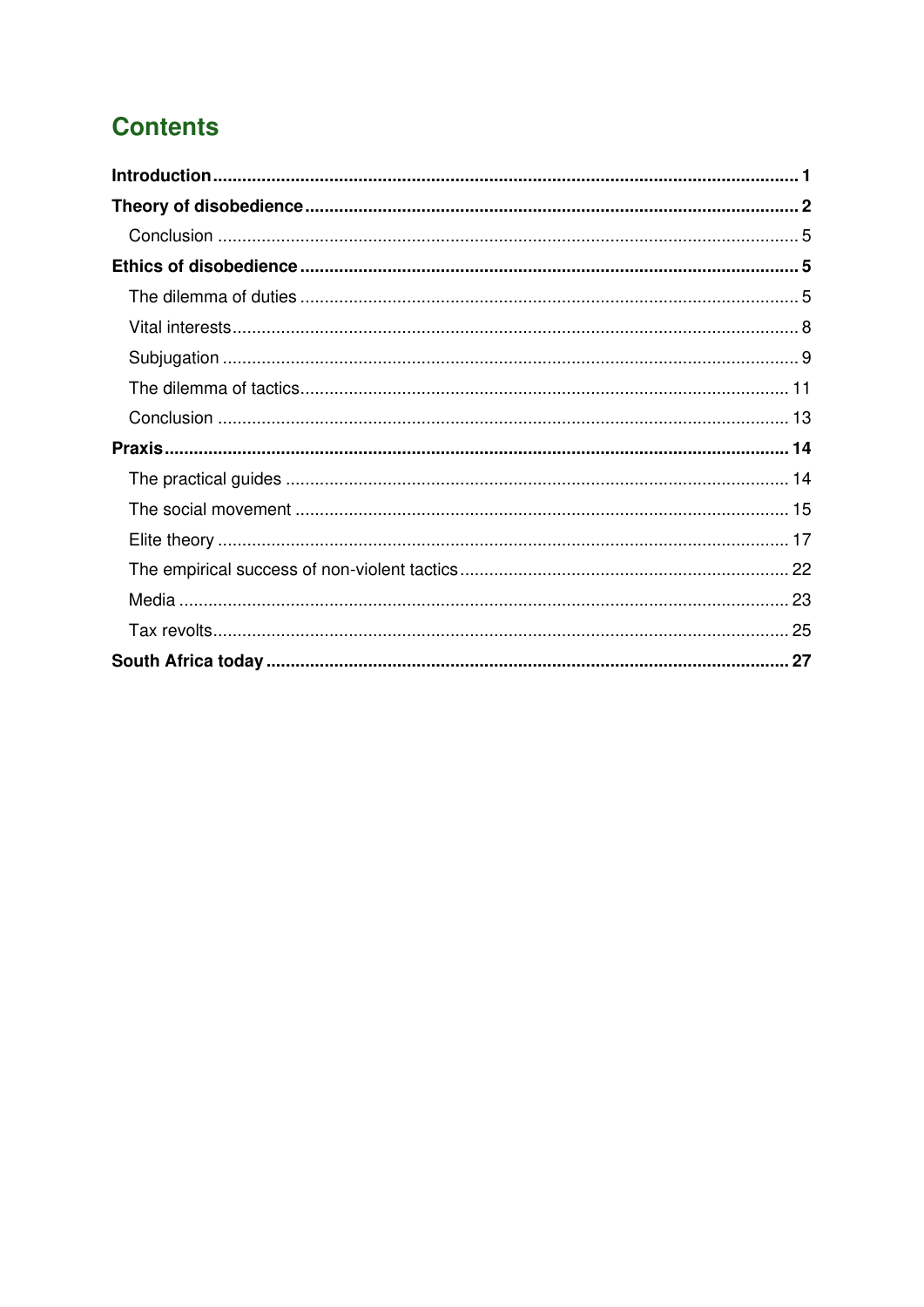# **Contents**

<span id="page-3-0"></span>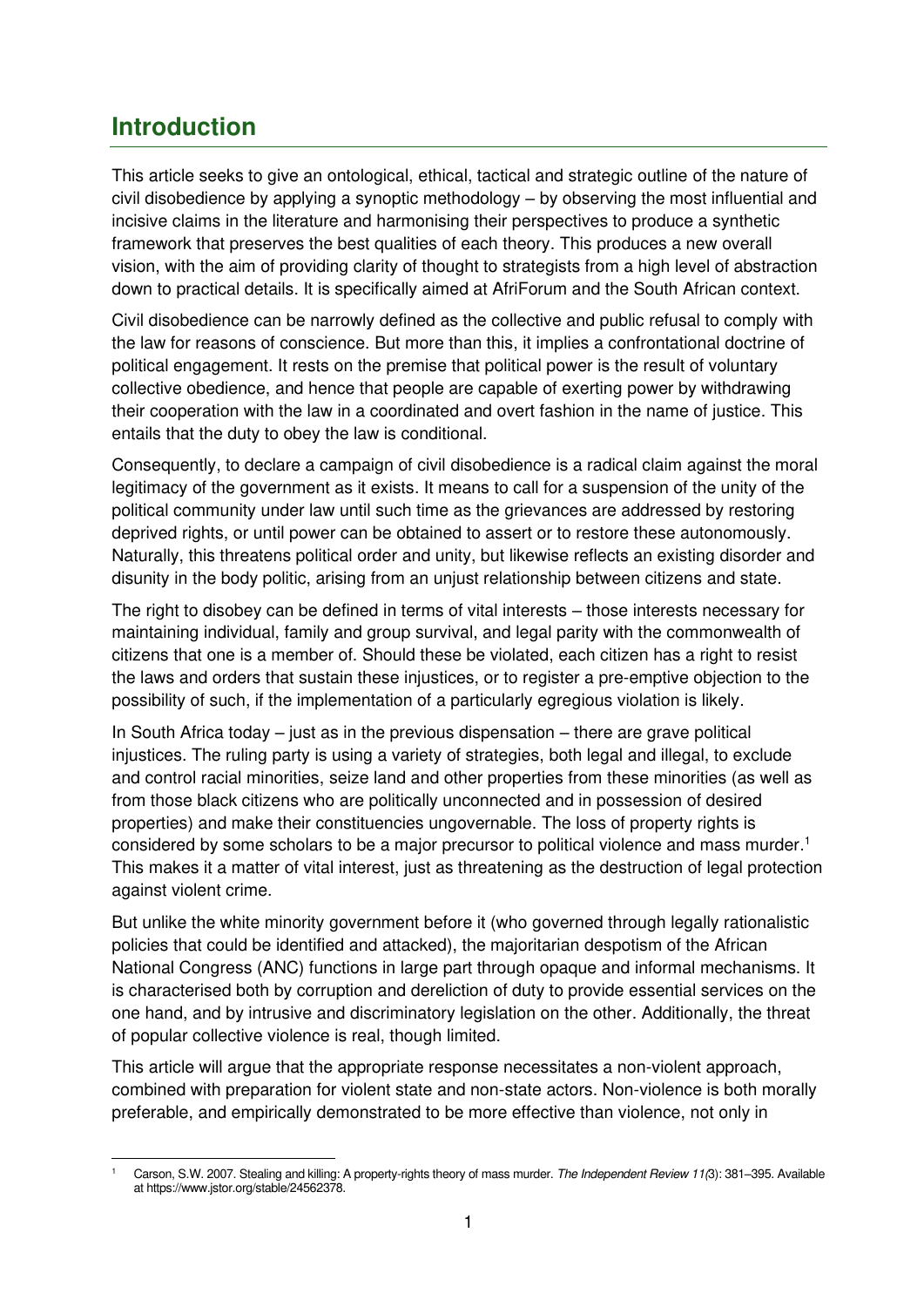# **Introduction**

This article seeks to give an ontological, ethical, tactical and strategic outline of the nature of civil disobedience by applying a synoptic methodology – by observing the most influential and incisive claims in the literature and harmonising their perspectives to produce a synthetic framework that preserves the best qualities of each theory. This produces a new overall vision, with the aim of providing clarity of thought to strategists from a high level of abstraction down to practical details. It is specifically aimed at AfriForum and the South African context.

Civil disobedience can be narrowly defined as the collective and public refusal to comply with the law for reasons of conscience. But more than this, it implies a confrontational doctrine of political engagement. It rests on the premise that political power is the result of voluntary collective obedience, and hence that people are capable of exerting power by withdrawing their cooperation with the law in a coordinated and overt fashion in the name of justice. This entails that the duty to obey the law is conditional.

Consequently, to declare a campaign of civil disobedience is a radical claim against the moral legitimacy of the government as it exists. It means to call for a suspension of the unity of the political community under law until such time as the grievances are addressed by restoring deprived rights, or until power can be obtained to assert or to restore these autonomously. Naturally, this threatens political order and unity, but likewise reflects an existing disorder and disunity in the body politic, arising from an unjust relationship between citizens and state.

The right to disobey can be defined in terms of vital interests – those interests necessary for maintaining individual, family and group survival, and legal parity with the commonwealth of citizens that one is a member of. Should these be violated, each citizen has a right to resist the laws and orders that sustain these injustices, or to register a pre-emptive objection to the possibility of such, if the implementation of a particularly egregious violation is likely.

In South Africa today – just as in the previous dispensation – there are grave political injustices. The ruling party is using a variety of strategies, both legal and illegal, to exclude and control racial minorities, seize land and other properties from these minorities (as well as from those black citizens who are politically unconnected and in possession of desired properties) and make their constituencies ungovernable. The loss of property rights is considered by some scholars to be a major precursor to political violence and mass murder.<sup>1</sup> This makes it a matter of vital interest, just as threatening as the destruction of legal protection against violent crime.

But unlike the white minority government before it (who governed through legally rationalistic policies that could be identified and attacked), the majoritarian despotism of the African National Congress (ANC) functions in large part through opaque and informal mechanisms. It is characterised both by corruption and dereliction of duty to provide essential services on the one hand, and by intrusive and discriminatory legislation on the other. Additionally, the threat of popular collective violence is real, though limited.

This article will argue that the appropriate response necessitates a non-violent approach, combined with preparation for violent state and non-state actors. Non-violence is both morally preferable, and empirically demonstrated to be more effective than violence, not only in

<sup>1</sup> Carson, S.W. 2007. Stealing and killing: A property-rights theory of mass murder. The Independent Review 11(3): 381–395. Available a[t https://www.jstor.org/stable/24562378.](https://www.jstor.org/stable/24562378)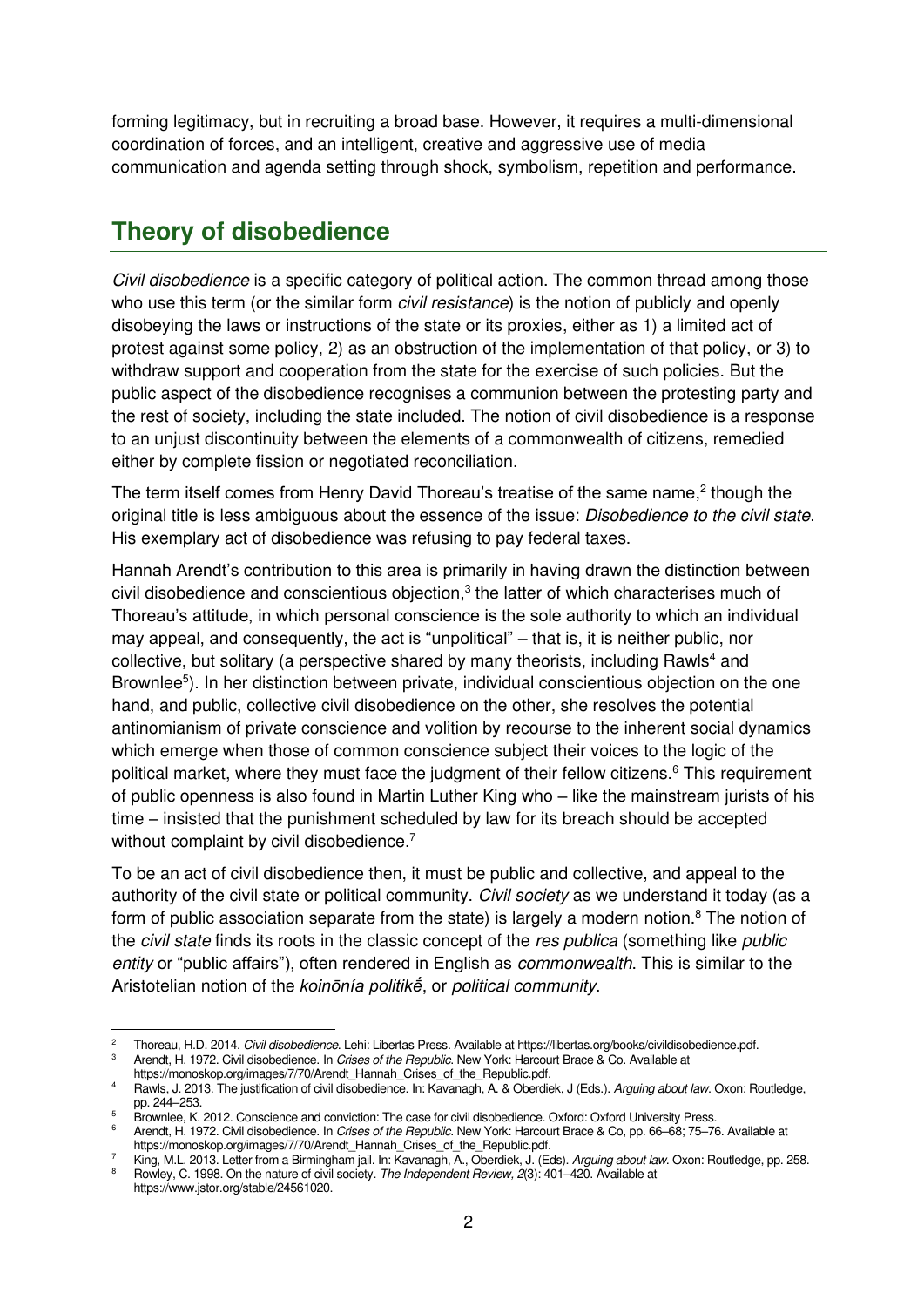forming legitimacy, but in recruiting a broad base. However, it requires a multi-dimensional coordination of forces, and an intelligent, creative and aggressive use of media communication and agenda setting through shock, symbolism, repetition and performance.

# <span id="page-5-0"></span>**Theory of disobedience**

Civil disobedience is a specific category of political action. The common thread among those who use this term (or the similar form *civil resistance*) is the notion of publicly and openly disobeying the laws or instructions of the state or its proxies, either as 1) a limited act of protest against some policy, 2) as an obstruction of the implementation of that policy, or 3) to withdraw support and cooperation from the state for the exercise of such policies. But the public aspect of the disobedience recognises a communion between the protesting party and the rest of society, including the state included. The notion of civil disobedience is a response to an unjust discontinuity between the elements of a commonwealth of citizens, remedied either by complete fission or negotiated reconciliation.

The term itself comes from Henry David Thoreau's treatise of the same name, $2$  though the original title is less ambiguous about the essence of the issue: Disobedience to the civil state. His exemplary act of disobedience was refusing to pay federal taxes.

Hannah Arendt's contribution to this area is primarily in having drawn the distinction between civil disobedience and conscientious objection, $3$  the latter of which characterises much of Thoreau's attitude, in which personal conscience is the sole authority to which an individual may appeal, and consequently, the act is "unpolitical" – that is, it is neither public, nor collective, but solitary (a perspective shared by many theorists, including Rawls<sup>4</sup> and Brownlee<sup>5</sup>). In her distinction between private, individual conscientious objection on the one hand, and public, collective civil disobedience on the other, she resolves the potential antinomianism of private conscience and volition by recourse to the inherent social dynamics which emerge when those of common conscience subject their voices to the logic of the political market, where they must face the judgment of their fellow citizens.<sup>6</sup> This requirement of public openness is also found in Martin Luther King who – like the mainstream jurists of his time – insisted that the punishment scheduled by law for its breach should be accepted without complaint by civil disobedience.<sup>7</sup>

To be an act of civil disobedience then, it must be public and collective, and appeal to the authority of the civil state or political community. Civil society as we understand it today (as a form of public association separate from the state) is largely a modern notion.<sup>8</sup> The notion of the *civil state* finds its roots in the classic concept of the res publica (something like public entity or "public affairs"), often rendered in English as *commonwealth*. This is similar to the Aristotelian notion of the *koinōnía politikḗ*, or political community.

<sup>2</sup> Thoreau, H.D. 2014. Civil disobedience. Lehi: Libertas Press. Available a[t https://libertas.org/books/civildisobedience.pdf.](https://libertas.org/books/civildisobedience.pdf)

<sup>3</sup> Arendt, H. 1972. Civil disobedience. In Crises of the Republic. New York: Harcourt Brace & Co. Available at [https://monoskop.org/images/7/70/Arendt\\_Hannah\\_Crises\\_of\\_the\\_Republic.pdf.](https://monoskop.org/images/7/70/Arendt_Hannah_Crises_of_the_Republic.pdf)

<sup>&</sup>lt;sup>4</sup> Rawls, J. 2013. The justification of civil disobedience. In: Kavanagh, A. & Oberdiek, J (Eds.). Arguing about law. Oxon: Routledge, pp. 244–253.

<sup>5</sup> Brownlee, K. 2012. Conscience and conviction: The case for civil disobedience. Oxford: Oxford University Press.

<sup>6</sup> Arendt, H. 1972. Civil disobedience. In Crises of the Republic. New York: Harcourt Brace & Co, pp. 66–68; 75–76. Available at [https://monoskop.org/images/7/70/Arendt\\_Hannah\\_Crises\\_of\\_the\\_Republic.pdf.](https://monoskop.org/images/7/70/Arendt_Hannah_Crises_of_the_Republic.pdf)

<sup>7</sup> [King, M.L. 2013. Letter from a Birmingham jail. In: Kavanagh, A., Oberdiek, J. \(Eds\).](https://books.google.co.za/books?id=g75cAgAAQBAJ&dq=2013.+Letter+from+a+Birmingham+jail.+%22Arguing+about+law%22&source=gbs_navlinks_s) Arguing about law. Oxon: Routledge, pp. 258. 8 [Rowley, C. 1998. On the nature of civil society.](https://www.jstor.org/stable/24561020) The Independent Review,  $2(3)$ : 401–420. Available at

[https://www.jstor.org/stable/24561020.](https://www.jstor.org/stable/24561020)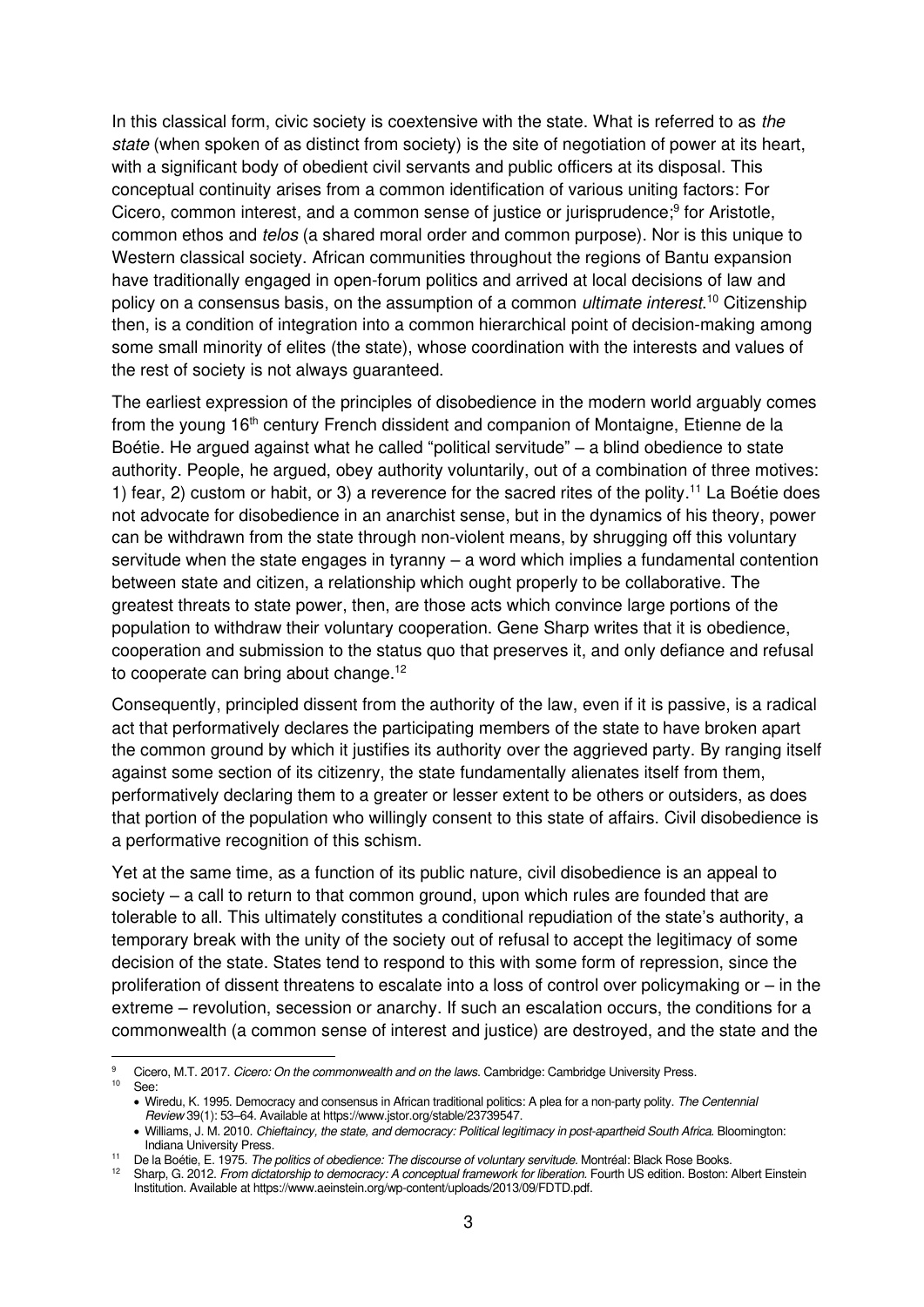In this classical form, civic society is coextensive with the state. What is referred to as the state (when spoken of as distinct from society) is the site of negotiation of power at its heart, with a significant body of obedient civil servants and public officers at its disposal. This conceptual continuity arises from a common identification of various uniting factors: For Cicero, common interest, and a common sense of justice or jurisprudence;<sup>9</sup> for Aristotle, common ethos and telos (a shared moral order and common purpose). Nor is this unique to Western classical society. African communities throughout the regions of Bantu expansion have traditionally engaged in open-forum politics and arrived at local decisions of law and policy on a consensus basis, on the assumption of a common *ultimate interest*.<sup>10</sup> Citizenship then, is a condition of integration into a common hierarchical point of decision-making among some small minority of elites (the state), whose coordination with the interests and values of the rest of society is not always guaranteed.

The earliest expression of the principles of disobedience in the modern world arguably comes from the young 16<sup>th</sup> century French dissident and companion of Montaigne, Etienne de la Boétie. He argued against what he called "political servitude" – a blind obedience to state authority. People, he argued, obey authority voluntarily, out of a combination of three motives: 1) fear, 2) custom or habit, or 3) a reverence for the sacred rites of the polity.<sup>11</sup> La Boétie does not advocate for disobedience in an anarchist sense, but in the dynamics of his theory, power can be withdrawn from the state through non-violent means, by shrugging off this voluntary servitude when the state engages in tyranny – a word which implies a fundamental contention between state and citizen, a relationship which ought properly to be collaborative. The greatest threats to state power, then, are those acts which convince large portions of the population to withdraw their voluntary cooperation. Gene Sharp writes that it is obedience, cooperation and submission to the status quo that preserves it, and only defiance and refusal to cooperate can bring about change.<sup>12</sup>

Consequently, principled dissent from the authority of the law, even if it is passive, is a radical act that performatively declares the participating members of the state to have broken apart the common ground by which it justifies its authority over the aggrieved party. By ranging itself against some section of its citizenry, the state fundamentally alienates itself from them, performatively declaring them to a greater or lesser extent to be others or outsiders, as does that portion of the population who willingly consent to this state of affairs. Civil disobedience is a performative recognition of this schism.

Yet at the same time, as a function of its public nature, civil disobedience is an appeal to society – a call to return to that common ground, upon which rules are founded that are tolerable to all. This ultimately constitutes a conditional repudiation of the state's authority, a temporary break with the unity of the society out of refusal to accept the legitimacy of some decision of the state. States tend to respond to this with some form of repression, since the proliferation of dissent threatens to escalate into a loss of control over policymaking or – in the extreme – revolution, secession or anarchy. If such an escalation occurs, the conditions for a commonwealth (a common sense of interest and justice) are destroyed, and the state and the

<sup>9</sup> Cicero, M.T. 2017. [Cicero: On the commonwealth and on the laws](https://www.amazon.com/Cicero-Commonwealth-Cambridge-History-Political/dp/1316505561). Cambridge: Cambridge University Press.  $10$  See:

<sup>•</sup> Wiredu, K. 1995. Democracy and consensus in African traditional politics: A plea for a non-party polity. The Centennial Review 39(1): 53–64. Available at https://www.jstor.org/stable/23739547.

<sup>•</sup> Williams, J. M. 2010. [Chieftaincy, the state, and democracy: Political legitimacy in post-apartheid South Africa](https://books.google.nl/books?hl=en&lr=&id=84cNYzYBNFsC&oi=fnd&pg=PR7&dq=Williams,+J.+M.+2010.+Chieftaincy,+the+State,+and+Democracy:+political+legitimacy+in+post-apartheid+South+Africa.+Indiana+University+Press.&ots=8T_PwPj2os&sig=iDYI2trdM1mUTitCzf8VS-nAAes#v=onepage&q=Williams%2C%20J.%20M.%202010.%20Chieftaincy%2C%20the%20State%2C%20and%20Democracy%3A%20political%20legitimacy%20in%20post-apartheid%20South%20Africa.%20Indiana%20University%20Press.&f=false). Bloomington: [Indiana University Press.](https://books.google.nl/books?hl=en&lr=&id=84cNYzYBNFsC&oi=fnd&pg=PR7&dq=Williams,+J.+M.+2010.+Chieftaincy,+the+State,+and+Democracy:+political+legitimacy+in+post-apartheid+South+Africa.+Indiana+University+Press.&ots=8T_PwPj2os&sig=iDYI2trdM1mUTitCzf8VS-nAAes#v=onepage&q=Williams%2C%20J.%20M.%202010.%20Chieftaincy%2C%20the%20State%2C%20and%20Democracy%3A%20political%20legitimacy%20in%20post-apartheid%20South%20Africa.%20Indiana%20University%20Press.&f=false) 

<sup>11</sup> De la Boétie, E. 1975. The politics of obedience: The discourse of voluntary servitude. Montréal: Black Rose Books.

Sharp, G. 2012. From dictatorship to democracy: A conceptual framework for liberation. Fourth US edition. Boston: Albert Einstein Institution. Available a[t https://www.aeinstein.org/wp-content/uploads/2013/09/FDTD.pdf.](https://www.aeinstein.org/wp-content/uploads/2013/09/FDTD.pdf)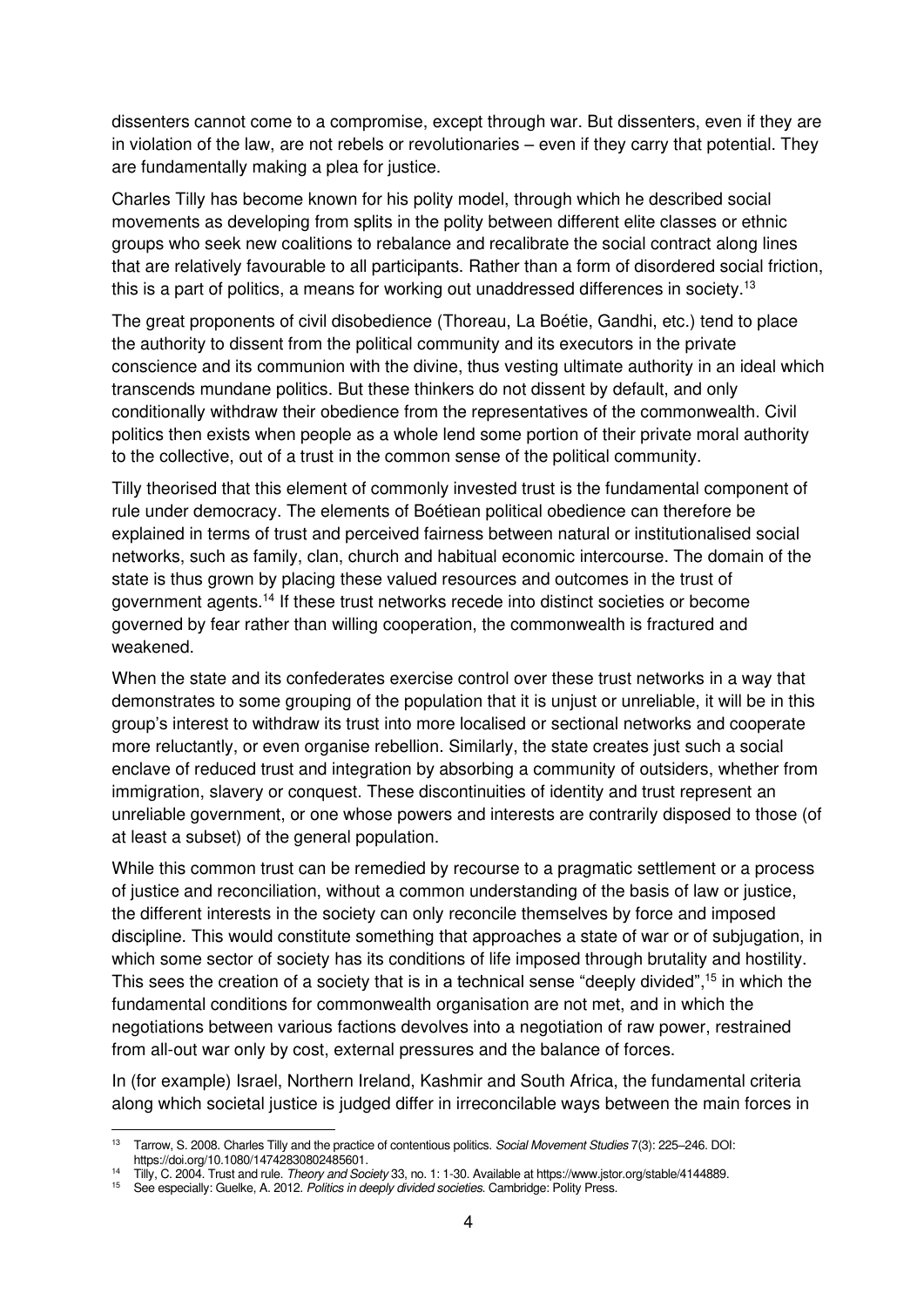dissenters cannot come to a compromise, except through war. But dissenters, even if they are in violation of the law, are not rebels or revolutionaries – even if they carry that potential. They are fundamentally making a plea for justice.

Charles Tilly has become known for his polity model, through which he described social movements as developing from splits in the polity between different elite classes or ethnic groups who seek new coalitions to rebalance and recalibrate the social contract along lines that are relatively favourable to all participants. Rather than a form of disordered social friction, this is a part of politics, a means for working out unaddressed differences in society.<sup>13</sup>

The great proponents of civil disobedience (Thoreau, La Boétie, Gandhi, etc.) tend to place the authority to dissent from the political community and its executors in the private conscience and its communion with the divine, thus vesting ultimate authority in an ideal which transcends mundane politics. But these thinkers do not dissent by default, and only conditionally withdraw their obedience from the representatives of the commonwealth. Civil politics then exists when people as a whole lend some portion of their private moral authority to the collective, out of a trust in the common sense of the political community.

Tilly theorised that this element of commonly invested trust is the fundamental component of rule under democracy. The elements of Boétiean political obedience can therefore be explained in terms of trust and perceived fairness between natural or institutionalised social networks, such as family, clan, church and habitual economic intercourse. The domain of the state is thus grown by placing these valued resources and outcomes in the trust of government agents.<sup>14</sup> If these trust networks recede into distinct societies or become governed by fear rather than willing cooperation, the commonwealth is fractured and weakened.

When the state and its confederates exercise control over these trust networks in a way that demonstrates to some grouping of the population that it is unjust or unreliable, it will be in this group's interest to withdraw its trust into more localised or sectional networks and cooperate more reluctantly, or even organise rebellion. Similarly, the state creates just such a social enclave of reduced trust and integration by absorbing a community of outsiders, whether from immigration, slavery or conquest. These discontinuities of identity and trust represent an unreliable government, or one whose powers and interests are contrarily disposed to those (of at least a subset) of the general population.

While this common trust can be remedied by recourse to a pragmatic settlement or a process of justice and reconciliation, without a common understanding of the basis of law or justice, the different interests in the society can only reconcile themselves by force and imposed discipline. This would constitute something that approaches a state of war or of subjugation, in which some sector of society has its conditions of life imposed through brutality and hostility. This sees the creation of a society that is in a technical sense "deeply divided",<sup>15</sup> in which the fundamental conditions for commonwealth organisation are not met, and in which the negotiations between various factions devolves into a negotiation of raw power, restrained from all-out war only by cost, external pressures and the balance of forces.

In (for example) Israel, Northern Ireland, Kashmir and South Africa, the fundamental criteria along which societal justice is judged differ in irreconcilable ways between the main forces in

<sup>&</sup>lt;sup>13</sup> [Tarrow, S. 2008. Charles Tilly and the practice of contentious politics.](https://www.researchgate.net/publication/237672113_Charles_Tilly_and_the_Practice_of_Contentious_Politics) Social Movement Studies 7(3): 225–246. DOI: [https://doi.org/10.1080/14742830802485601.](https://doi.org/10.1080/14742830802485601) 

<sup>&</sup>lt;sup>14</sup> Tilly, C. 2004. Trust and rule. Theory and Society 33, no. 1: 1-30. Available a[t https://www.jstor.org/stable/4144889.](https://www.jstor.org/stable/4144889)

<sup>&</sup>lt;sup>15</sup> See especially: Guelke, A. 2012. Politics in deeply divided societies. Cambridge: Polity Press.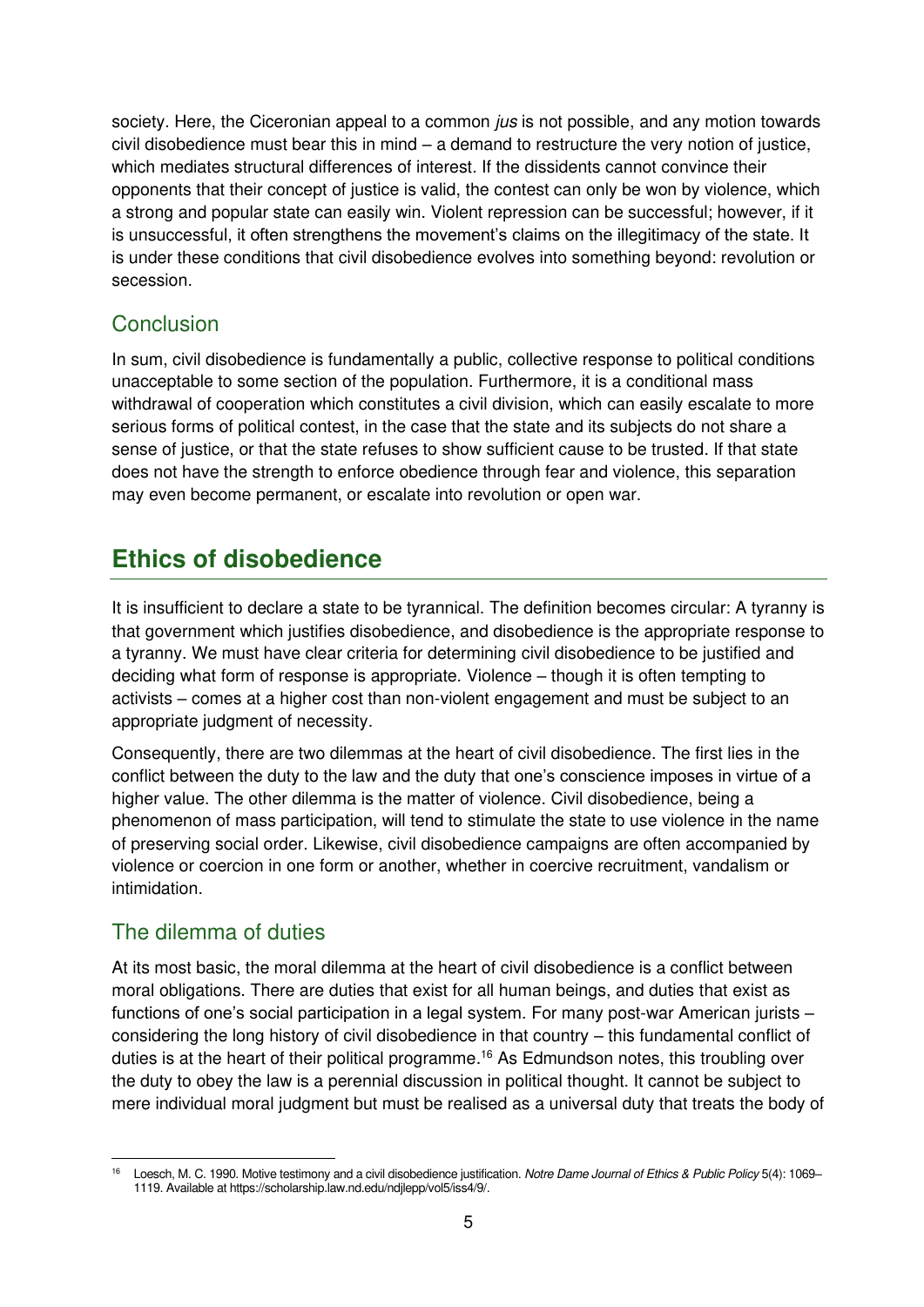society. Here, the Ciceronian appeal to a common *jus* is not possible, and any motion towards civil disobedience must bear this in mind – a demand to restructure the very notion of justice, which mediates structural differences of interest. If the dissidents cannot convince their opponents that their concept of justice is valid, the contest can only be won by violence, which a strong and popular state can easily win. Violent repression can be successful; however, if it is unsuccessful, it often strengthens the movement's claims on the illegitimacy of the state. It is under these conditions that civil disobedience evolves into something beyond: revolution or secession.

### <span id="page-8-0"></span>**Conclusion**

In sum, civil disobedience is fundamentally a public, collective response to political conditions unacceptable to some section of the population. Furthermore, it is a conditional mass withdrawal of cooperation which constitutes a civil division, which can easily escalate to more serious forms of political contest, in the case that the state and its subjects do not share a sense of justice, or that the state refuses to show sufficient cause to be trusted. If that state does not have the strength to enforce obedience through fear and violence, this separation may even become permanent, or escalate into revolution or open war.

# <span id="page-8-1"></span>**Ethics of disobedience**

It is insufficient to declare a state to be tyrannical. The definition becomes circular: A tyranny is that government which justifies disobedience, and disobedience is the appropriate response to a tyranny. We must have clear criteria for determining civil disobedience to be justified and deciding what form of response is appropriate. Violence – though it is often tempting to activists – comes at a higher cost than non-violent engagement and must be subject to an appropriate judgment of necessity.

Consequently, there are two dilemmas at the heart of civil disobedience. The first lies in the conflict between the duty to the law and the duty that one's conscience imposes in virtue of a higher value. The other dilemma is the matter of violence. Civil disobedience, being a phenomenon of mass participation, will tend to stimulate the state to use violence in the name of preserving social order. Likewise, civil disobedience campaigns are often accompanied by violence or coercion in one form or another, whether in coercive recruitment, vandalism or intimidation.

## <span id="page-8-2"></span>The dilemma of duties

At its most basic, the moral dilemma at the heart of civil disobedience is a conflict between moral obligations. There are duties that exist for all human beings, and duties that exist as functions of one's social participation in a legal system. For many post-war American jurists – considering the long history of civil disobedience in that country – this fundamental conflict of duties is at the heart of their political programme.<sup>16</sup> As Edmundson notes, this troubling over the duty to obey the law is a perennial discussion in political thought. It cannot be subject to mere individual moral judgment but must be realised as a universal duty that treats the body of

<sup>16</sup> Loesch, M. C. 1990. Motive testimony and a civil disobedience justification. Notre Dame Journal of Ethics & Public Policy 5(4): 1069-1119. Available a[t https://scholarship.law.nd.edu/ndjlepp/vol5/iss4/9/.](https://scholarship.law.nd.edu/ndjlepp/vol5/iss4/9/)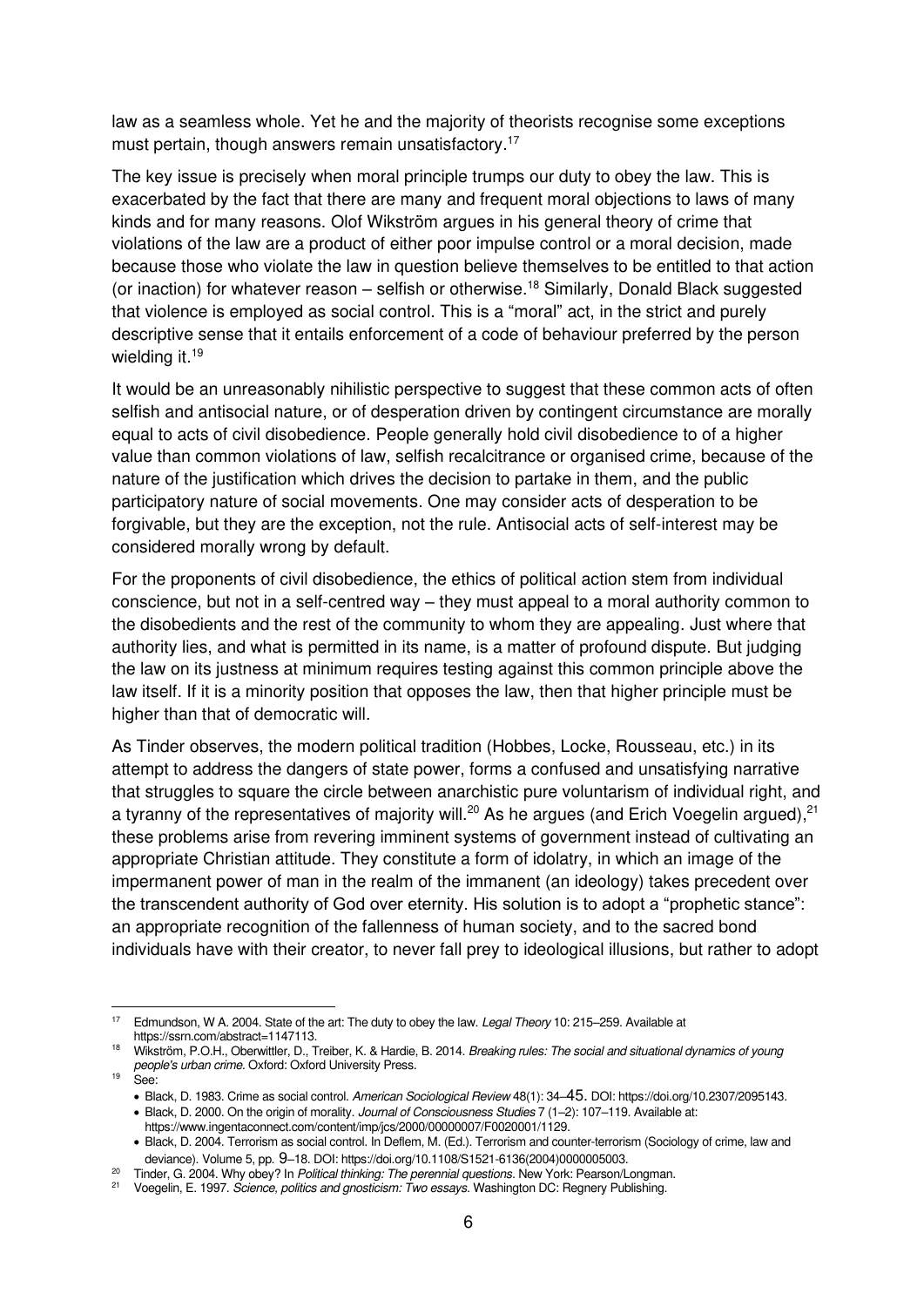law as a seamless whole. Yet he and the majority of theorists recognise some exceptions must pertain, though answers remain unsatisfactory.<sup>17</sup>

The key issue is precisely when moral principle trumps our duty to obey the law. This is exacerbated by the fact that there are many and frequent moral objections to laws of many kinds and for many reasons. Olof Wikström argues in his general theory of crime that violations of the law are a product of either poor impulse control or a moral decision, made because those who violate the law in question believe themselves to be entitled to that action (or inaction) for whatever reason – selfish or otherwise.<sup>18</sup> Similarly, Donald Black suggested that violence is employed as social control. This is a "moral" act, in the strict and purely descriptive sense that it entails enforcement of a code of behaviour preferred by the person wielding it.<sup>19</sup>

It would be an unreasonably nihilistic perspective to suggest that these common acts of often selfish and antisocial nature, or of desperation driven by contingent circumstance are morally equal to acts of civil disobedience. People generally hold civil disobedience to of a higher value than common violations of law, selfish recalcitrance or organised crime, because of the nature of the justification which drives the decision to partake in them, and the public participatory nature of social movements. One may consider acts of desperation to be forgivable, but they are the exception, not the rule. Antisocial acts of self-interest may be considered morally wrong by default.

For the proponents of civil disobedience, the ethics of political action stem from individual conscience, but not in a self-centred way – they must appeal to a moral authority common to the disobedients and the rest of the community to whom they are appealing. Just where that authority lies, and what is permitted in its name, is a matter of profound dispute. But judging the law on its justness at minimum requires testing against this common principle above the law itself. If it is a minority position that opposes the law, then that higher principle must be higher than that of democratic will.

As Tinder observes, the modern political tradition (Hobbes, Locke, Rousseau, etc.) in its attempt to address the dangers of state power, forms a confused and unsatisfying narrative that struggles to square the circle between anarchistic pure voluntarism of individual right, and a tyranny of the representatives of majority will.<sup>20</sup> As he argues (and Erich Voegelin argued),  $21$ these problems arise from revering imminent systems of government instead of cultivating an appropriate Christian attitude. They constitute a form of idolatry, in which an image of the impermanent power of man in the realm of the immanent (an ideology) takes precedent over the transcendent authority of God over eternity. His solution is to adopt a "prophetic stance": an appropriate recognition of the fallenness of human society, and to the sacred bond individuals have with their creator, to never fall prey to ideological illusions, but rather to adopt

Edmundson, W A. 2004. State of the art: The duty to obey the law. Legal Theory 10: 215–259. Available at https://ssrn.com/abstract=1147113.

<sup>&</sup>lt;sup>18</sup> Wikström, P.O.H., Oberwittler, D., Treiber, K. & Hardie, B. 2014. Breaking rules: The social and situational dynamics of young people's urban crime. Oxford: Oxford University Press.

<sup>&</sup>lt;sup>19</sup> See:

<sup>•</sup> Black, D. 1983. Crime as social control. American Sociological Review 48(1): 34–45. DOI: https://doi.org/10.2307/2095143.

<sup>•</sup> [Black, D. 2000. On the origin of morality.](https://www.ingentaconnect.com/content/imp/jcs/2000/00000007/F0020001/1129) Journal of Consciousness Studies 7 (1–2): 107–119. Available at:

https://www.ingentaconnect.com/content/imp/jcs/2000/00000007/F0020001/1129.

<sup>•</sup> Black, D. 2004. Terrorism as social control. In Deflem, M. (Ed.). Terrorism and counter-terrorism (Sociology of crime, law and deviance). Volume 5, pp. 9–18. DOI: https://doi.org/10.1108/S1521-6136(2004)0000005003.

<sup>&</sup>lt;sup>20</sup> Tinder, G. 2004. Why obey? In [Political thinking: The perennial questions](https://www.amazon.com/Political-Thinking-Perennial-Questions-Classics/dp/0205678874). New York: Pearson/Longman.

<sup>&</sup>lt;sup>21</sup> Voegelin, E. 1997. [Science, politics and gnosticism: Two essays](https://www.scribd.com/document/358366254/Eric-Voegelin-Science-Politics-and-Gnosticism-PDF). Washington DC: Regnery Publishing.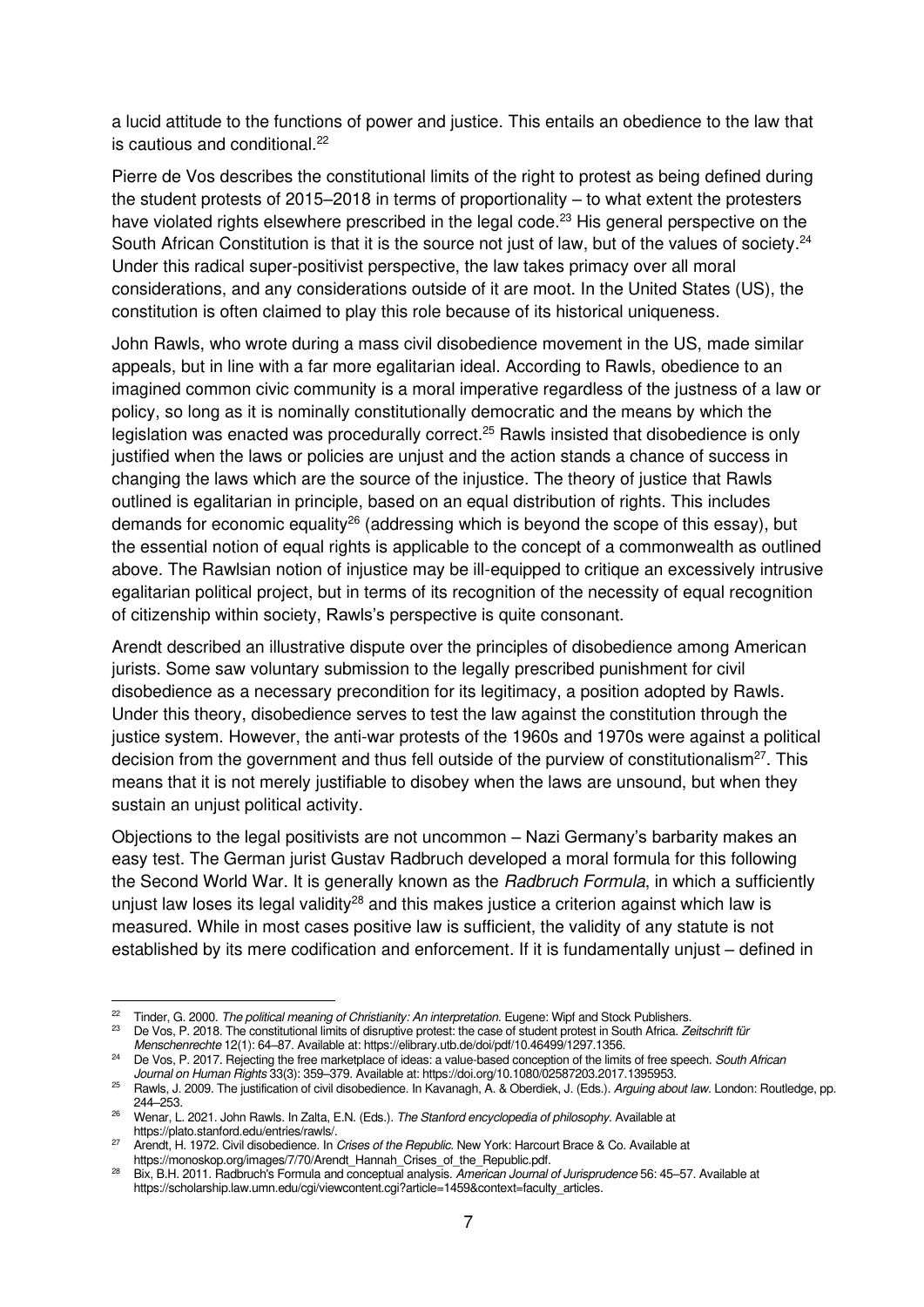a lucid attitude to the functions of power and justice. This entails an obedience to the law that is cautious and conditional.<sup>22</sup>

Pierre de Vos describes the constitutional limits of the right to protest as being defined during the student protests of 2015–2018 in terms of proportionality – to what extent the protesters have violated rights elsewhere prescribed in the legal code.<sup>23</sup> His general perspective on the South African Constitution is that it is the source not just of law, but of the values of society.<sup>24</sup> Under this radical super-positivist perspective, the law takes primacy over all moral considerations, and any considerations outside of it are moot. In the United States (US), the constitution is often claimed to play this role because of its historical uniqueness.

John Rawls, who wrote during a mass civil disobedience movement in the US, made similar appeals, but in line with a far more egalitarian ideal. According to Rawls, obedience to an imagined common civic community is a moral imperative regardless of the justness of a law or policy, so long as it is nominally constitutionally democratic and the means by which the legislation was enacted was procedurally correct.<sup>25</sup> Rawls insisted that disobedience is only justified when the laws or policies are unjust and the action stands a chance of success in changing the laws which are the source of the injustice. The theory of justice that Rawls outlined is egalitarian in principle, based on an equal distribution of rights. This includes demands for economic equality<sup>26</sup> (addressing which is beyond the scope of this essay), but the essential notion of equal rights is applicable to the concept of a commonwealth as outlined above. The Rawlsian notion of injustice may be ill-equipped to critique an excessively intrusive egalitarian political project, but in terms of its recognition of the necessity of equal recognition of citizenship within society, Rawls's perspective is quite consonant.

Arendt described an illustrative dispute over the principles of disobedience among American jurists. Some saw voluntary submission to the legally prescribed punishment for civil disobedience as a necessary precondition for its legitimacy, a position adopted by Rawls. Under this theory, disobedience serves to test the law against the constitution through the justice system. However, the anti-war protests of the 1960s and 1970s were against a political decision from the government and thus fell outside of the purview of constitutionalism<sup>27</sup>. This means that it is not merely justifiable to disobey when the laws are unsound, but when they sustain an unjust political activity.

Objections to the legal positivists are not uncommon – Nazi Germany's barbarity makes an easy test. The German jurist Gustav Radbruch developed a moral formula for this following the Second World War. It is generally known as the *Radbruch Formula*, in which a sufficiently unjust law loses its legal validity<sup>28</sup> and this makes justice a criterion against which law is measured. While in most cases positive law is sufficient, the validity of any statute is not established by its mere codification and enforcement. If it is fundamentally unjust – defined in

<sup>&</sup>lt;sup>22</sup> Tinder, G. 2000. The political meaning of Christianity: An interpretation. Eugene: Wipf and Stock Publishers.<br><sup>23</sup> De Ves R. 2018. The constitutional limits of discussive protect: the case of student protect in South

De Vos, P. 2018. The constitutional limits of disruptive protest: the case of student protest in South Africa. Zeitschrift für Menschenrechte 12(1): 64–87. Available at[: https://elibrary.utb.de/doi/pdf/10.46499/1297.1356.](https://elibrary.utb.de/doi/pdf/10.46499/1297.1356)

<sup>&</sup>lt;sup>24</sup> De Vos, P. 2017. Rejecting the free marketplace of ideas: a value-based conception of the limits of free speech. South African Journal on Human Rights 33(3): 359–379. Available at[: https://doi.org/10.1080/02587203.2017.1395953.](https://doi.org/10.1080/02587203.2017.1395953)

<sup>&</sup>lt;sup>25</sup> Rawls, J. 2009. The justification of civil disobedience. In Kavanagh, A. & Oberdiek, J. (Eds.). Arguing about law. London: Routledge, pp. 244–253.

<sup>&</sup>lt;sup>26</sup> Wenar, L. 2021. John Rawls. In Zalta, E.N. (Eds.). The Stanford encyclopedia of philosophy. Available at https://plato.stanford.edu/entries/rawls/.

<sup>27</sup> Arendt, H. 1972. Civil disobedience. In Crises of the Republic. New York: Harcourt Brace & Co. Available at [https://monoskop.org/images/7/70/Arendt\\_Hannah\\_Crises\\_of\\_the\\_Republic.pdf.](https://monoskop.org/images/7/70/Arendt_Hannah_Crises_of_the_Republic.pdf)

<sup>&</sup>lt;sup>28</sup> Bix, B.H. 2011. Radbruch's Formula and conceptual analysis. American Journal of Jurisprudence 56: 45–57. Available at [https://scholarship.law.umn.edu/cgi/viewcontent.cgi?article=1459&context=faculty\\_articles.](https://scholarship.law.umn.edu/cgi/viewcontent.cgi?article=1459&context=faculty_articles)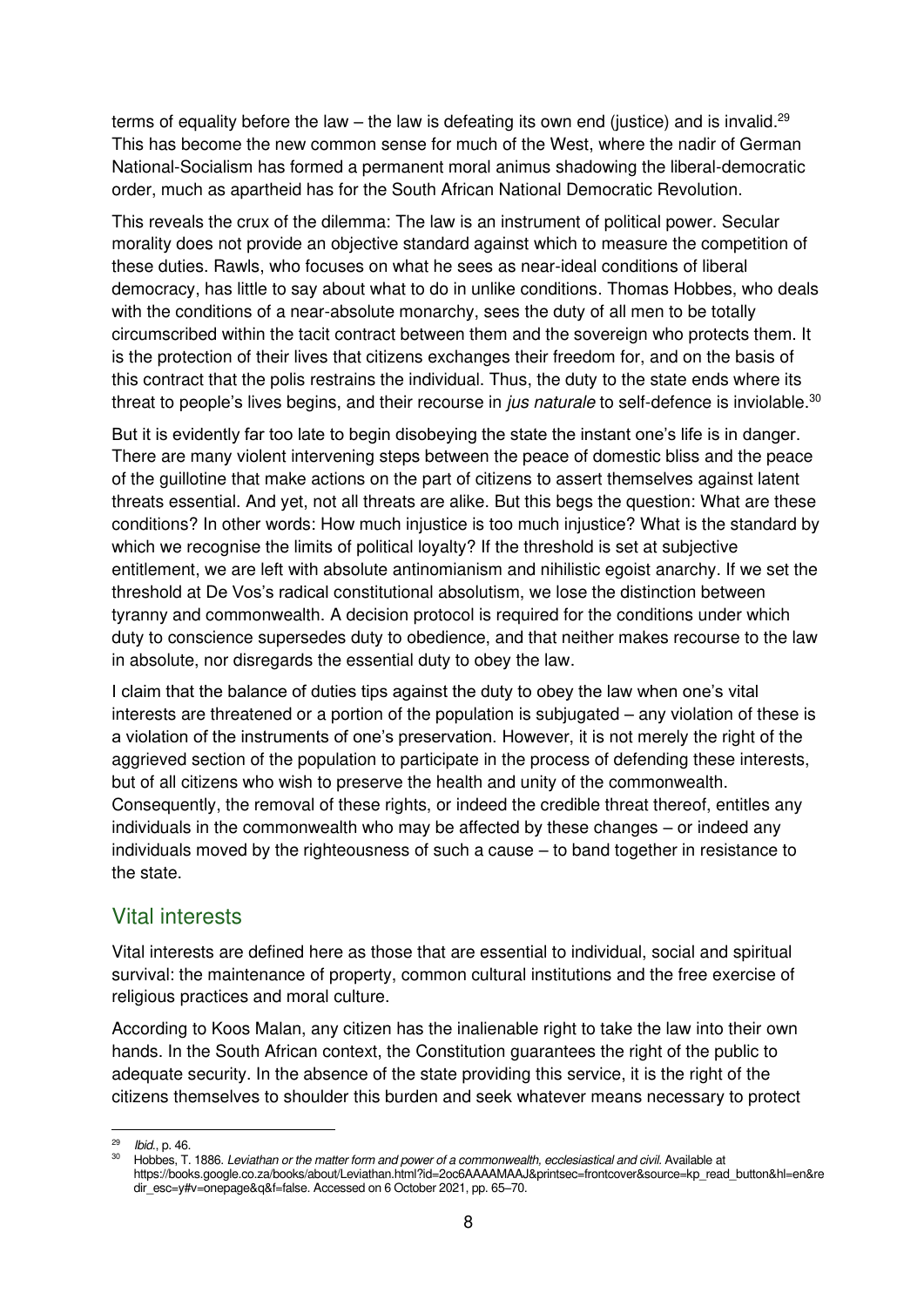terms of equality before the law – the law is defeating its own end (justice) and is invalid.<sup>29</sup> This has become the new common sense for much of the West, where the nadir of German National-Socialism has formed a permanent moral animus shadowing the liberal-democratic order, much as apartheid has for the South African National Democratic Revolution.

This reveals the crux of the dilemma: The law is an instrument of political power. Secular morality does not provide an objective standard against which to measure the competition of these duties. Rawls, who focuses on what he sees as near-ideal conditions of liberal democracy, has little to say about what to do in unlike conditions. Thomas Hobbes, who deals with the conditions of a near-absolute monarchy, sees the duty of all men to be totally circumscribed within the tacit contract between them and the sovereign who protects them. It is the protection of their lives that citizens exchanges their freedom for, and on the basis of this contract that the polis restrains the individual. Thus, the duty to the state ends where its threat to people's lives begins, and their recourse in *jus naturale* to self-defence is inviolable.<sup>30</sup>

But it is evidently far too late to begin disobeying the state the instant one's life is in danger. There are many violent intervening steps between the peace of domestic bliss and the peace of the guillotine that make actions on the part of citizens to assert themselves against latent threats essential. And yet, not all threats are alike. But this begs the question: What are these conditions? In other words: How much injustice is too much injustice? What is the standard by which we recognise the limits of political loyalty? If the threshold is set at subjective entitlement, we are left with absolute antinomianism and nihilistic egoist anarchy. If we set the threshold at De Vos's radical constitutional absolutism, we lose the distinction between tyranny and commonwealth. A decision protocol is required for the conditions under which duty to conscience supersedes duty to obedience, and that neither makes recourse to the law in absolute, nor disregards the essential duty to obey the law.

I claim that the balance of duties tips against the duty to obey the law when one's vital interests are threatened or a portion of the population is subjugated – any violation of these is a violation of the instruments of one's preservation. However, it is not merely the right of the aggrieved section of the population to participate in the process of defending these interests, but of all citizens who wish to preserve the health and unity of the commonwealth. Consequently, the removal of these rights, or indeed the credible threat thereof, entitles any individuals in the commonwealth who may be affected by these changes – or indeed any individuals moved by the righteousness of such a cause – to band together in resistance to the state.

#### <span id="page-11-0"></span>Vital interests

Vital interests are defined here as those that are essential to individual, social and spiritual survival: the maintenance of property, common cultural institutions and the free exercise of religious practices and moral culture.

According to Koos Malan, any citizen has the inalienable right to take the law into their own hands. In the South African context, the Constitution guarantees the right of the public to adequate security. In the absence of the state providing this service, it is the right of the citizens themselves to shoulder this burden and seek whatever means necessary to protect

<sup>29</sup> Ibid., p. 46.

Hobbes, T. 1886. Leviathan or the matter form and power of a commonwealth, ecclesiastical and civil. Available at [https://books.google.co.za/books/about/Leviathan.html?id=2oc6AAAAMAAJ&printsec=frontcover&source=kp\\_read\\_button&hl=en&re](https://books.google.co.za/books/about/Leviathan.html?id=2oc6AAAAMAAJ&printsec=frontcover&source=kp_read_button&hl=en&redir_esc=y#v=onepage&q&f=false) [dir\\_esc=y#v=onepage&q&f=false.](https://books.google.co.za/books/about/Leviathan.html?id=2oc6AAAAMAAJ&printsec=frontcover&source=kp_read_button&hl=en&redir_esc=y#v=onepage&q&f=false) Accessed on 6 October 2021, pp. 65–70.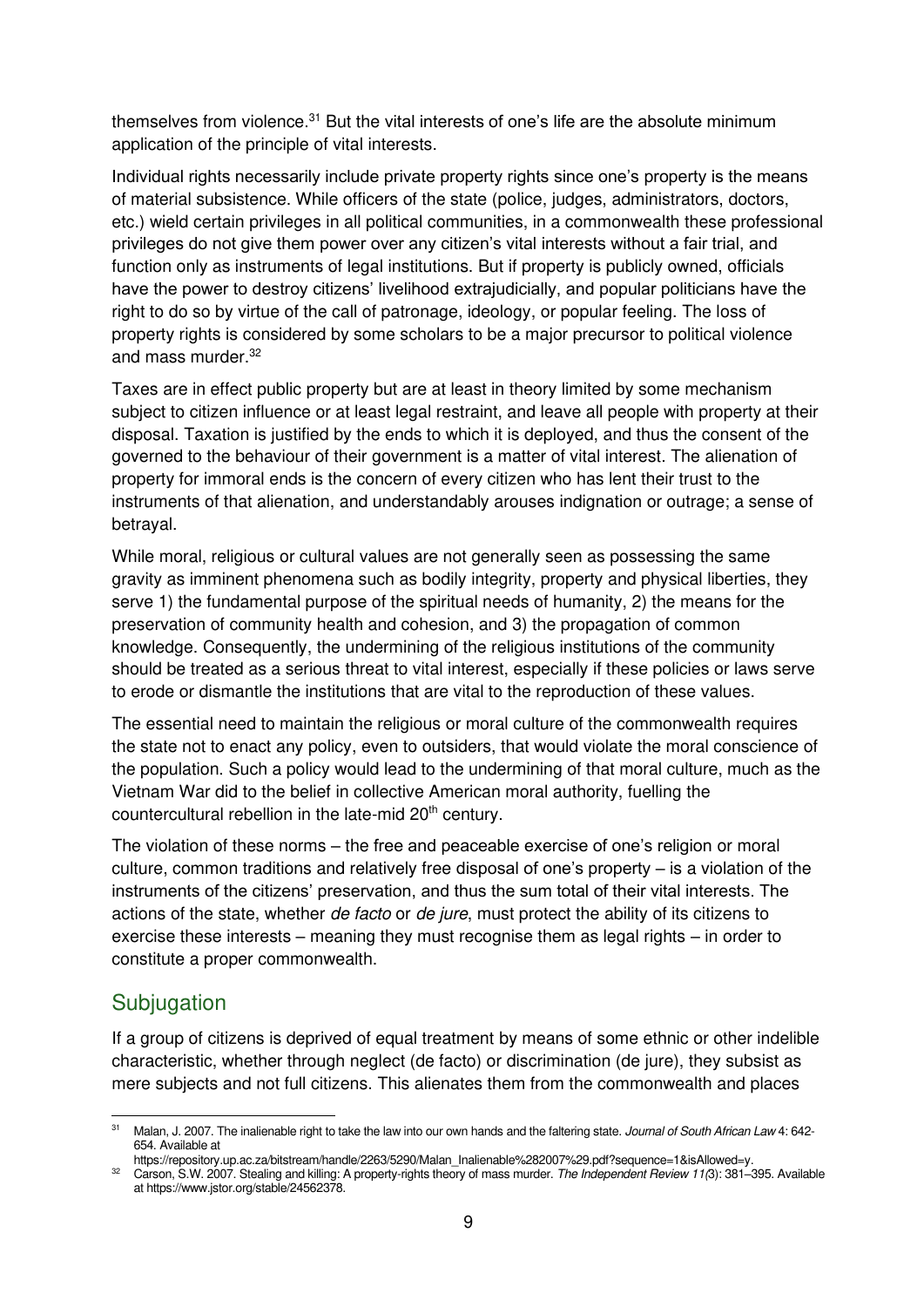themselves from violence.<sup>31</sup> But the vital interests of one's life are the absolute minimum application of the principle of vital interests.

Individual rights necessarily include private property rights since one's property is the means of material subsistence. While officers of the state (police, judges, administrators, doctors, etc.) wield certain privileges in all political communities, in a commonwealth these professional privileges do not give them power over any citizen's vital interests without a fair trial, and function only as instruments of legal institutions. But if property is publicly owned, officials have the power to destroy citizens' livelihood extrajudicially, and popular politicians have the right to do so by virtue of the call of patronage, ideology, or popular feeling. The loss of property rights is considered by some scholars to be a major precursor to political violence and mass murder.<sup>32</sup>

Taxes are in effect public property but are at least in theory limited by some mechanism subject to citizen influence or at least legal restraint, and leave all people with property at their disposal. Taxation is justified by the ends to which it is deployed, and thus the consent of the governed to the behaviour of their government is a matter of vital interest. The alienation of property for immoral ends is the concern of every citizen who has lent their trust to the instruments of that alienation, and understandably arouses indignation or outrage; a sense of betrayal.

While moral, religious or cultural values are not generally seen as possessing the same gravity as imminent phenomena such as bodily integrity, property and physical liberties, they serve 1) the fundamental purpose of the spiritual needs of humanity, 2) the means for the preservation of community health and cohesion, and 3) the propagation of common knowledge. Consequently, the undermining of the religious institutions of the community should be treated as a serious threat to vital interest, especially if these policies or laws serve to erode or dismantle the institutions that are vital to the reproduction of these values.

The essential need to maintain the religious or moral culture of the commonwealth requires the state not to enact any policy, even to outsiders, that would violate the moral conscience of the population. Such a policy would lead to the undermining of that moral culture, much as the Vietnam War did to the belief in collective American moral authority, fuelling the countercultural rebellion in the late-mid 20<sup>th</sup> century.

The violation of these norms – the free and peaceable exercise of one's religion or moral culture, common traditions and relatively free disposal of one's property – is a violation of the instruments of the citizens' preservation, and thus the sum total of their vital interests. The actions of the state, whether de facto or de jure, must protect the ability of its citizens to exercise these interests – meaning they must recognise them as legal rights – in order to constitute a proper commonwealth.

## <span id="page-12-0"></span>**Subjugation**

If a group of citizens is deprived of equal treatment by means of some ethnic or other indelible characteristic, whether through neglect (de facto) or discrimination (de jure), they subsist as mere subjects and not full citizens. This alienates them from the commonwealth and places

<sup>&</sup>lt;sup>31</sup> Malan, J. 2007. The inalienable right to take the law into our own hands and the faltering state. Journal of South African Law 4: 642-654. Available at

[https://repository.up.ac.za/bitstream/handle/2263/5290/Malan\\_Inalienable%282007%29.pdf?sequence=1&isAllowed=y.](https://repository.up.ac.za/bitstream/handle/2263/5290/Malan_Inalienable%282007%29.pdf?sequence=1&isAllowed=y) 

<sup>32</sup> Carson, S.W. 2007. Stealing and killing: A property-rights theory of mass murder. The Independent Review 11(3): 381-395. Available a[t https://www.jstor.org/stable/24562378.](https://www.jstor.org/stable/24562378)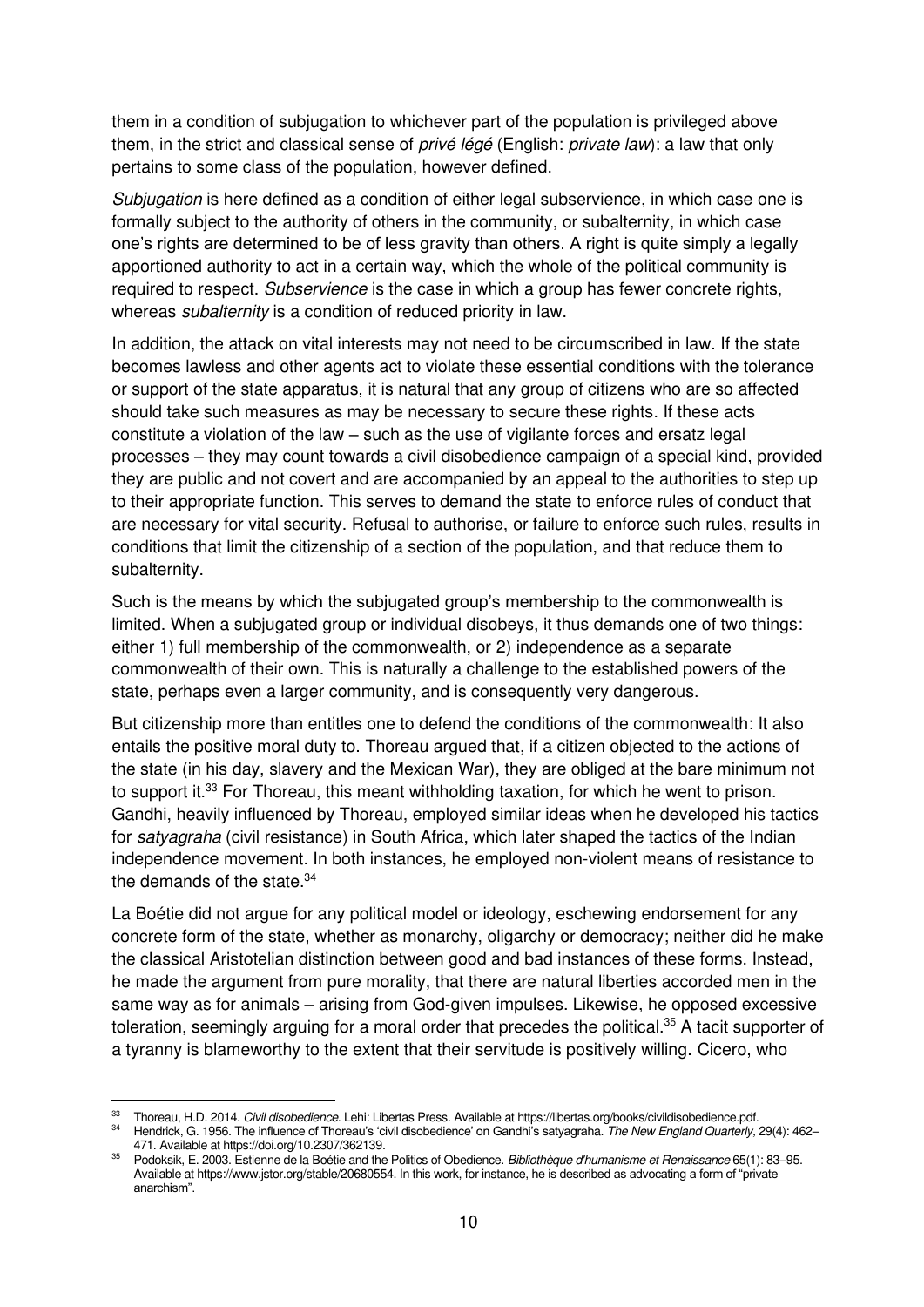them in a condition of subjugation to whichever part of the population is privileged above them, in the strict and classical sense of privé légé (English: private law): a law that only pertains to some class of the population, however defined.

Subjugation is here defined as a condition of either legal subservience, in which case one is formally subject to the authority of others in the community, or subalternity, in which case one's rights are determined to be of less gravity than others. A right is quite simply a legally apportioned authority to act in a certain way, which the whole of the political community is required to respect. Subservience is the case in which a group has fewer concrete rights, whereas *subalternity* is a condition of reduced priority in law.

In addition, the attack on vital interests may not need to be circumscribed in law. If the state becomes lawless and other agents act to violate these essential conditions with the tolerance or support of the state apparatus, it is natural that any group of citizens who are so affected should take such measures as may be necessary to secure these rights. If these acts constitute a violation of the law – such as the use of vigilante forces and ersatz legal processes – they may count towards a civil disobedience campaign of a special kind, provided they are public and not covert and are accompanied by an appeal to the authorities to step up to their appropriate function. This serves to demand the state to enforce rules of conduct that are necessary for vital security. Refusal to authorise, or failure to enforce such rules, results in conditions that limit the citizenship of a section of the population, and that reduce them to subalternity.

Such is the means by which the subjugated group's membership to the commonwealth is limited. When a subjugated group or individual disobeys, it thus demands one of two things: either 1) full membership of the commonwealth, or 2) independence as a separate commonwealth of their own. This is naturally a challenge to the established powers of the state, perhaps even a larger community, and is consequently very dangerous.

But citizenship more than entitles one to defend the conditions of the commonwealth: It also entails the positive moral duty to. Thoreau argued that, if a citizen objected to the actions of the state (in his day, slavery and the Mexican War), they are obliged at the bare minimum not to support it.<sup>33</sup> For Thoreau, this meant withholding taxation, for which he went to prison. Gandhi, heavily influenced by Thoreau, employed similar ideas when he developed his tactics for satyagraha (civil resistance) in South Africa, which later shaped the tactics of the Indian independence movement. In both instances, he employed non-violent means of resistance to the demands of the state. $34$ 

La Boétie did not argue for any political model or ideology, eschewing endorsement for any concrete form of the state, whether as monarchy, oligarchy or democracy; neither did he make the classical Aristotelian distinction between good and bad instances of these forms. Instead, he made the argument from pure morality, that there are natural liberties accorded men in the same way as for animals – arising from God-given impulses. Likewise, he opposed excessive toleration, seemingly arguing for a moral order that precedes the political.<sup>35</sup> A tacit supporter of a tyranny is blameworthy to the extent that their servitude is positively willing. Cicero, who

Thoreau, H.D. 2014. Civil disobedience. Lehi: Libertas Press. Available a[t https://libertas.org/books/civildisobedience.pdf.](https://libertas.org/books/civildisobedience.pdf)

<sup>34</sup> Hendrick, G. 1956. The influence of Thoreau's 'civil disobedience' on Gandhi's satyagraha. The New England Quarterly, 29(4): 462– 471. Available a[t https://doi.org/10.2307/362139.](https://doi.org/10.2307/362139) 

<sup>&</sup>lt;sup>35</sup> Podoksik, E. 2003. Estienne de la Boétie and the Politics of Obedience. Bibliothèque d'humanisme et Renaissance 65(1): 83–95. Available a[t https://www.jstor.org/stable/20680554.](https://www.jstor.org/stable/20680554) In this work, for instance, he is described as advocating a form of "private anarchism".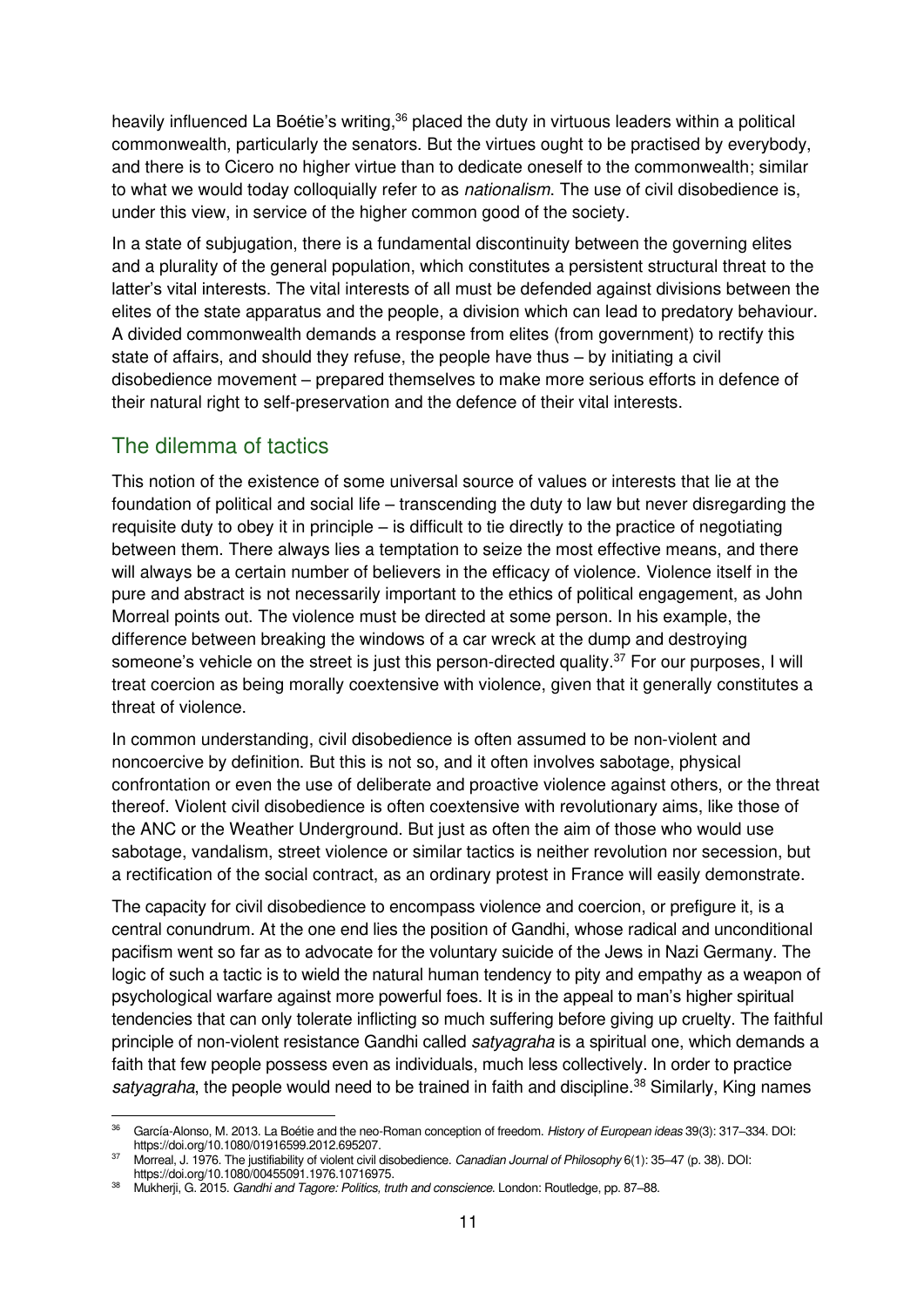heavily influenced La Boétie's writing,<sup>36</sup> placed the duty in virtuous leaders within a political commonwealth, particularly the senators. But the virtues ought to be practised by everybody, and there is to Cicero no higher virtue than to dedicate oneself to the commonwealth; similar to what we would today colloquially refer to as *nationalism*. The use of civil disobedience is, under this view, in service of the higher common good of the society.

In a state of subjugation, there is a fundamental discontinuity between the governing elites and a plurality of the general population, which constitutes a persistent structural threat to the latter's vital interests. The vital interests of all must be defended against divisions between the elites of the state apparatus and the people, a division which can lead to predatory behaviour. A divided commonwealth demands a response from elites (from government) to rectify this state of affairs, and should they refuse, the people have thus – by initiating a civil disobedience movement – prepared themselves to make more serious efforts in defence of their natural right to self-preservation and the defence of their vital interests.

## <span id="page-14-0"></span>The dilemma of tactics

This notion of the existence of some universal source of values or interests that lie at the foundation of political and social life – transcending the duty to law but never disregarding the requisite duty to obey it in principle – is difficult to tie directly to the practice of negotiating between them. There always lies a temptation to seize the most effective means, and there will always be a certain number of believers in the efficacy of violence. Violence itself in the pure and abstract is not necessarily important to the ethics of political engagement, as John Morreal points out. The violence must be directed at some person. In his example, the difference between breaking the windows of a car wreck at the dump and destroying someone's vehicle on the street is just this person-directed quality.<sup>37</sup> For our purposes, I will treat coercion as being morally coextensive with violence, given that it generally constitutes a threat of violence.

In common understanding, civil disobedience is often assumed to be non-violent and noncoercive by definition. But this is not so, and it often involves sabotage, physical confrontation or even the use of deliberate and proactive violence against others, or the threat thereof. Violent civil disobedience is often coextensive with revolutionary aims, like those of the ANC or the Weather Underground. But just as often the aim of those who would use sabotage, vandalism, street violence or similar tactics is neither revolution nor secession, but a rectification of the social contract, as an ordinary protest in France will easily demonstrate.

The capacity for civil disobedience to encompass violence and coercion, or prefigure it, is a central conundrum. At the one end lies the position of Gandhi, whose radical and unconditional pacifism went so far as to advocate for the voluntary suicide of the Jews in Nazi Germany. The logic of such a tactic is to wield the natural human tendency to pity and empathy as a weapon of psychological warfare against more powerful foes. It is in the appeal to man's higher spiritual tendencies that can only tolerate inflicting so much suffering before giving up cruelty. The faithful principle of non-violent resistance Gandhi called satyagraha is a spiritual one, which demands a faith that few people possess even as individuals, much less collectively. In order to practice satyagraha, the people would need to be trained in faith and discipline.<sup>38</sup> Similarly, King names

<sup>&</sup>lt;sup>36</sup> García-Alonso, M. 2013. La Boétie and the neo-Roman conception of freedom. History of European ideas 39(3): 317–334. DOI: [https://doi.org/10.1080/01916599.2012.695207.](https://doi.org/10.1080/01916599.2012.695207) 

<sup>37</sup> Morreal, J. 1976. The justifiability of violent civil disobedience. Canadian Journal of Philosophy 6(1): 35–47 (p. 38). DOI: [https://doi.org/10.1080/00455091.1976.10716975.](https://doi.org/10.1080/00455091.1976.10716975) 

<sup>38</sup> Mukherji, G. 2015. Gandhi and Tagore: Politics, truth and conscience. London: Routledge, pp. 87-88.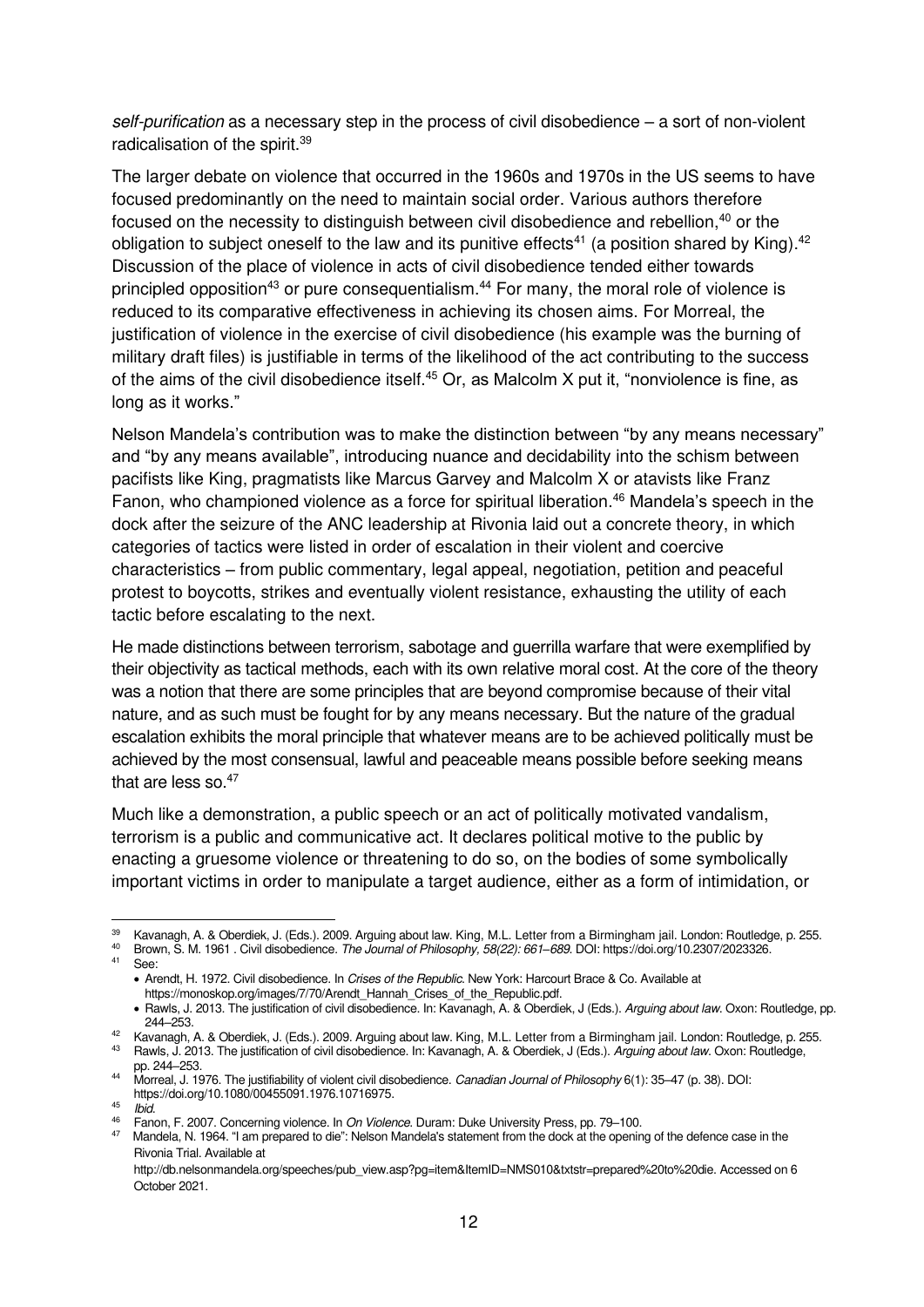self-purification as a necessary step in the process of civil disobedience – a sort of non-violent radicalisation of the spirit.<sup>39</sup>

The larger debate on violence that occurred in the 1960s and 1970s in the US seems to have focused predominantly on the need to maintain social order. Various authors therefore focused on the necessity to distinguish between civil disobedience and rebellion,<sup>40</sup> or the obligation to subject oneself to the law and its punitive effects<sup>41</sup> (a position shared by King).<sup>42</sup> Discussion of the place of violence in acts of civil disobedience tended either towards principled opposition<sup>43</sup> or pure consequentialism.<sup>44</sup> For many, the moral role of violence is reduced to its comparative effectiveness in achieving its chosen aims. For Morreal, the justification of violence in the exercise of civil disobedience (his example was the burning of military draft files) is justifiable in terms of the likelihood of the act contributing to the success of the aims of the civil disobedience itself.<sup>45</sup> Or, as Malcolm X put it, "nonviolence is fine, as long as it works."

Nelson Mandela's contribution was to make the distinction between "by any means necessary" and "by any means available", introducing nuance and decidability into the schism between pacifists like King, pragmatists like Marcus Garvey and Malcolm X or atavists like Franz Fanon, who championed violence as a force for spiritual liberation.<sup>46</sup> Mandela's speech in the dock after the seizure of the ANC leadership at Rivonia laid out a concrete theory, in which categories of tactics were listed in order of escalation in their violent and coercive characteristics – from public commentary, legal appeal, negotiation, petition and peaceful protest to boycotts, strikes and eventually violent resistance, exhausting the utility of each tactic before escalating to the next.

He made distinctions between terrorism, sabotage and guerrilla warfare that were exemplified by their objectivity as tactical methods, each with its own relative moral cost. At the core of the theory was a notion that there are some principles that are beyond compromise because of their vital nature, and as such must be fought for by any means necessary. But the nature of the gradual escalation exhibits the moral principle that whatever means are to be achieved politically must be achieved by the most consensual, lawful and peaceable means possible before seeking means that are less so.<sup>47</sup>

Much like a demonstration, a public speech or an act of politically motivated vandalism, terrorism is a public and communicative act. It declares political motive to the public by enacting a gruesome violence or threatening to do so, on the bodies of some symbolically important victims in order to manipulate a target audience, either as a form of intimidation, or

<sup>39</sup> Kavanagh, A. & Oberdiek, J. (Eds.). 2009. Arguing about law. King, M.L. Letter from a Birmingham jail. London: Routledge, p. 255.

<sup>40</sup> Brown, S. M. 1961 . Civil disobedience. The Journal of Philosophy, 58(22): 661*–*689. DOI[: https://doi.org/10.2307/2023326.](https://doi.org/10.2307/2023326)  <sup>41</sup> See:

<sup>•</sup> Arendt, H. 1972. Civil disobedience. In Crises of the Republic. New York: Harcourt Brace & Co. Available at [https://monoskop.org/images/7/70/Arendt\\_Hannah\\_Crises\\_of\\_the\\_Republic.pdf.](https://monoskop.org/images/7/70/Arendt_Hannah_Crises_of_the_Republic.pdf)

<sup>•</sup> Rawls, J. 2013. The justification of civil disobedience. In: Kavanagh, A. & Oberdiek, J (Eds.). Arguing about law. Oxon: Routledge, pp. 244–253.

<sup>42</sup> Kavanagh, A. & Oberdiek, J. (Eds.). 2009. Arguing about law. King, M.L. Letter from a Birmingham jail. London: Routledge, p. 255.

<sup>43</sup> Rawls, J. 2013. The justification of civil disobedience. In: Kavanagh, A. & Oberdiek, J (Eds.). Arguing about law. Oxon: Routledge, pp. 244–253.

<sup>44</sup> Morreal, J. 1976. The justifiability of violent civil disobedience. Canadian Journal of Philosophy 6(1): 35–47 (p. 38). DOI:

[https://doi.org/10.1080/00455091.1976.10716975.](https://doi.org/10.1080/00455091.1976.10716975) 

<sup>45</sup> Ibid.

<sup>46</sup> [Fanon, F. 2007. Concerning violence. In](https://www.degruyter.com/document/doi/10.1515/9780822390169-011/html) On Violence. Duram: Duke University Press, pp. 79–100.

 $47$  Mandela, N. 1964. "I am prepared to die": Nelson Mandela's statement from the dock at the opening of the defence case in the Rivonia Trial. Available at

[http://db.nelsonmandela.org/speeches/pub\\_view.asp?pg=item&ItemID=NMS010&txtstr=prepared%20to%20die.](http://db.nelsonmandela.org/speeches/pub_view.asp?pg=item&ItemID=NMS010&txtstr=prepared%20to%20die) Accessed on 6 October 2021.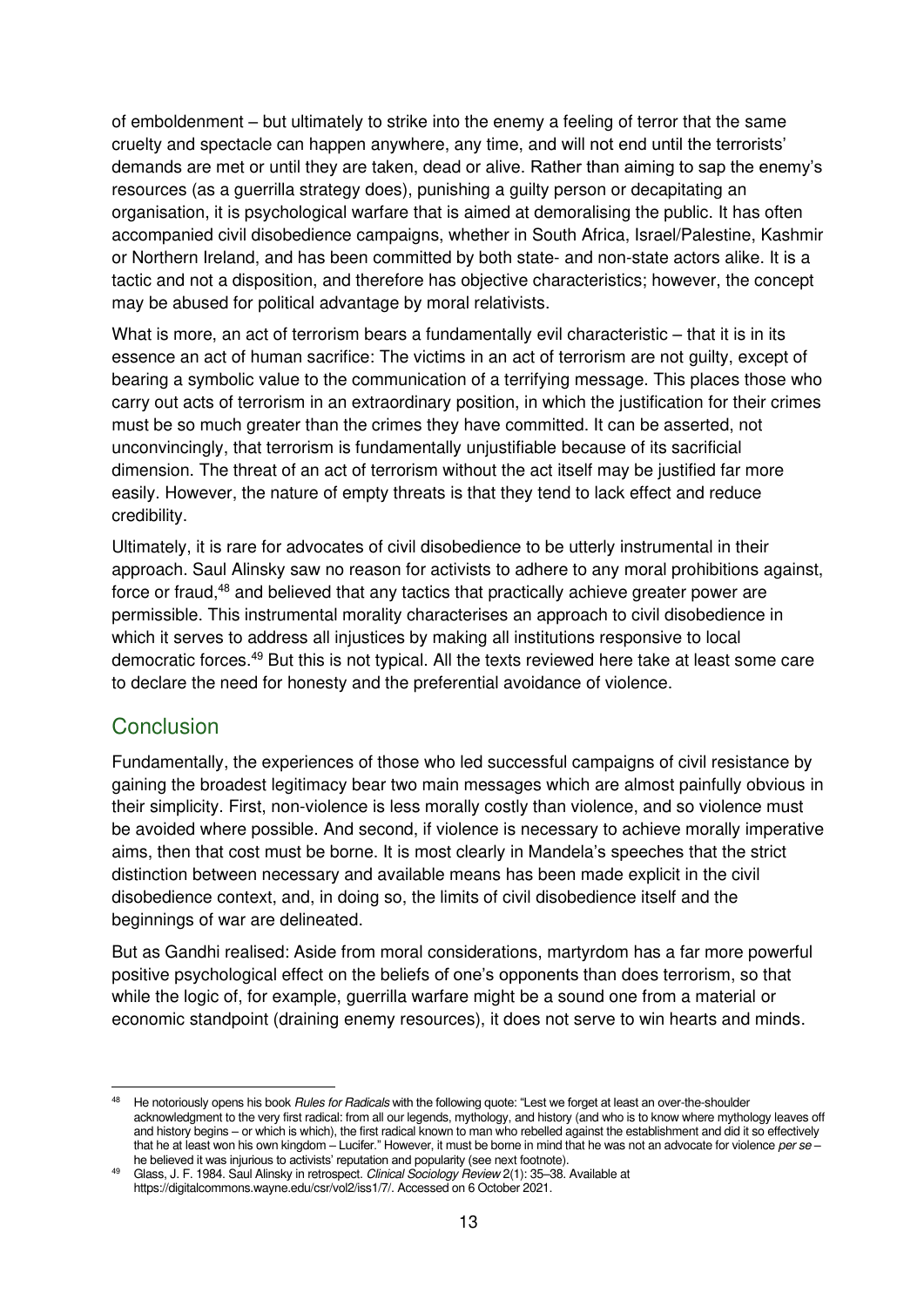of emboldenment – but ultimately to strike into the enemy a feeling of terror that the same cruelty and spectacle can happen anywhere, any time, and will not end until the terrorists' demands are met or until they are taken, dead or alive. Rather than aiming to sap the enemy's resources (as a guerrilla strategy does), punishing a guilty person or decapitating an organisation, it is psychological warfare that is aimed at demoralising the public. It has often accompanied civil disobedience campaigns, whether in South Africa, Israel/Palestine, Kashmir or Northern Ireland, and has been committed by both state- and non-state actors alike. It is a tactic and not a disposition, and therefore has objective characteristics; however, the concept may be abused for political advantage by moral relativists.

What is more, an act of terrorism bears a fundamentally evil characteristic – that it is in its essence an act of human sacrifice: The victims in an act of terrorism are not guilty, except of bearing a symbolic value to the communication of a terrifying message. This places those who carry out acts of terrorism in an extraordinary position, in which the justification for their crimes must be so much greater than the crimes they have committed. It can be asserted, not unconvincingly, that terrorism is fundamentally unjustifiable because of its sacrificial dimension. The threat of an act of terrorism without the act itself may be justified far more easily. However, the nature of empty threats is that they tend to lack effect and reduce credibility.

Ultimately, it is rare for advocates of civil disobedience to be utterly instrumental in their approach. Saul Alinsky saw no reason for activists to adhere to any moral prohibitions against, force or fraud,<sup>48</sup> and believed that any tactics that practically achieve greater power are permissible. This instrumental morality characterises an approach to civil disobedience in which it serves to address all injustices by making all institutions responsive to local democratic forces.<sup>49</sup> But this is not typical. All the texts reviewed here take at least some care to declare the need for honesty and the preferential avoidance of violence.

#### <span id="page-16-0"></span>**Conclusion**

Fundamentally, the experiences of those who led successful campaigns of civil resistance by gaining the broadest legitimacy bear two main messages which are almost painfully obvious in their simplicity. First, non-violence is less morally costly than violence, and so violence must be avoided where possible. And second, if violence is necessary to achieve morally imperative aims, then that cost must be borne. It is most clearly in Mandela's speeches that the strict distinction between necessary and available means has been made explicit in the civil disobedience context, and, in doing so, the limits of civil disobedience itself and the beginnings of war are delineated.

But as Gandhi realised: Aside from moral considerations, martyrdom has a far more powerful positive psychological effect on the beliefs of one's opponents than does terrorism, so that while the logic of, for example, guerrilla warfare might be a sound one from a material or economic standpoint (draining enemy resources), it does not serve to win hearts and minds.

<sup>48</sup> He notoriously opens his book Rules for Radicals with the following quote: "Lest we forget at least an over-the-shoulder acknowledgment to the very first radical: from all our legends, mythology, and history (and who is to know where mythology leaves off and history begins – or which is which), the first radical known to man who rebelled against the establishment and did it so effectively that he at least won his own kingdom – Lucifer." However, it must be borne in mind that he was not an advocate for violence per se *–* he believed it was injurious to activists' reputation and popularity (see next footnote).

<sup>49</sup> Glass, J. F. 1984. Saul Alinsky in retrospect. Clinical Sociology Review 2(1): 35-38. Available at [https://digitalcommons.wayne.edu/csr/vol2/iss1/7/.](https://digitalcommons.wayne.edu/csr/vol2/iss1/7/) Accessed on 6 October 2021.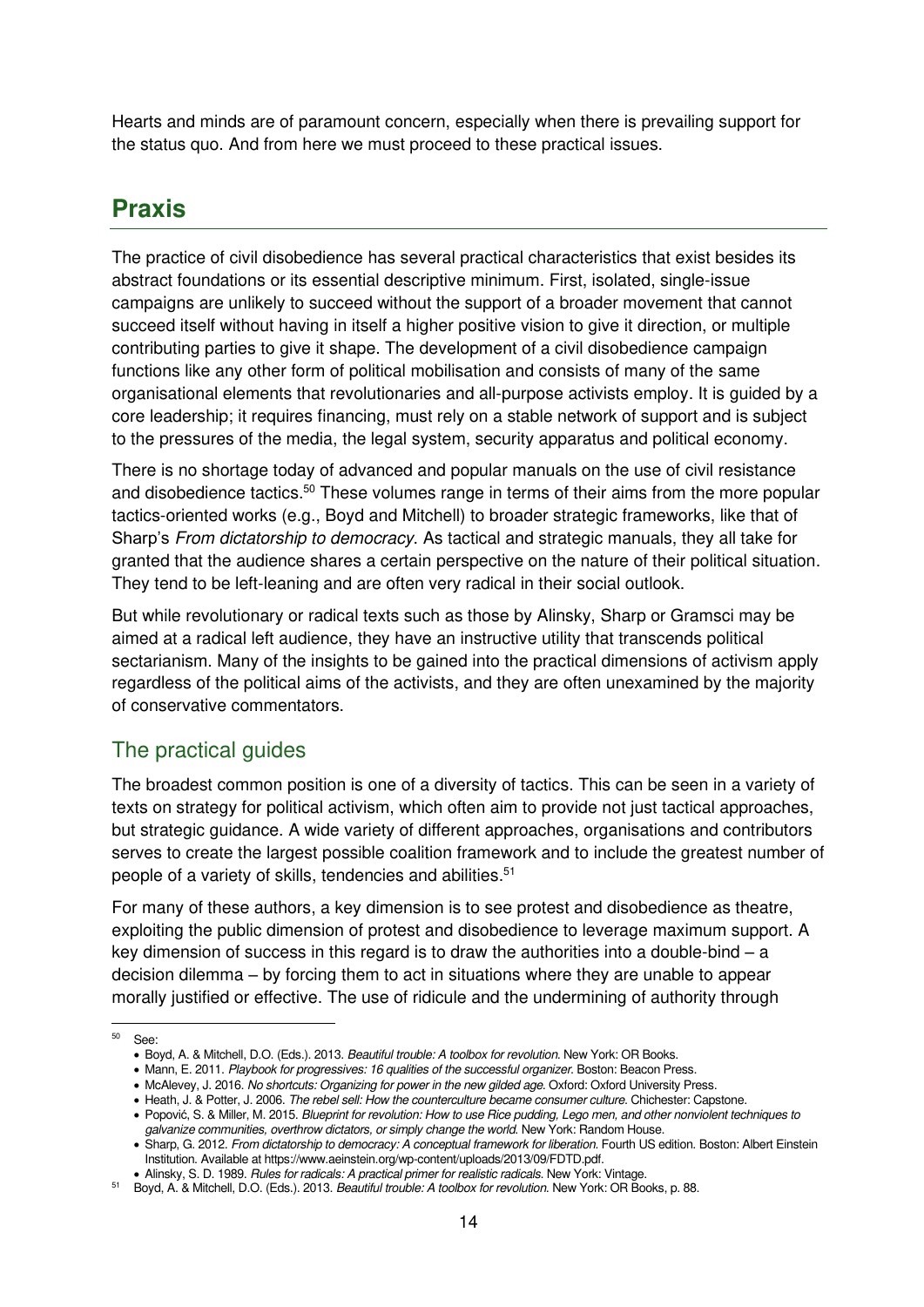Hearts and minds are of paramount concern, especially when there is prevailing support for the status quo. And from here we must proceed to these practical issues.

## <span id="page-17-0"></span>**Praxis**

The practice of civil disobedience has several practical characteristics that exist besides its abstract foundations or its essential descriptive minimum. First, isolated, single-issue campaigns are unlikely to succeed without the support of a broader movement that cannot succeed itself without having in itself a higher positive vision to give it direction, or multiple contributing parties to give it shape. The development of a civil disobedience campaign functions like any other form of political mobilisation and consists of many of the same organisational elements that revolutionaries and all-purpose activists employ. It is guided by a core leadership; it requires financing, must rely on a stable network of support and is subject to the pressures of the media, the legal system, security apparatus and political economy.

There is no shortage today of advanced and popular manuals on the use of civil resistance and disobedience tactics.<sup>50</sup> These volumes range in terms of their aims from the more popular tactics-oriented works (e.g., Boyd and Mitchell) to broader strategic frameworks, like that of Sharp's From dictatorship to democracy. As tactical and strategic manuals, they all take for granted that the audience shares a certain perspective on the nature of their political situation. They tend to be left-leaning and are often very radical in their social outlook.

But while revolutionary or radical texts such as those by Alinsky, Sharp or Gramsci may be aimed at a radical left audience, they have an instructive utility that transcends political sectarianism. Many of the insights to be gained into the practical dimensions of activism apply regardless of the political aims of the activists, and they are often unexamined by the majority of conservative commentators.

## <span id="page-17-1"></span>The practical guides

The broadest common position is one of a diversity of tactics. This can be seen in a variety of texts on strategy for political activism, which often aim to provide not just tactical approaches, but strategic guidance. A wide variety of different approaches, organisations and contributors serves to create the largest possible coalition framework and to include the greatest number of people of a variety of skills, tendencies and abilities.<sup>51</sup>

For many of these authors, a key dimension is to see protest and disobedience as theatre, exploiting the public dimension of protest and disobedience to leverage maximum support. A key dimension of success in this regard is to draw the authorities into a double-bind  $-$  a decision dilemma – by forcing them to act in situations where they are unable to appear morally justified or effective. The use of ridicule and the undermining of authority through

<sup>50</sup> See:

<sup>•</sup> Boyd, A. & Mitchell, D.O. (Eds.). 2013. [Beautiful trouble: A toolbox for revolution](https://books.google.nl/books?hl=en&lr=&id=vi73AgAAQBAJ&oi=fnd&pg=PT5&dq=Boyd,+A,+and+Mitchell,+D.O.+eds.+2013.+Beautiful+Trouble:+A+Toolbox+For+Revolution+(Pocket+Edition).+Or+Books&ots=9epEKkQSjw&sig=3kzMkrJFExKZRAnbkZ9Z1t_NHMM). New York: OR Books.

<sup>•</sup> Mann, E. 2011. Playbook for progressives: 16 qualities of the successful organizer. Boston: Beacon Press.

<sup>•</sup> McAlevey, J. 2016. No shortcuts: Organizing for power in the new gilded age. Oxford: Oxford University Press.

<sup>•</sup> Heath, J. & Potter, J. 2006. [The rebel sell: How the counterculture became consumer culture](https://www.worldcat.org/title/rebel-sell-how-the-counterculture-became-consumer-culture/oclc/70172860). Chichester: Capstone.

<sup>•</sup> Popović, S. & Miller, M. 2015. Blueprint for revolution: How to use Rice pudding, Lego men, and other nonviolent techniques to galvanize communities, overthrow dictators, or simply change the world. New York: Random House.

<sup>•</sup> Sharp, G. 2012. From dictatorship to democracy: A conceptual framework for liberation. Fourth US edition. Boston: Albert Einstein Institution. Available a[t https://www.aeinstein.org/wp-content/uploads/2013/09/FDTD.pdf.](https://www.aeinstein.org/wp-content/uploads/2013/09/FDTD.pdf)

**<sup>•</sup>** Alinsky, S. D. 1989. [Rules for radicals: A practical primer for realistic radicals](http://faithandheritage.com/wp-content/uploads/2016/08/saul-alinsky-rules-for-radicals-1989.pdf). New York: Vintage.

<sup>51</sup> Boyd, A. & Mitchell, D.O. (Eds.). 2013. Beautiful trouble: A toolbox for revolution. New York: OR Books, p. 88.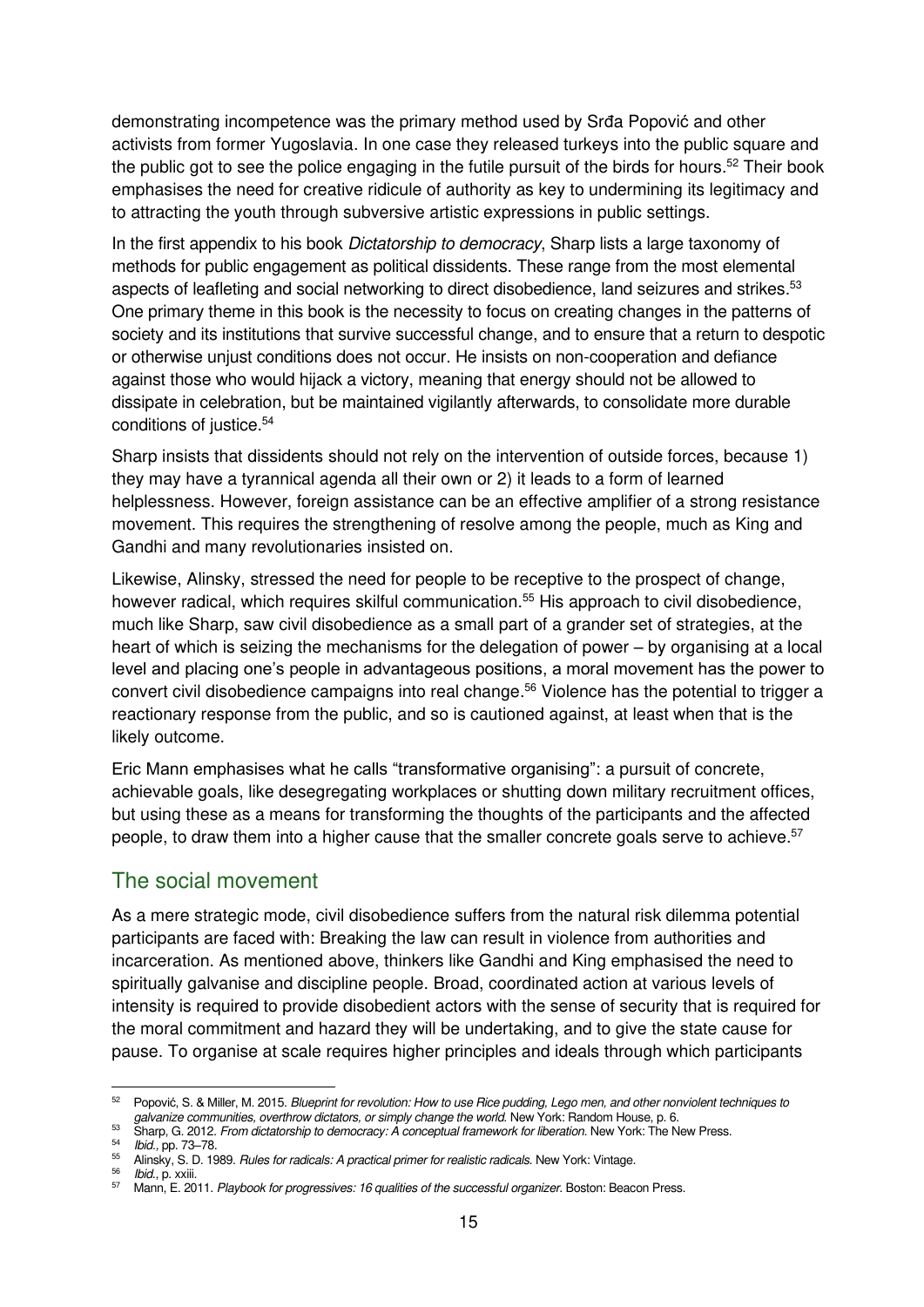demonstrating incompetence was the primary method used by Srđa Popović and other activists from former Yugoslavia. In one case they released turkeys into the public square and the public got to see the police engaging in the futile pursuit of the birds for hours.<sup>52</sup> Their book emphasises the need for creative ridicule of authority as key to undermining its legitimacy and to attracting the youth through subversive artistic expressions in public settings.

In the first appendix to his book *Dictatorship to democracy*, Sharp lists a large taxonomy of methods for public engagement as political dissidents. These range from the most elemental aspects of leafleting and social networking to direct disobedience, land seizures and strikes.<sup>53</sup> One primary theme in this book is the necessity to focus on creating changes in the patterns of society and its institutions that survive successful change, and to ensure that a return to despotic or otherwise unjust conditions does not occur. He insists on non-cooperation and defiance against those who would hijack a victory, meaning that energy should not be allowed to dissipate in celebration, but be maintained vigilantly afterwards, to consolidate more durable conditions of justice.<sup>54</sup>

Sharp insists that dissidents should not rely on the intervention of outside forces, because 1) they may have a tyrannical agenda all their own or 2) it leads to a form of learned helplessness. However, foreign assistance can be an effective amplifier of a strong resistance movement. This requires the strengthening of resolve among the people, much as King and Gandhi and many revolutionaries insisted on.

Likewise, Alinsky, stressed the need for people to be receptive to the prospect of change, however radical, which requires skilful communication.<sup>55</sup> His approach to civil disobedience, much like Sharp, saw civil disobedience as a small part of a grander set of strategies, at the heart of which is seizing the mechanisms for the delegation of power – by organising at a local level and placing one's people in advantageous positions, a moral movement has the power to convert civil disobedience campaigns into real change.<sup>56</sup> Violence has the potential to trigger a reactionary response from the public, and so is cautioned against, at least when that is the likely outcome.

Eric Mann emphasises what he calls "transformative organising": a pursuit of concrete, achievable goals, like desegregating workplaces or shutting down military recruitment offices, but using these as a means for transforming the thoughts of the participants and the affected people, to draw them into a higher cause that the smaller concrete goals serve to achieve.<sup>57</sup>

#### <span id="page-18-0"></span>The social movement

As a mere strategic mode, civil disobedience suffers from the natural risk dilemma potential participants are faced with: Breaking the law can result in violence from authorities and incarceration. As mentioned above, thinkers like Gandhi and King emphasised the need to spiritually galvanise and discipline people. Broad, coordinated action at various levels of intensity is required to provide disobedient actors with the sense of security that is required for the moral commitment and hazard they will be undertaking, and to give the state cause for pause. To organise at scale requires higher principles and ideals through which participants

<sup>56</sup> *Ibid.*, p. xxiii.

<sup>52</sup> Popović, S. & Miller, M. 2015. Blueprint for revolution: How to use Rice pudding, Lego men, and other nonviolent techniques to galvanize communities, overthrow dictators, or simply change the world. New York: Random House, p. 6.

<sup>&</sup>lt;sup>53</sup> Sharp, G. 2012. From dictatorship to democracy: A conceptual framework for liberation. New York: The New Press.

<sup>54</sup> Ibid., pp. 73–78. <sup>55</sup> Alinsky, S. D. 1989. Rules for radicals: A practical primer for realistic radicals. New York: Vintage.

<sup>57</sup> Mann, E. 2011. Playbook for progressives: 16 qualities of the successful organizer. Boston: Beacon Press.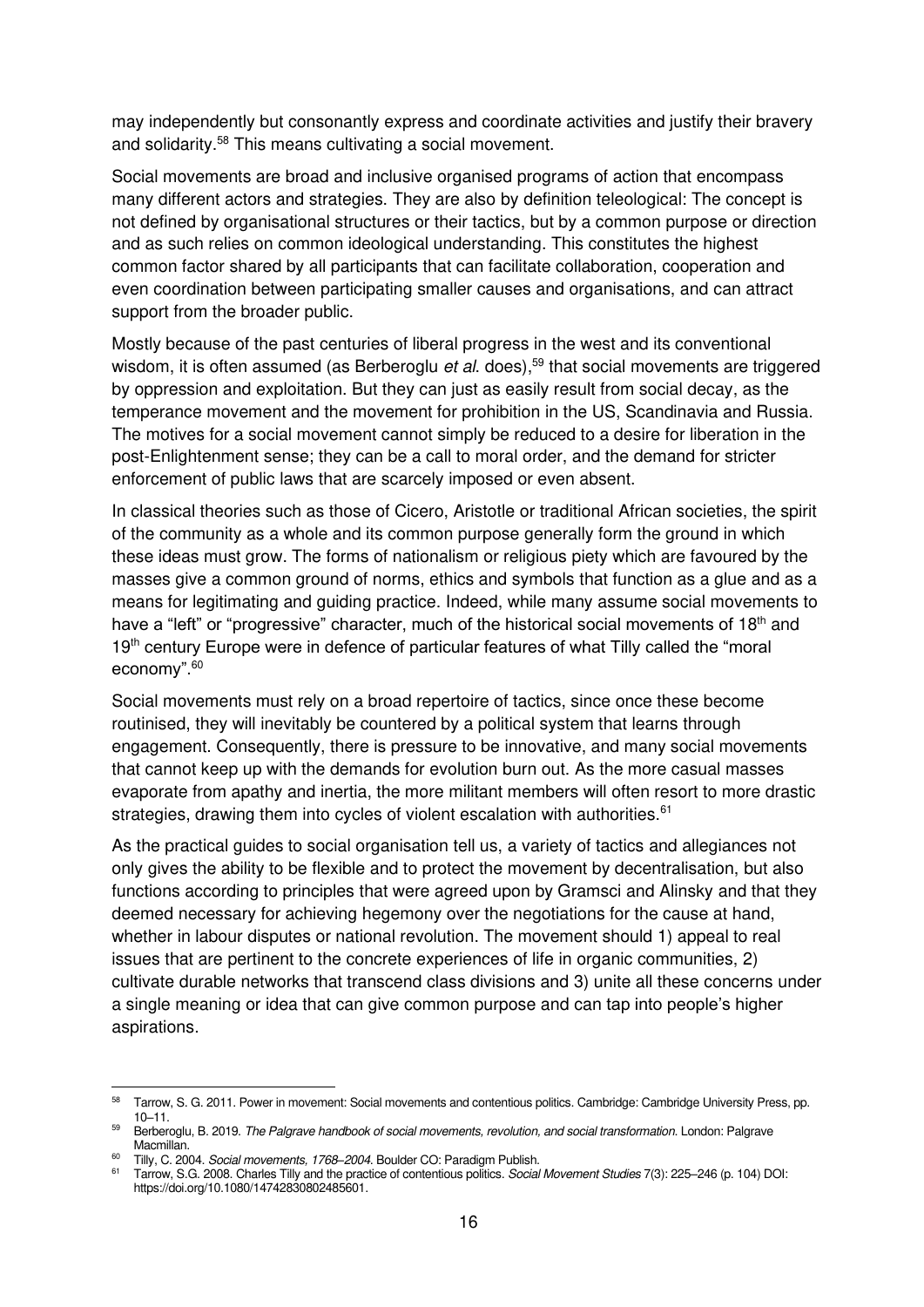may independently but consonantly express and coordinate activities and justify their bravery and solidarity.<sup>58</sup> This means cultivating a social movement.

Social movements are broad and inclusive organised programs of action that encompass many different actors and strategies. They are also by definition teleological: The concept is not defined by organisational structures or their tactics, but by a common purpose or direction and as such relies on common ideological understanding. This constitutes the highest common factor shared by all participants that can facilitate collaboration, cooperation and even coordination between participating smaller causes and organisations, and can attract support from the broader public.

Mostly because of the past centuries of liberal progress in the west and its conventional wisdom, it is often assumed (as Berberoglu et al. does),<sup>59</sup> that social movements are triggered by oppression and exploitation. But they can just as easily result from social decay, as the temperance movement and the movement for prohibition in the US, Scandinavia and Russia. The motives for a social movement cannot simply be reduced to a desire for liberation in the post-Enlightenment sense; they can be a call to moral order, and the demand for stricter enforcement of public laws that are scarcely imposed or even absent.

In classical theories such as those of Cicero, Aristotle or traditional African societies, the spirit of the community as a whole and its common purpose generally form the ground in which these ideas must grow. The forms of nationalism or religious piety which are favoured by the masses give a common ground of norms, ethics and symbols that function as a glue and as a means for legitimating and guiding practice. Indeed, while many assume social movements to have a "left" or "progressive" character, much of the historical social movements of 18<sup>th</sup> and 19<sup>th</sup> century Europe were in defence of particular features of what Tilly called the "moral economy". 60

Social movements must rely on a broad repertoire of tactics, since once these become routinised, they will inevitably be countered by a political system that learns through engagement. Consequently, there is pressure to be innovative, and many social movements that cannot keep up with the demands for evolution burn out. As the more casual masses evaporate from apathy and inertia, the more militant members will often resort to more drastic strategies, drawing them into cycles of violent escalation with authorities. $61$ 

As the practical guides to social organisation tell us, a variety of tactics and allegiances not only gives the ability to be flexible and to protect the movement by decentralisation, but also functions according to principles that were agreed upon by Gramsci and Alinsky and that they deemed necessary for achieving hegemony over the negotiations for the cause at hand, whether in labour disputes or national revolution. The movement should 1) appeal to real issues that are pertinent to the concrete experiences of life in organic communities, 2) cultivate durable networks that transcend class divisions and 3) unite all these concerns under a single meaning or idea that can give common purpose and can tap into people's higher aspirations.

<sup>58</sup> Tarrow, S. G. 2011. Power in movement: Social movements and contentious politics. Cambridge: Cambridge University Press, pp. 10–11.

Berberoglu, B. 2019. The Palgrave handbook of social movements, revolution, and social transformation. London: Palgrave Macmillan.

<sup>60</sup> Tilly, C. 2004. Social movements, 1768*–*2004. Boulder CO: Paradigm Publish.

<sup>61</sup> Tarrow, S.G. 2008. Charles Tilly and the practice of contentious politics. Social Movement Studies 7(3): 225–246 (p. 104) DOI: [https://doi.org/10.1080/14742830802485601.](https://doi.org/10.1080/14742830802485601)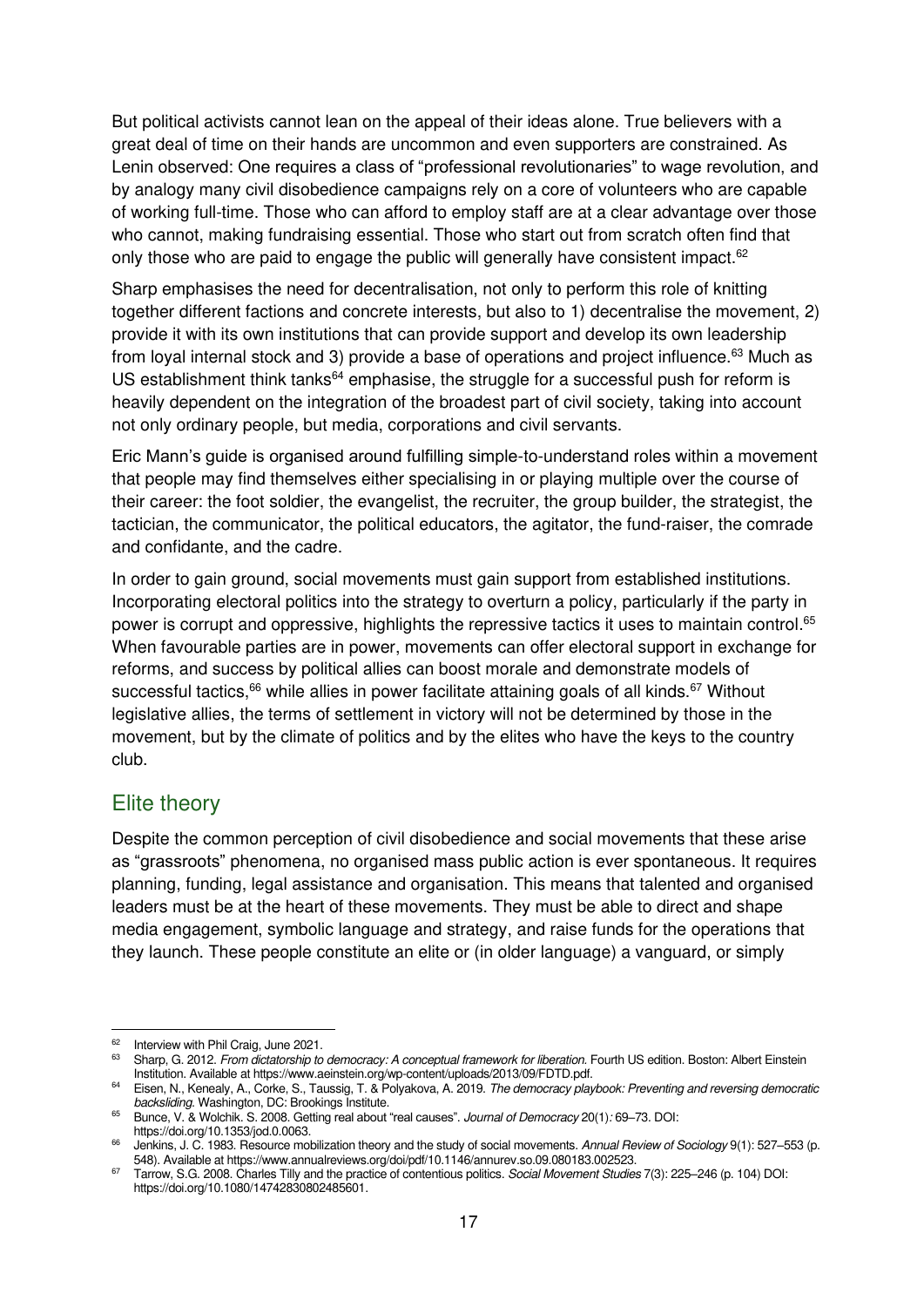But political activists cannot lean on the appeal of their ideas alone. True believers with a great deal of time on their hands are uncommon and even supporters are constrained. As Lenin observed: One requires a class of "professional revolutionaries" to wage revolution, and by analogy many civil disobedience campaigns rely on a core of volunteers who are capable of working full-time. Those who can afford to employ staff are at a clear advantage over those who cannot, making fundraising essential. Those who start out from scratch often find that only those who are paid to engage the public will generally have consistent impact. $62$ 

Sharp emphasises the need for decentralisation, not only to perform this role of knitting together different factions and concrete interests, but also to 1) decentralise the movement, 2) provide it with its own institutions that can provide support and develop its own leadership from loyal internal stock and 3) provide a base of operations and project influence.<sup>63</sup> Much as US establishment think tanks<sup>64</sup> emphasise, the struggle for a successful push for reform is heavily dependent on the integration of the broadest part of civil society, taking into account not only ordinary people, but media, corporations and civil servants.

Eric Mann's guide is organised around fulfilling simple-to-understand roles within a movement that people may find themselves either specialising in or playing multiple over the course of their career: the foot soldier, the evangelist, the recruiter, the group builder, the strategist, the tactician, the communicator, the political educators, the agitator, the fund-raiser, the comrade and confidante, and the cadre.

In order to gain ground, social movements must gain support from established institutions. Incorporating electoral politics into the strategy to overturn a policy, particularly if the party in power is corrupt and oppressive, highlights the repressive tactics it uses to maintain control.<sup>65</sup> When favourable parties are in power, movements can offer electoral support in exchange for reforms, and success by political allies can boost morale and demonstrate models of successful tactics, $66$  while allies in power facilitate attaining goals of all kinds. $67$  Without legislative allies, the terms of settlement in victory will not be determined by those in the movement, but by the climate of politics and by the elites who have the keys to the country club.

#### <span id="page-20-0"></span>Elite theory

Despite the common perception of civil disobedience and social movements that these arise as "grassroots" phenomena, no organised mass public action is ever spontaneous. It requires planning, funding, legal assistance and organisation. This means that talented and organised leaders must be at the heart of these movements. They must be able to direct and shape media engagement, symbolic language and strategy, and raise funds for the operations that they launch. These people constitute an elite or (in older language) a vanguard, or simply

<sup>&</sup>lt;sup>62</sup> Interview with Phil Craig, June 2021.

<sup>&</sup>lt;sup>63</sup> Sharp, G. 2012. *From dictatorship to democracy: A conceptual framework for liberation*. Fourth US edition. Boston: Albert Einstein Institution. Available a[t https://www.aeinstein.org/wp-content/uploads/2013/09/FDTD.pdf.](https://www.aeinstein.org/wp-content/uploads/2013/09/FDTD.pdf)

<sup>&</sup>lt;sup>64</sup> Eisen, N., Kenealy, A., Corke, S., Taussig, T. & Polyakova, A. 2019. The democracy playbook: Preventing and reversing democratic backsliding. Washington, DC: Brookings Institute.

<sup>65</sup> [Bunce, V. & Wolchik. S. 2008. Getting](https://www.researchgate.net/publication/236821280_Getting_Real_About_Real_Causes) real about "real causes". Journal of Democracy 20(1): 69–73. DOI: [https://doi.org/10.1353/jod.0.0063.](https://doi.org/10.1353/jod.0.0063) 

Jenkins, J. C. 1983. Resource mobilization theory and the study of social movements. Annual Review of Sociology 9(1): 527-553 (p. 548). Available a[t https://www.annualreviews.org/doi/pdf/10.1146/annurev.so.09.080183.002523.](https://www.annualreviews.org/doi/pdf/10.1146/annurev.so.09.080183.002523) 

<sup>67</sup> Tarrow, S.G. 2008. Charles Tilly and the practice of contentious politics. Social Movement Studies 7(3): 225-246 (p. 104) DOI: [https://doi.org/10.1080/14742830802485601.](https://doi.org/10.1080/14742830802485601)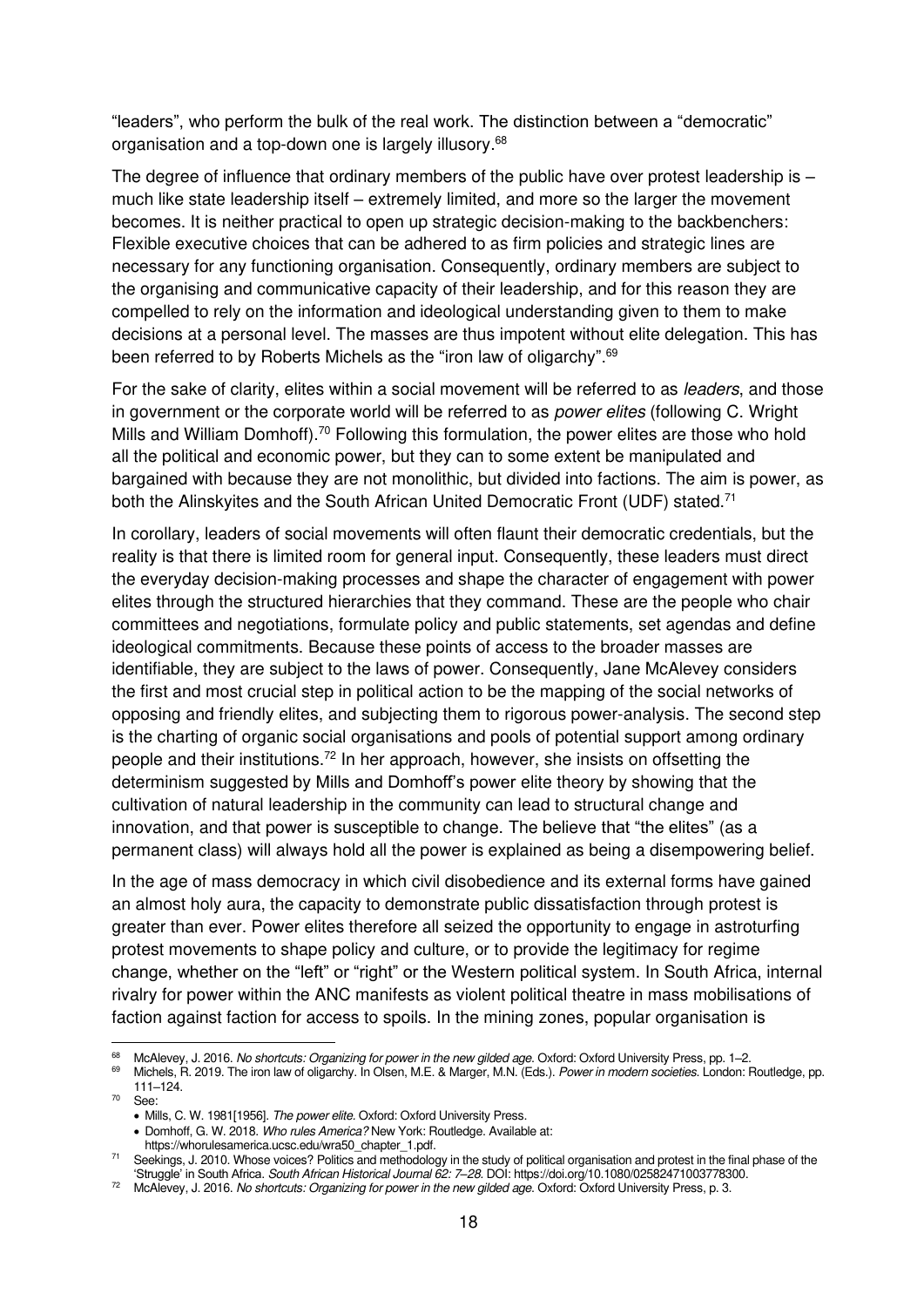"leaders", who perform the bulk of the real work. The distinction between a "democratic" organisation and a top-down one is largely illusory.<sup>68</sup>

The degree of influence that ordinary members of the public have over protest leadership is – much like state leadership itself – extremely limited, and more so the larger the movement becomes. It is neither practical to open up strategic decision-making to the backbenchers: Flexible executive choices that can be adhered to as firm policies and strategic lines are necessary for any functioning organisation. Consequently, ordinary members are subject to the organising and communicative capacity of their leadership, and for this reason they are compelled to rely on the information and ideological understanding given to them to make decisions at a personal level. The masses are thus impotent without elite delegation. This has been referred to by Roberts Michels as the "iron law of oligarchy".<sup>69</sup>

For the sake of clarity, elites within a social movement will be referred to as *leaders*, and those in government or the corporate world will be referred to as *power elites* (following C. Wright Mills and William Domhoff).<sup>70</sup> Following this formulation, the power elites are those who hold all the political and economic power, but they can to some extent be manipulated and bargained with because they are not monolithic, but divided into factions. The aim is power, as both the Alinskyites and the South African United Democratic Front (UDF) stated.<sup>71</sup>

In corollary, leaders of social movements will often flaunt their democratic credentials, but the reality is that there is limited room for general input. Consequently, these leaders must direct the everyday decision-making processes and shape the character of engagement with power elites through the structured hierarchies that they command. These are the people who chair committees and negotiations, formulate policy and public statements, set agendas and define ideological commitments. Because these points of access to the broader masses are identifiable, they are subject to the laws of power. Consequently, Jane McAlevey considers the first and most crucial step in political action to be the mapping of the social networks of opposing and friendly elites, and subjecting them to rigorous power-analysis. The second step is the charting of organic social organisations and pools of potential support among ordinary people and their institutions.<sup>72</sup> In her approach, however, she insists on offsetting the determinism suggested by Mills and Domhoff's power elite theory by showing that the cultivation of natural leadership in the community can lead to structural change and innovation, and that power is susceptible to change. The believe that "the elites" (as a permanent class) will always hold all the power is explained as being a disempowering belief.

In the age of mass democracy in which civil disobedience and its external forms have gained an almost holy aura, the capacity to demonstrate public dissatisfaction through protest is greater than ever. Power elites therefore all seized the opportunity to engage in astroturfing protest movements to shape policy and culture, or to provide the legitimacy for regime change, whether on the "left" or "right" or the Western political system. In South Africa, internal rivalry for power within the ANC manifests as violent political theatre in mass mobilisations of faction against faction for access to spoils. In the mining zones, popular organisation is

• Domhoff, G. W. 2018. Who rules America? New York: Routledge. Available at:

[https://whorulesamerica.ucsc.edu/wra50\\_chapter\\_1.pdf.](https://whorulesamerica.ucsc.edu/wra50_chapter_1.pdf)

<sup>&</sup>lt;sup>68</sup> McAlevey, J. 2016. No shortcuts: Organizing for power in the new gilded age. Oxford: Oxford University Press, pp. 1–2.<br><sup>69</sup> Michaela B. 2010. The irra law of clientable in Clare, M.E. 8 Marray M.N. (Eds.). Rawns in m

Michels, R. 2019. The iron law of oligarchy. In Olsen, M.E. & Marger, M.N. (Eds.). Power in modern societies. London: Routledge, pp. 111–124.

<sup>70</sup> See:

<sup>•</sup> Mills, C. W. 1981[1956]. The power elite. Oxford: Oxford University Press.

<sup>71</sup> Seekings, J. 2010. Whose voices? Politics and methodology in the study of political organisation and protest in the final phase of the 'Struggle' in South Africa. South African Historical Journal 62: 7*–*28. DOI[: https://doi.org/10.1080/02582471003778300.](https://doi.org/10.1080/02582471003778300) 

<sup>&</sup>lt;sup>72</sup> McAlevey, J. 2016. [No shortcuts: Organizing for power in the new gilded age](https://books.google.nl/books?hl=en&lr=&id=CNfeDAAAQBAJ&oi=fnd&pg=PP1&dq=McAlevey,+J.+2016.+No+shortcuts:+Organizing+for+power+in+the+new+gilded+age.+Oxford+University+Press&ots=LG3emirgto&sig=4reZMuVQLmZu6rKiayut4fsYvOM). Oxford: Oxford University Press, p. 3.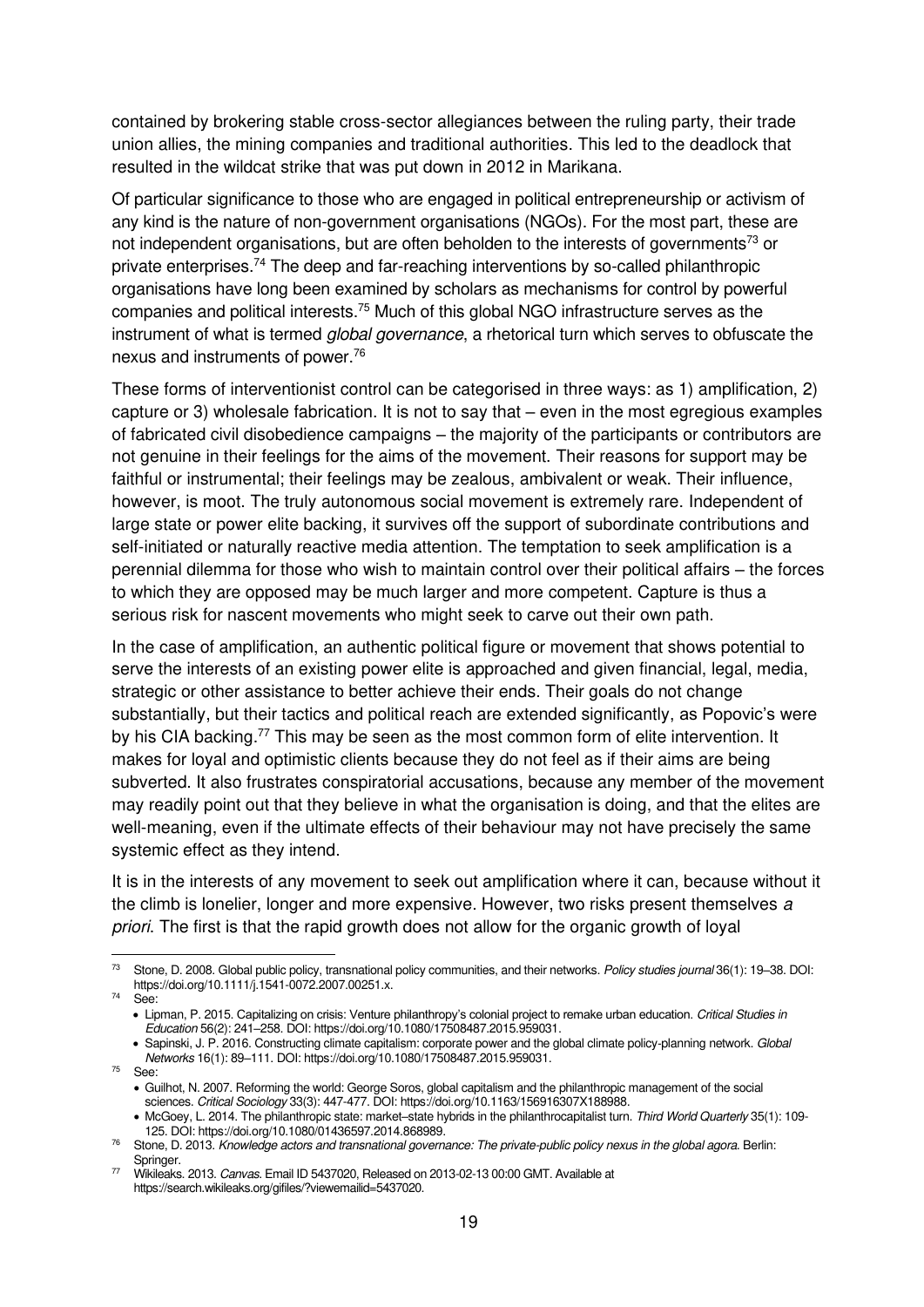contained by brokering stable cross-sector allegiances between the ruling party, their trade union allies, the mining companies and traditional authorities. This led to the deadlock that resulted in the wildcat strike that was put down in 2012 in Marikana.

Of particular significance to those who are engaged in political entrepreneurship or activism of any kind is the nature of non-government organisations (NGOs). For the most part, these are not independent organisations, but are often beholden to the interests of governments<sup>73</sup> or private enterprises.<sup>74</sup> The deep and far-reaching interventions by so-called philanthropic organisations have long been examined by scholars as mechanisms for control by powerful companies and political interests.<sup>75</sup> Much of this global NGO infrastructure serves as the instrument of what is termed *global governance*, a rhetorical turn which serves to obfuscate the nexus and instruments of power.<sup>76</sup>

These forms of interventionist control can be categorised in three ways: as 1) amplification, 2) capture or 3) wholesale fabrication. It is not to say that – even in the most egregious examples of fabricated civil disobedience campaigns – the majority of the participants or contributors are not genuine in their feelings for the aims of the movement. Their reasons for support may be faithful or instrumental; their feelings may be zealous, ambivalent or weak. Their influence, however, is moot. The truly autonomous social movement is extremely rare. Independent of large state or power elite backing, it survives off the support of subordinate contributions and self-initiated or naturally reactive media attention. The temptation to seek amplification is a perennial dilemma for those who wish to maintain control over their political affairs – the forces to which they are opposed may be much larger and more competent. Capture is thus a serious risk for nascent movements who might seek to carve out their own path.

In the case of amplification, an authentic political figure or movement that shows potential to serve the interests of an existing power elite is approached and given financial, legal, media, strategic or other assistance to better achieve their ends. Their goals do not change substantially, but their tactics and political reach are extended significantly, as Popovic's were by his CIA backing.<sup>77</sup> This may be seen as the most common form of elite intervention. It makes for loyal and optimistic clients because they do not feel as if their aims are being subverted. It also frustrates conspiratorial accusations, because any member of the movement may readily point out that they believe in what the organisation is doing, and that the elites are well-meaning, even if the ultimate effects of their behaviour may not have precisely the same systemic effect as they intend.

It is in the interests of any movement to seek out amplification where it can, because without it the climb is lonelier, longer and more expensive. However, two risks present themselves a priori. The first is that the rapid growth does not allow for the organic growth of loyal

<sup>75</sup> See:

<sup>&</sup>lt;sup>73</sup> Stone, D. 2008. Global public policy, transnational policy communities, and their networks. Policy studies journal 36(1): 19–38. DOI: [https://doi.org/10.1111/j.1541-0072.2007.00251.x.](https://doi.org/10.1111/j.1541-0072.2007.00251.x) 

<sup>74</sup> See:

<sup>•</sup> Lipman, P. 2015. Capitalizing on crisis: Venture philanthropy's colonial project to remake urban education. Critical Studies in Education 56(2): 241–258. DOI[: https://doi.org/10.1080/17508487.2015.959031.](https://doi.org/10.1080/17508487.2015.959031) 

<sup>•</sup> Sapinski, J. P. 2016. Constructing climate capitalism: corporate power and the global climate policy-planning network. Global Networks 16(1): 89–111. DOI[: https://doi.org/10.1080/17508487.2015.959031.](https://doi.org/10.1080/17508487.2015.959031) 

<sup>•</sup> Guilhot, N. 2007. Reforming the world: George Soros, global capitalism and the philanthropic management of the social sciences. Critical Sociology 33(3): 447-477. DOI[: https://doi.org/10.1163/156916307X188988.](https://doi.org/10.1163/156916307X188988)

<sup>•</sup> McGoey, L. 2014. The philanthropic state: market–state hybrids in the philanthrocapitalist turn. Third World Quarterly 35(1): 109-125. DOI: [https://doi.org/10.1080/01436597.2014.868989.](https://doi.org/10.1080/01436597.2014.868989) 

 $76$  Stone, D. 2013. Knowledge actors and transnational governance: The private-public policy nexus in the global agora. Berlin: Springer.

<sup>&</sup>lt;sup>77</sup> Wikileaks. 2013. Canvas. Email ID 5437020, Released on 2013-02-13 00:00 GMT. Available at [https://search.wikileaks.org/gifiles/?viewemailid=5437020.](https://search.wikileaks.org/gifiles/?viewemailid=5437020)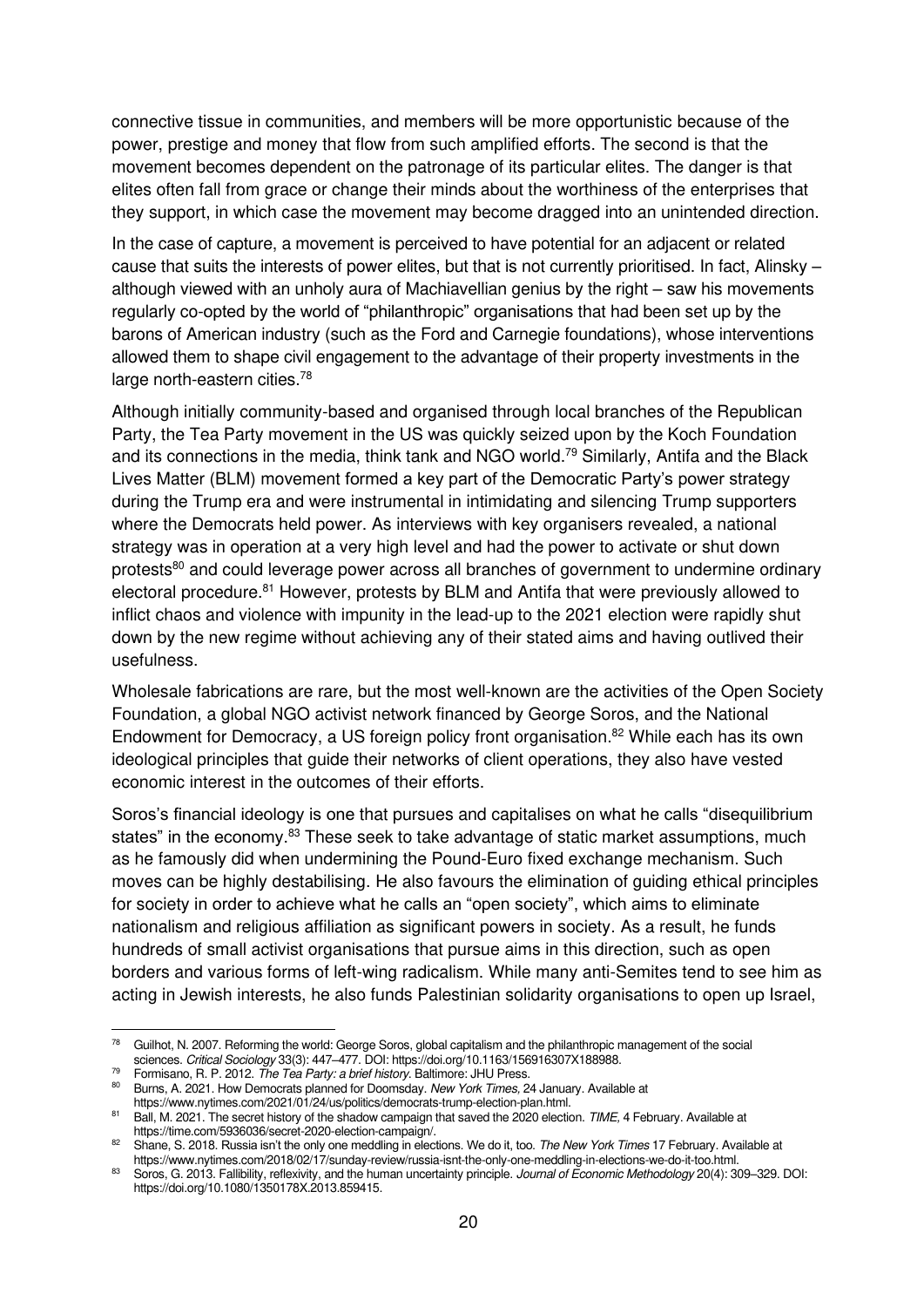connective tissue in communities, and members will be more opportunistic because of the power, prestige and money that flow from such amplified efforts. The second is that the movement becomes dependent on the patronage of its particular elites. The danger is that elites often fall from grace or change their minds about the worthiness of the enterprises that they support, in which case the movement may become dragged into an unintended direction.

In the case of capture, a movement is perceived to have potential for an adjacent or related cause that suits the interests of power elites, but that is not currently prioritised. In fact, Alinsky – although viewed with an unholy aura of Machiavellian genius by the right – saw his movements regularly co-opted by the world of "philanthropic" organisations that had been set up by the barons of American industry (such as the Ford and Carnegie foundations), whose interventions allowed them to shape civil engagement to the advantage of their property investments in the large north-eastern cities.<sup>78</sup>

Although initially community-based and organised through local branches of the Republican Party, the Tea Party movement in the US was quickly seized upon by the Koch Foundation and its connections in the media, think tank and NGO world.<sup>79</sup> Similarly, Antifa and the Black Lives Matter (BLM) movement formed a key part of the Democratic Party's power strategy during the Trump era and were instrumental in intimidating and silencing Trump supporters where the Democrats held power. As interviews with key organisers revealed, a national strategy was in operation at a very high level and had the power to activate or shut down protests<sup>80</sup> and could leverage power across all branches of government to undermine ordinary electoral procedure.<sup>81</sup> However, protests by BLM and Antifa that were previously allowed to inflict chaos and violence with impunity in the lead-up to the 2021 election were rapidly shut down by the new regime without achieving any of their stated aims and having outlived their usefulness.

Wholesale fabrications are rare, but the most well-known are the activities of the Open Society Foundation, a global NGO activist network financed by George Soros, and the National Endowment for Democracy, a US foreign policy front organisation.<sup>82</sup> While each has its own ideological principles that guide their networks of client operations, they also have vested economic interest in the outcomes of their efforts.

Soros's financial ideology is one that pursues and capitalises on what he calls "disequilibrium states" in the economy.<sup>83</sup> These seek to take advantage of static market assumptions, much as he famously did when undermining the Pound-Euro fixed exchange mechanism. Such moves can be highly destabilising. He also favours the elimination of guiding ethical principles for society in order to achieve what he calls an "open society", which aims to eliminate nationalism and religious affiliation as significant powers in society. As a result, he funds hundreds of small activist organisations that pursue aims in this direction, such as open borders and various forms of left-wing radicalism. While many anti-Semites tend to see him as acting in Jewish interests, he also funds Palestinian solidarity organisations to open up Israel,

<sup>&</sup>lt;sup>78</sup> Guilhot, N. 2007. Reforming the world: George Soros, global capitalism and the philanthropic management of the social sciences. Critical Sociology 33(3): 447–477. DOI[: https://doi.org/10.1163/156916307X188988.](https://doi.org/10.1163/156916307X188988) 

<sup>79</sup> Formisano, R. P. 2012. [The Tea Party: a brief history](https://books.google.com/books?id=PRbJCFJ2L68C&printsec=frontcover&dq=Formisano,+The+Tea+Party:+a+brief+history.&hl=en&sa=X&ved=2ahUKEwifj86MiLjyAhWNa8AKHbyCBQ4Q6AEwAHoECAIQAg). Baltimore: JHU Press.

[Burns, A. 2021. How Democrats planned for Doomsday.](https://www.nytimes.com/2021/01/24/us/politics/democrats-trump-election-plan.html) New York Times, 24 January. Available at [https://www.nytimes.com/2021/01/24/us/politics/democrats-trump-election-plan.html.](https://www.nytimes.com/2021/01/24/us/politics/democrats-trump-election-plan.html)

<sup>81</sup> [Ball, M. 2021. The secret history of the shadow campaign that saved the 2020 election.](https://time.com/5936036/secret-2020-election-campaign/) TIME, 4 February. Available at https://time.com/5936036/secret-2020-election-campaign/.

<sup>82</sup> Shane, S. 2018. [Russia isn't the only one meddling in elections. We do it, too.](https://www.nytimes.com/2018/02/17/sunday-review/russia-isnt-the-only-one-meddling-in-elections-we-do-it-too.html) The New York Times 17 February. Available at [https://www.nytimes.com/2018/02/17/sunday-review/russia-isnt-the-only-one-meddling-in-elections-we-do-it-too.html.](https://www.nytimes.com/2018/02/17/sunday-review/russia-isnt-the-only-one-meddling-in-elections-we-do-it-too.html) 

<sup>83</sup> Soros, G. 2013. Fallibility, reflexivity, and the human uncertainty principle. Journal of Economic Methodology 20(4): 309-329. DOI: [https://doi.org/10.1080/1350178X.2013.859415.](https://doi.org/10.1080/1350178X.2013.859415)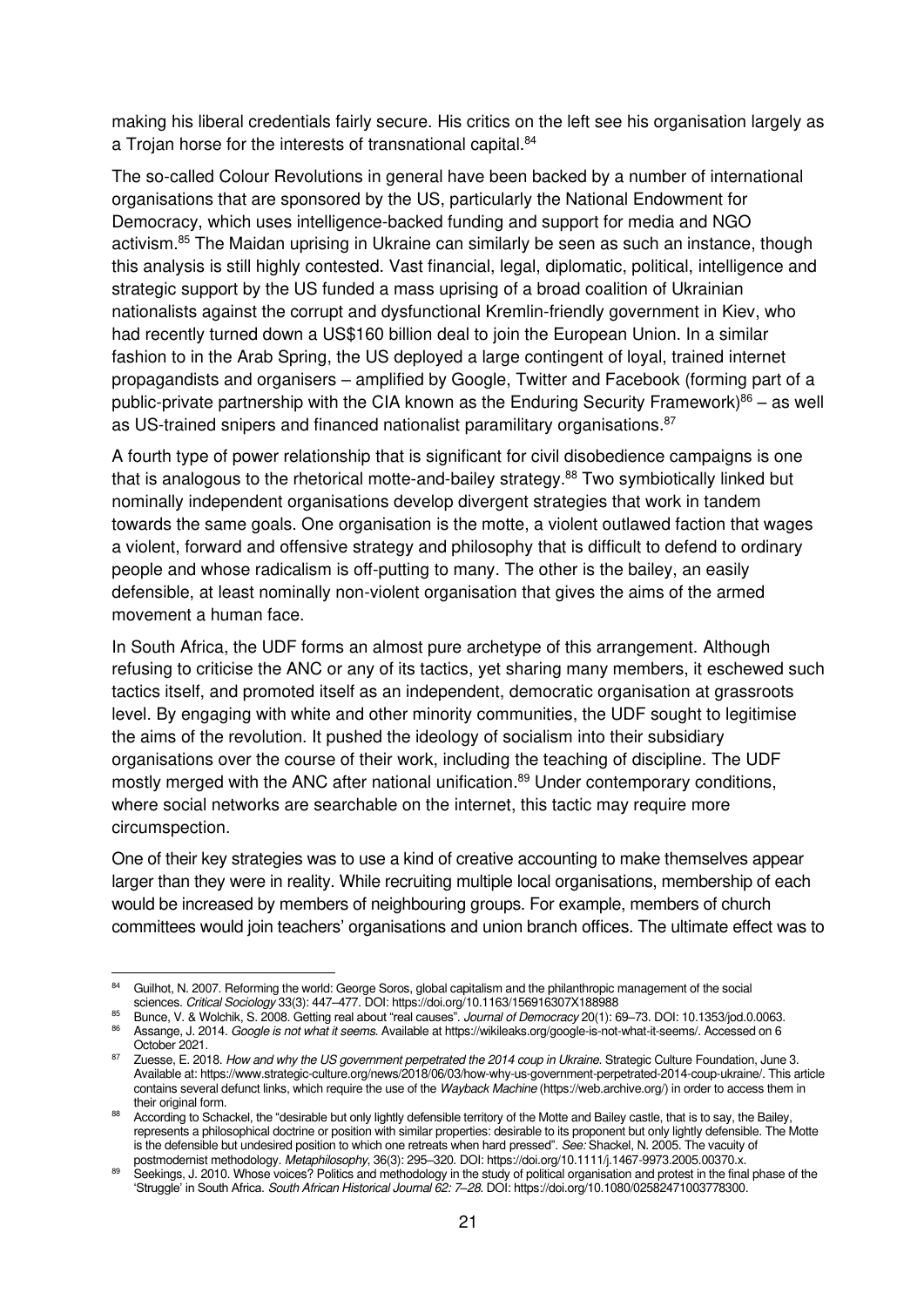making his liberal credentials fairly secure. His critics on the left see his organisation largely as a Trojan horse for the interests of transnational capital.<sup>84</sup>

The so-called Colour Revolutions in general have been backed by a number of international organisations that are sponsored by the US, particularly the National Endowment for Democracy, which uses intelligence-backed funding and support for media and NGO activism.<sup>85</sup> The Maidan uprising in Ukraine can similarly be seen as such an instance, though this analysis is still highly contested. Vast financial, legal, diplomatic, political, intelligence and strategic support by the US funded a mass uprising of a broad coalition of Ukrainian nationalists against the corrupt and dysfunctional Kremlin-friendly government in Kiev, who had recently turned down a US\$160 billion deal to join the European Union. In a similar fashion to in the Arab Spring, the US deployed a large contingent of loyal, trained internet propagandists and organisers – amplified by Google, Twitter and Facebook (forming part of a public-private partnership with the CIA known as the Enduring Security Framework) $86 -$  as well as US-trained snipers and financed nationalist paramilitary organisations.<sup>87</sup>

A fourth type of power relationship that is significant for civil disobedience campaigns is one that is analogous to the rhetorical motte-and-bailey strategy.<sup>88</sup> Two symbiotically linked but nominally independent organisations develop divergent strategies that work in tandem towards the same goals. One organisation is the motte, a violent outlawed faction that wages a violent, forward and offensive strategy and philosophy that is difficult to defend to ordinary people and whose radicalism is off-putting to many. The other is the bailey, an easily defensible, at least nominally non-violent organisation that gives the aims of the armed movement a human face.

In South Africa, the UDF forms an almost pure archetype of this arrangement. Although refusing to criticise the ANC or any of its tactics, yet sharing many members, it eschewed such tactics itself, and promoted itself as an independent, democratic organisation at grassroots level. By engaging with white and other minority communities, the UDF sought to legitimise the aims of the revolution. It pushed the ideology of socialism into their subsidiary organisations over the course of their work, including the teaching of discipline. The UDF mostly merged with the ANC after national unification.<sup>89</sup> Under contemporary conditions, where social networks are searchable on the internet, this tactic may require more circumspection.

One of their key strategies was to use a kind of creative accounting to make themselves appear larger than they were in reality. While recruiting multiple local organisations, membership of each would be increased by members of neighbouring groups. For example, members of church committees would join teachers' organisations and union branch offices. The ultimate effect was to

<sup>84</sup> Guilhot, N. 2007. Reforming the world: George Soros, global capitalism and the philanthropic management of the social sciences. Critical Sociology 33(3): 447–477. DOI[: https://doi.org/10.1163/156916307X188988](https://doi.org/10.1163/156916307X188988) 

<sup>85</sup> Bunce, V. & Wolchik, S. 2008. Getting real about "real causes". Journal of Democracy 20(1): 69–73. DOI: 10.1353/jod.0.0063. 86 Assange, J. 2014. Google is not what it seems. Available at [https://wikileaks.org/google-is-not-what-it-seems/.](https://wikileaks.org/google-is-not-what-it-seems/) Accessed on 6

October 2021. <sup>87</sup> Zuesse, E. 2018. [How and why the US government perpetrated the 2014 coup in Ukraine](https://www.strategic-culture.org/news/2018/06/03/how-why-us-government-perpetrated-2014-coup-ukraine/). Strategic Culture Foundation, June 3.

Available at[: https://www.strategic-culture.org/news/2018/06/03/how-why-us-government-perpetrated-2014-coup-ukraine/.](https://www.strategic-culture.org/news/2018/06/03/how-why-us-government-perpetrated-2014-coup-ukraine/) This article contains several defunct links, which require the use of the Wayback Machine [\(https://web.archive.org/\)](https://web.archive.org/) in order to access them in their original form.

<sup>&</sup>lt;sup>88</sup> According to Schackel, the "desirable but only lightly defensible territory of the Motte and Bailey castle, that is to say, the Bailey, represents a philosophical doctrine or position with similar properties: desirable to its proponent but only lightly defensible. The Motte is the defensible but undesired position to which one retreats when hard pressed". See: Shackel, N. 2005. The vacuity of postmodernist methodology. Metaphilosophy, 36(3): 295–320. DOI[: https://doi.org/10.1111/j.1467-9973.2005.00370.x.](https://doi.org/10.1111/j.1467-9973.2005.00370.x)

<sup>89</sup> Seekings, J. 2010. Whose voices? Politics and methodology in the study of political organisation and protest in the final phase of the 'Struggle' in South Africa. South African Historical Journal 62: 7*–*28. DOI[: https://doi.org/10.1080/02582471003778300.](https://doi.org/10.1080/02582471003778300)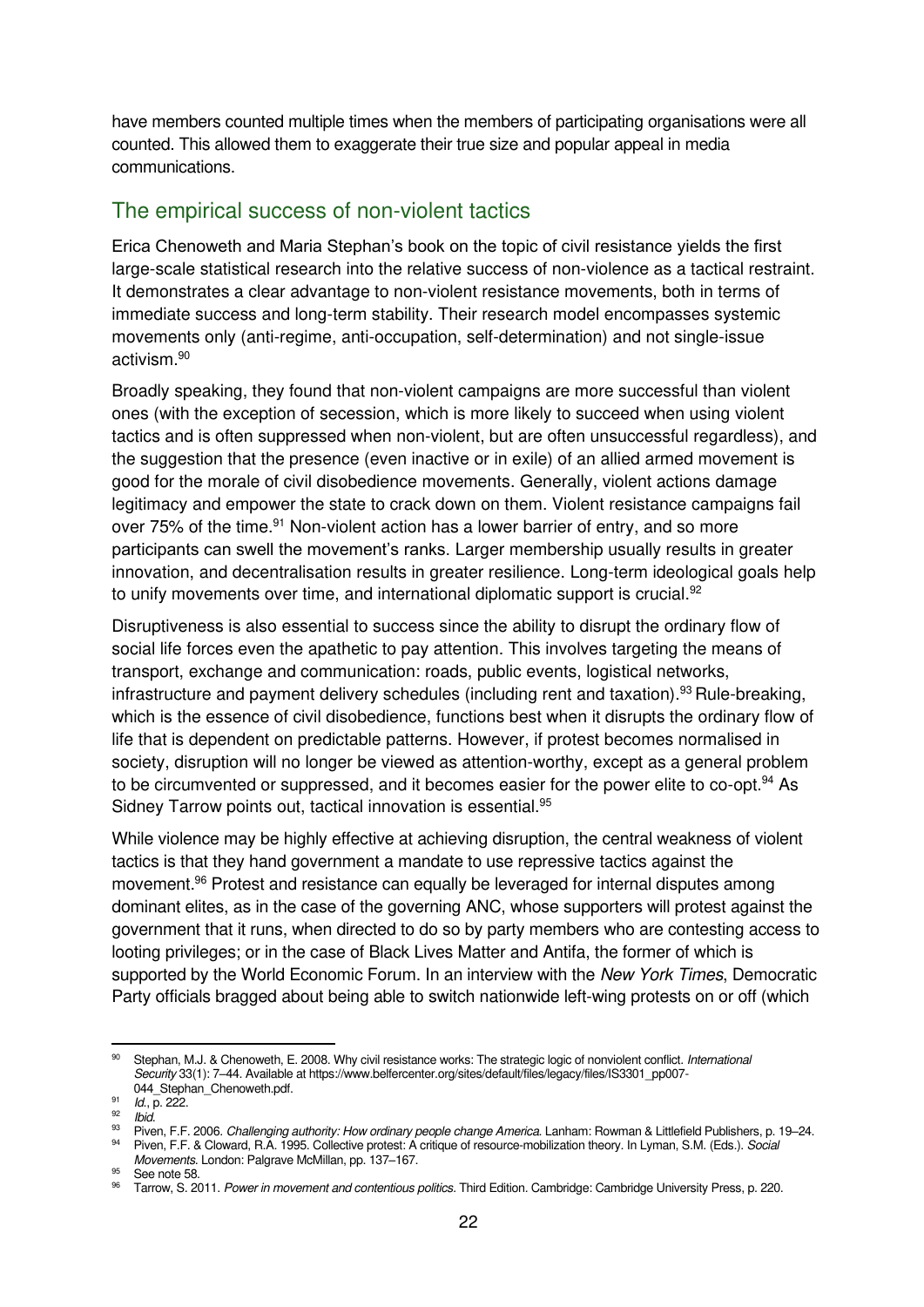have members counted multiple times when the members of participating organisations were all counted. This allowed them to exaggerate their true size and popular appeal in media communications.

#### <span id="page-25-0"></span>The empirical success of non-violent tactics

Erica Chenoweth and Maria Stephan's book on the topic of civil resistance yields the first large-scale statistical research into the relative success of non-violence as a tactical restraint. It demonstrates a clear advantage to non-violent resistance movements, both in terms of immediate success and long-term stability. Their research model encompasses systemic movements only (anti-regime, anti-occupation, self-determination) and not single-issue activism.<sup>90</sup>

Broadly speaking, they found that non-violent campaigns are more successful than violent ones (with the exception of secession, which is more likely to succeed when using violent tactics and is often suppressed when non-violent, but are often unsuccessful regardless), and the suggestion that the presence (even inactive or in exile) of an allied armed movement is good for the morale of civil disobedience movements. Generally, violent actions damage legitimacy and empower the state to crack down on them. Violent resistance campaigns fail over 75% of the time.<sup>91</sup> Non-violent action has a lower barrier of entry, and so more participants can swell the movement's ranks. Larger membership usually results in greater innovation, and decentralisation results in greater resilience. Long-term ideological goals help to unify movements over time, and international diplomatic support is crucial.<sup>92</sup>

Disruptiveness is also essential to success since the ability to disrupt the ordinary flow of social life forces even the apathetic to pay attention. This involves targeting the means of transport, exchange and communication: roads, public events, logistical networks, infrastructure and payment delivery schedules (including rent and taxation).<sup>93</sup> Rule-breaking, which is the essence of civil disobedience, functions best when it disrupts the ordinary flow of life that is dependent on predictable patterns. However, if protest becomes normalised in society, disruption will no longer be viewed as attention-worthy, except as a general problem to be circumvented or suppressed, and it becomes easier for the power elite to co-opt.<sup>94</sup> As Sidney Tarrow points out, tactical innovation is essential.<sup>95</sup>

While violence may be highly effective at achieving disruption, the central weakness of violent tactics is that they hand government a mandate to use repressive tactics against the movement.<sup>96</sup> Protest and resistance can equally be leveraged for internal disputes among dominant elites, as in the case of the governing ANC, whose supporters will protest against the government that it runs, when directed to do so by party members who are contesting access to looting privileges; or in the case of Black Lives Matter and Antifa, the former of which is supported by the World Economic Forum. In an interview with the New York Times, Democratic Party officials bragged about being able to switch nationwide left-wing protests on or off (which

<sup>90</sup> Stephan, M.J. & Chenoweth, E. 2008. Why civil resistance works: The strategic logic of nonviolent conflict. International Security 33(1): 7–44. Available a[t https://www.belfercenter.org/sites/default/files/legacy/files/IS3301\\_pp007-](https://www.belfercenter.org/sites/default/files/legacy/files/IS3301_pp007-044_Stephan_Chenoweth.pdf) 044 Stephan Chenoweth.pdf.

<sup>&</sup>lt;sup>91</sup> *Id.*, p. 222.

<sup>&</sup>lt;sup>92</sup> Ibid.

<sup>93</sup> Piven, F.F. 2006. Challenging authority: How ordinary people change America. Lanham: Rowman & Littlefield Publishers, p. 19–24.

<sup>94</sup> Piven, F.F. & Cloward, R.A. 1995. Collective protest: A critique of resource-mobilization theory. In Lyman, S.M. (Eds.). Social Movements. London: Palgrave McMillan, pp. 137–167.

<sup>&</sup>lt;sup>95</sup> See note 58.

<sup>96</sup> Tarrow, S. 2011. Power in movement and contentious politics. Third Edition. Cambridge: Cambridge University Press, p. 220.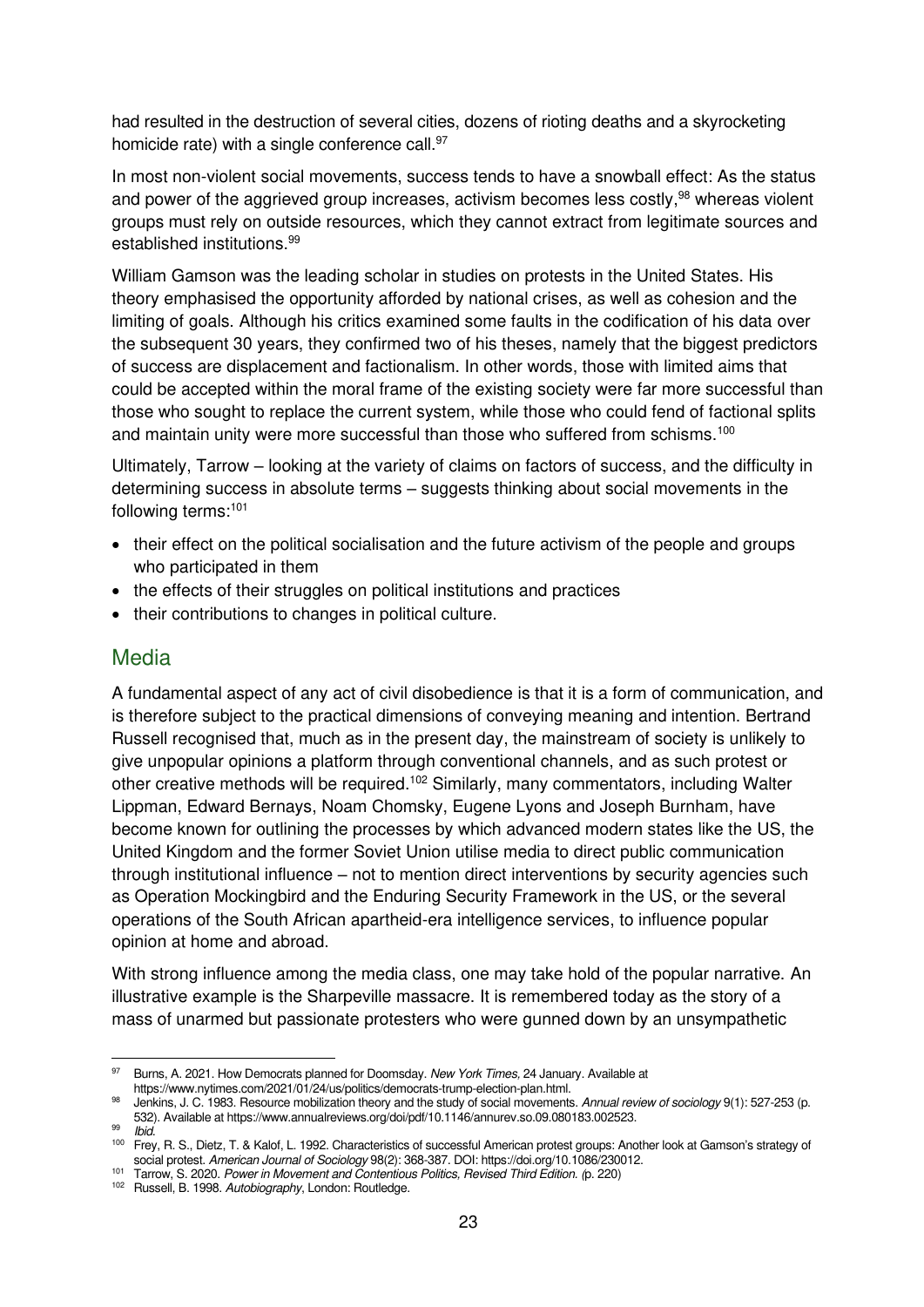had resulted in the destruction of several cities, dozens of rioting deaths and a skyrocketing homicide rate) with a single conference call.<sup>97</sup>

In most non-violent social movements, success tends to have a snowball effect: As the status and power of the aggrieved group increases, activism becomes less costly,<sup>98</sup> whereas violent groups must rely on outside resources, which they cannot extract from legitimate sources and established institutions.<sup>99</sup>

William Gamson was the leading scholar in studies on protests in the United States. His theory emphasised the opportunity afforded by national crises, as well as cohesion and the limiting of goals. Although his critics examined some faults in the codification of his data over the subsequent 30 years, they confirmed two of his theses, namely that the biggest predictors of success are displacement and factionalism. In other words, those with limited aims that could be accepted within the moral frame of the existing society were far more successful than those who sought to replace the current system, while those who could fend of factional splits and maintain unity were more successful than those who suffered from schisms.<sup>100</sup>

Ultimately, Tarrow – looking at the variety of claims on factors of success, and the difficulty in determining success in absolute terms – suggests thinking about social movements in the following terms:<sup>101</sup>

- their effect on the political socialisation and the future activism of the people and groups who participated in them
- the effects of their struggles on political institutions and practices
- their contributions to changes in political culture.

#### <span id="page-26-0"></span>Media

A fundamental aspect of any act of civil disobedience is that it is a form of communication, and is therefore subject to the practical dimensions of conveying meaning and intention. Bertrand Russell recognised that, much as in the present day, the mainstream of society is unlikely to give unpopular opinions a platform through conventional channels, and as such protest or other creative methods will be required.<sup>102</sup> Similarly, many commentators, including Walter Lippman, Edward Bernays, Noam Chomsky, Eugene Lyons and Joseph Burnham, have become known for outlining the processes by which advanced modern states like the US, the United Kingdom and the former Soviet Union utilise media to direct public communication through institutional influence – not to mention direct interventions by security agencies such as Operation Mockingbird and the Enduring Security Framework in the US, or the several operations of the South African apartheid-era intelligence services, to influence popular opinion at home and abroad.

With strong influence among the media class, one may take hold of the popular narrative. An illustrative example is the Sharpeville massacre. It is remembered today as the story of a mass of unarmed but passionate protesters who were gunned down by an unsympathetic

[Burns, A. 2021. How Democrats planned for Doomsday.](https://www.nytimes.com/2021/01/24/us/politics/democrats-trump-election-plan.html) New York Times, 24 January. Available at https://www.nytimes.com/2021/01/24/us/politics/democrats-trump-election-plan.html.

<sup>98</sup> [Jenkins, J. C. 1983. Resource mobilization theory and the study of social movements.](https://www.annualreviews.org/doi/pdf/10.1146/annurev.so.09.080183.002523) Annual review of sociology 9(1): 527-253 (p. 532). Available a[t https://www.annualreviews.org/doi/pdf/10.1146/annurev.so.09.080183.002523.](https://www.annualreviews.org/doi/pdf/10.1146/annurev.so.09.080183.002523) 

<sup>&</sup>lt;sup>99</sup> Ibid. <sup>100</sup> Frey, R. S., Dietz, T. & Kalof, L. 1992. Characteristics of successful American protest groups: Another look at Gamson's strategy of social protest. American Journal of Sociology 98(2): 368-387. DOI[: https://doi.org/10.1086/230012.](https://doi.org/10.1086/230012) 

<sup>101</sup> Tarrow, S. 2020. Power in Movement and Contentious Politics, Revised Third Edition. (p. 220)

<sup>102</sup> Russell, B. 1998. Autobiography, London: Routledge.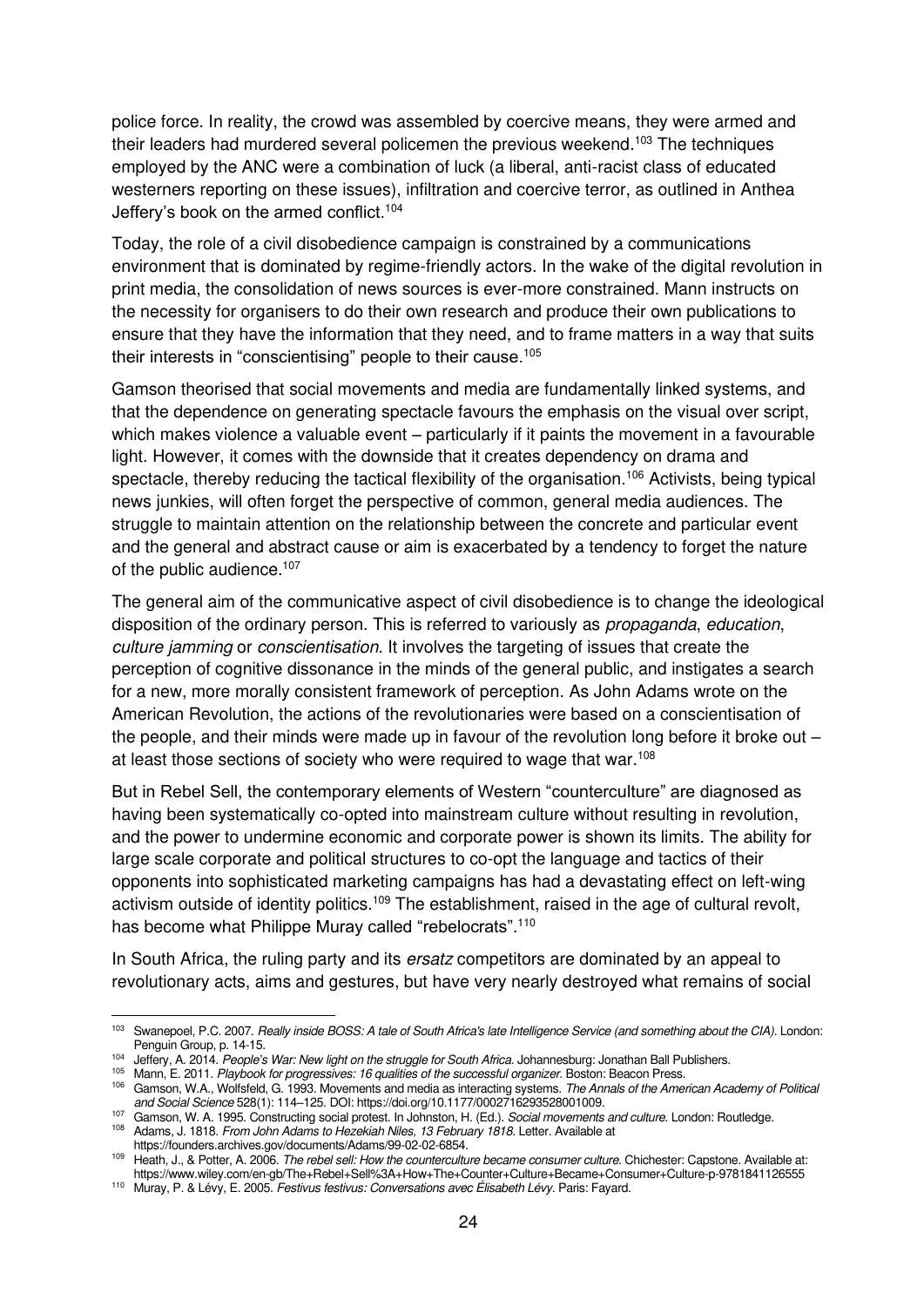police force. In reality, the crowd was assembled by coercive means, they were armed and their leaders had murdered several policemen the previous weekend.<sup>103</sup> The techniques employed by the ANC were a combination of luck (a liberal, anti-racist class of educated westerners reporting on these issues), infiltration and coercive terror, as outlined in Anthea Jeffery's book on the armed conflict.<sup>104</sup>

Today, the role of a civil disobedience campaign is constrained by a communications environment that is dominated by regime-friendly actors. In the wake of the digital revolution in print media, the consolidation of news sources is ever-more constrained. Mann instructs on the necessity for organisers to do their own research and produce their own publications to ensure that they have the information that they need, and to frame matters in a way that suits their interests in "conscientising" people to their cause.<sup>105</sup>

Gamson theorised that social movements and media are fundamentally linked systems, and that the dependence on generating spectacle favours the emphasis on the visual over script, which makes violence a valuable event – particularly if it paints the movement in a favourable light. However, it comes with the downside that it creates dependency on drama and spectacle, thereby reducing the tactical flexibility of the organisation.<sup>106</sup> Activists, being typical news junkies, will often forget the perspective of common, general media audiences. The struggle to maintain attention on the relationship between the concrete and particular event and the general and abstract cause or aim is exacerbated by a tendency to forget the nature of the public audience.<sup>107</sup>

The general aim of the communicative aspect of civil disobedience is to change the ideological disposition of the ordinary person. This is referred to variously as *propaganda*, education, culture jamming or conscientisation. It involves the targeting of issues that create the perception of cognitive dissonance in the minds of the general public, and instigates a search for a new, more morally consistent framework of perception. As John Adams wrote on the American Revolution, the actions of the revolutionaries were based on a conscientisation of the people, and their minds were made up in favour of the revolution long before it broke out – at least those sections of society who were required to wage that war.<sup>108</sup>

But in Rebel Sell, the contemporary elements of Western "counterculture" are diagnosed as having been systematically co-opted into mainstream culture without resulting in revolution, and the power to undermine economic and corporate power is shown its limits. The ability for large scale corporate and political structures to co-opt the language and tactics of their opponents into sophisticated marketing campaigns has had a devastating effect on left-wing activism outside of identity politics.<sup>109</sup> The establishment, raised in the age of cultural revolt, has become what Philippe Muray called "rebelocrats".<sup>110</sup>

In South Africa, the ruling party and its *ersatz* competitors are dominated by an appeal to revolutionary acts, aims and gestures, but have very nearly destroyed what remains of social

[https://founders.archives.gov/documents/Adams/99-02-02-6854.](https://founders.archives.gov/documents/Adams/99-02-02-6854) 

<sup>103</sup> Swanepoel, P.C. 2007. Really inside BOSS: A tale of South Africa's late Intelligence Service (and something about the CIA). London: Penguin Group, p. 14-15.

<sup>104</sup> Jeffery, A. 2014. People*'*s War: New light on the struggle for South Africa. Johannesburg: Jonathan Ball Publishers.

<sup>105</sup> Mann, E. 2011. [Playbook for progressives: 16 qualities of the successful organizer](https://books.google.nl/books?hl=en&lr=&id=_tpmDwAAQBAJ&oi=fnd&pg=PR9&dq=Mann,+E.+2011.+Playbook+for+progressives:+16+qualities+of+the+successful+organizer.+Beacon+Press&ots=ubPaehIQHJ&sig=wkzYGRY_t393bAofo5EN7iQM7b4). Boston: Beacon Press.

<sup>106</sup> Gamson, W.A., Wolfsfeld, G. 1993. Movements and media as interacting systems. The Annals of the American Academy of Political and Social Science 528(1): 114–125. DOI[: https://doi.org/10.1177/0002716293528001009.](https://doi.org/10.1177/0002716293528001009) 

<sup>107</sup> Gamson, W. [A. 1995. Constructing social protest. In Johnston, H. \(Ed.\).](https://www.taylorfrancis.com/chapters/constructing-social-protest-william-gamson-hank-johnston/10.4324/9781315072562-11) Social movements and culture. London: Routledge. 108 Adams, J. 1818. From John Adams to Hezekiah Niles, 13 February 1818. Letter. Available at

<sup>&</sup>lt;sup>109</sup> Heath, J., & Potter, A. 2006. [The rebel sell: How the counterculture became consumer culture](https://www.wiley.com/en-gb/The+Rebel+Sell%3A+How+The+Counter+Culture+Became+Consumer+Culture-p-9781841126555). Chichester: Capstone. Available at: https://www.wiley.com/en-gb/The+Rebel+Sell%3A+How+The+Counter+Culture+Became+Consumer+Culture-p-9781841126555

<sup>110</sup> Muray, P. & Lévy, E. 2005. Festivus festivus: Conversations avec Élisabeth Lévy. Paris: Fayard.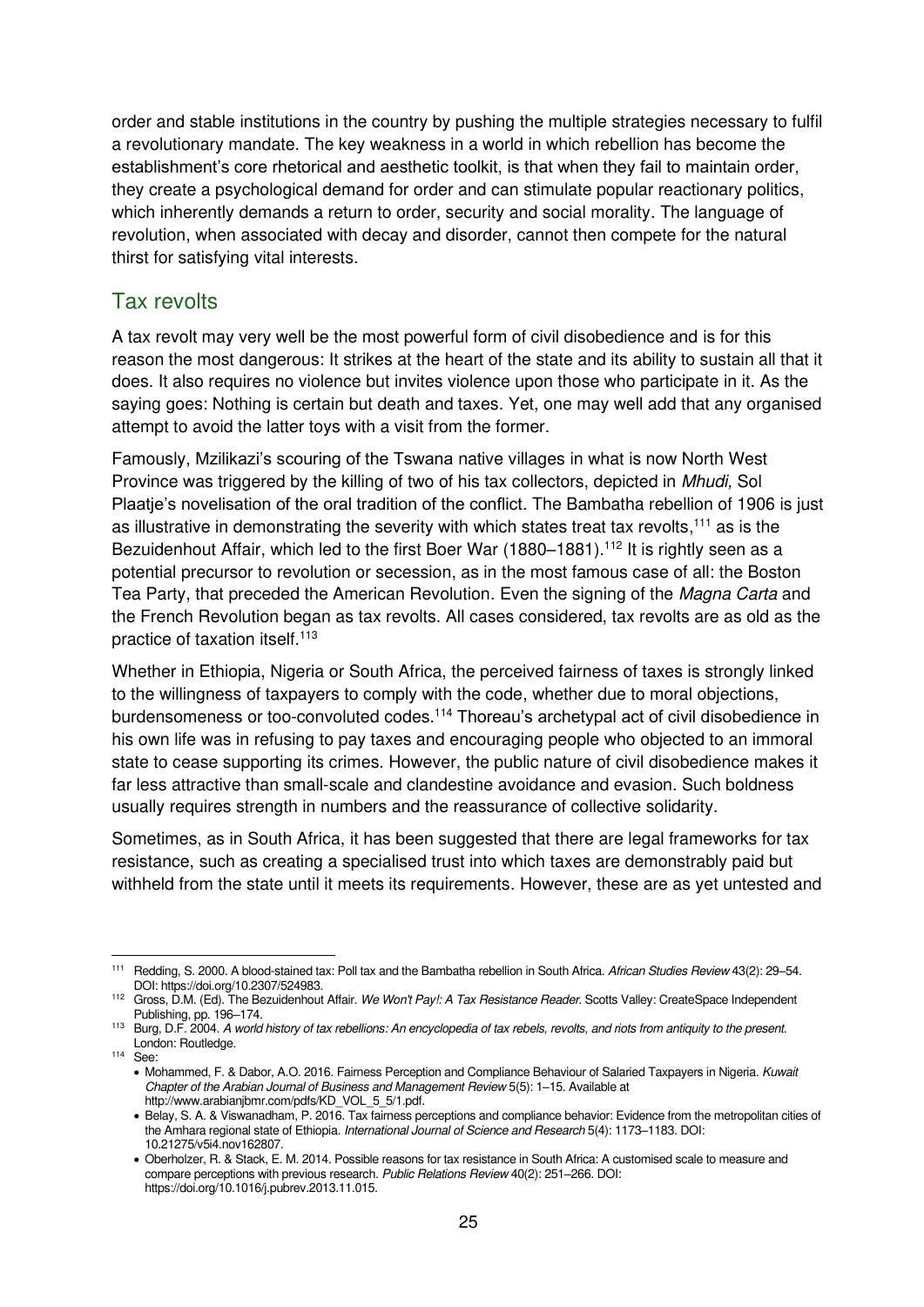order and stable institutions in the country by pushing the multiple strategies necessary to fulfil a revolutionary mandate. The key weakness in a world in which rebellion has become the establishment's core rhetorical and aesthetic toolkit, is that when they fail to maintain order, they create a psychological demand for order and can stimulate popular reactionary politics, which inherently demands a return to order, security and social morality. The language of revolution, when associated with decay and disorder, cannot then compete for the natural thirst for satisfying vital interests.

#### <span id="page-28-0"></span>Tax revolts

A tax revolt may very well be the most powerful form of civil disobedience and is for this reason the most dangerous: It strikes at the heart of the state and its ability to sustain all that it does. It also requires no violence but invites violence upon those who participate in it. As the saying goes: Nothing is certain but death and taxes. Yet, one may well add that any organised attempt to avoid the latter toys with a visit from the former.

Famously, Mzilikazi's scouring of the Tswana native villages in what is now North West Province was triggered by the killing of two of his tax collectors, depicted in Mhudi, Sol Plaatje's novelisation of the oral tradition of the conflict. The Bambatha rebellion of 1906 is just as illustrative in demonstrating the severity with which states treat tax revolts,<sup>111</sup> as is the Bezuidenhout Affair, which led to the first Boer War (1880–1881).<sup>112</sup> It is rightly seen as a potential precursor to revolution or secession, as in the most famous case of all: the Boston Tea Party, that preceded the American Revolution. Even the signing of the Magna Carta and the French Revolution began as tax revolts. All cases considered, tax revolts are as old as the practice of taxation itself.<sup>113</sup>

Whether in Ethiopia, Nigeria or South Africa, the perceived fairness of taxes is strongly linked to the willingness of taxpayers to comply with the code, whether due to moral objections, burdensomeness or too-convoluted codes.<sup>114</sup> Thoreau's archetypal act of civil disobedience in his own life was in refusing to pay taxes and encouraging people who objected to an immoral state to cease supporting its crimes. However, the public nature of civil disobedience makes it far less attractive than small-scale and clandestine avoidance and evasion. Such boldness usually requires strength in numbers and the reassurance of collective solidarity.

Sometimes, as in South Africa, it has been suggested that there are legal frameworks for tax resistance, such as creating a specialised trust into which taxes are demonstrably paid but withheld from the state until it meets its requirements. However, these are as yet untested and

<sup>114</sup> See:

<sup>111</sup> [Redding, S. 2000. A blood-stained tax: Poll tax and the Bambatha rebellion in South Africa.](https://www.jstor.org/stable/524983) African Studies Review 43(2): 29-54. DOI: [https://doi.org/10.2307/524983.](https://doi.org/10.2307/524983) 

<sup>112</sup> Gross, D.M. (Ed). The Bezuidenhout Affair. We Won't Pay!: A Tax Resistance Reader. Scotts Valley: CreateSpace Independent Publishing, pp. 196–174.

<sup>&</sup>lt;sup>113</sup> Burg, D.F. 2004. A world history of tax rebellions: An encyclopedia of tax rebels, revolts, and riots from antiquity to the present. London: Routledge.

<sup>•</sup> Mohammed, F. & Dabor, A.O. 2016. Fairness Perception and Compliance Behaviour of Salaried Taxpayers in Nigeria. Kuwait Chapter of the Arabian Journal of Business and Management Review 5(5): 1–15. Available at [http://www.arabianjbmr.com/pdfs/KD\\_VOL\\_5\\_5/1.pdf.](http://www.arabianjbmr.com/pdfs/KD_VOL_5_5/1.pdf) 

<sup>•</sup> Belay, S. A. & Viswanadham, P. 2016. Tax fairness perceptions and compliance behavior: Evidence from the metropolitan cities of the Amhara regional state of Ethiopia. International Journal of Science and Research 5(4): 1173-1183. DOI: 10.21275/v5i4.nov162807.

<sup>•</sup> Oberholzer, R. & Stack, E. M. 2014. Possible reasons for tax resistance in South Africa: A customised scale to measure and compare perceptions with previous research. Public Relations Review 40(2): 251–266. DOI: [https://doi.org/10.1016/j.pubrev.2013.11.015.](https://doi.org/10.1016/j.pubrev.2013.11.015)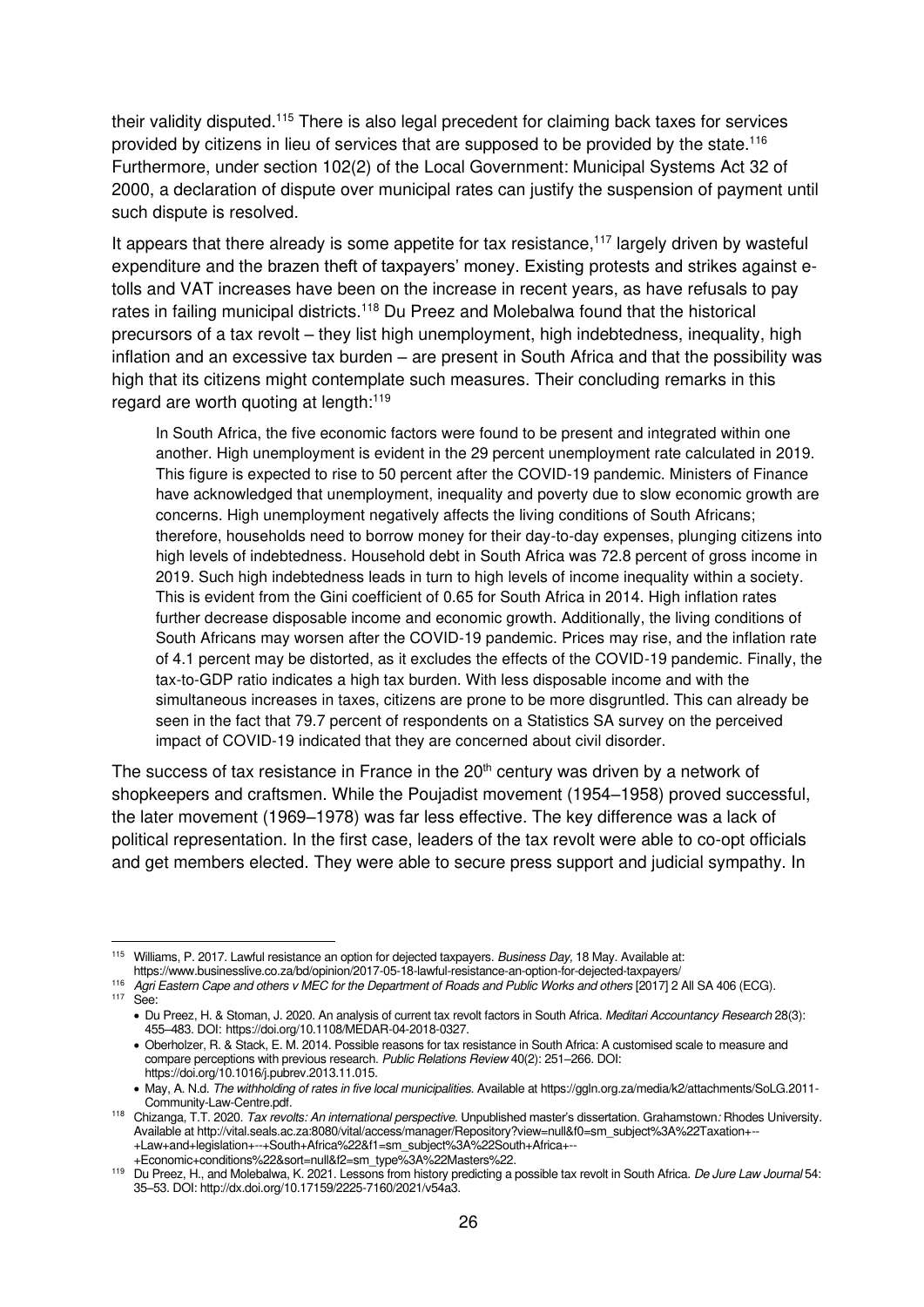their validity disputed.<sup>115</sup> There is also legal precedent for claiming back taxes for services provided by citizens in lieu of services that are supposed to be provided by the state.<sup>116</sup> Furthermore, under section 102(2) of the Local Government: Municipal Systems Act 32 of 2000, a declaration of dispute over municipal rates can justify the suspension of payment until such dispute is resolved.

It appears that there already is some appetite for tax resistance,<sup>117</sup> largely driven by wasteful expenditure and the brazen theft of taxpayers' money. Existing protests and strikes against etolls and VAT increases have been on the increase in recent years, as have refusals to pay rates in failing municipal districts.<sup>118</sup> Du Preez and Molebalwa found that the historical precursors of a tax revolt – they list high unemployment, high indebtedness, inequality, high inflation and an excessive tax burden – are present in South Africa and that the possibility was high that its citizens might contemplate such measures. Their concluding remarks in this regard are worth quoting at length:<sup>119</sup>

In South Africa, the five economic factors were found to be present and integrated within one another. High unemployment is evident in the 29 percent unemployment rate calculated in 2019. This figure is expected to rise to 50 percent after the COVID-19 pandemic. Ministers of Finance have acknowledged that unemployment, inequality and poverty due to slow economic growth are concerns. High unemployment negatively affects the living conditions of South Africans; therefore, households need to borrow money for their day-to-day expenses, plunging citizens into high levels of indebtedness. Household debt in South Africa was 72.8 percent of gross income in 2019. Such high indebtedness leads in turn to high levels of income inequality within a society. This is evident from the Gini coefficient of 0.65 for South Africa in 2014. High inflation rates further decrease disposable income and economic growth. Additionally, the living conditions of South Africans may worsen after the COVID-19 pandemic. Prices may rise, and the inflation rate of 4.1 percent may be distorted, as it excludes the effects of the COVID-19 pandemic. Finally, the tax-to-GDP ratio indicates a high tax burden. With less disposable income and with the simultaneous increases in taxes, citizens are prone to be more disgruntled. This can already be seen in the fact that 79.7 percent of respondents on a Statistics SA survey on the perceived impact of COVID-19 indicated that they are concerned about civil disorder.

The success of tax resistance in France in the 20<sup>th</sup> century was driven by a network of shopkeepers and craftsmen. While the Poujadist movement (1954–1958) proved successful, the later movement (1969–1978) was far less effective. The key difference was a lack of political representation. In the first case, leaders of the tax revolt were able to co-opt officials and get members elected. They were able to secure press support and judicial sympathy. In

<sup>116</sup> Agri Eastern Cape and others v MEC for the Department of Roads and Public Works and others [2017] 2 All SA 406 (ECG).

<sup>115</sup> Williams, P. 2017. Lawful resistance an option for dejected taxpayers. Business Day, 18 May. Available at: https://www.businesslive.co.za/bd/opinion/2017-05-18-lawful-resistance-an-option-for-dejected-taxpayers/

<sup>117</sup> See:

<sup>•</sup> Du Preez, H. & Stoman, J. 2020. An analysis of current tax revolt factors in South Africa. Meditari Accountancy Research 28(3): 455–483. DOI: [https://doi.org/10.1108/MEDAR-04-2018-0327.](https://doi.org/10.1108/MEDAR-04-2018-0327) 

<sup>•</sup> Oberholzer, R. & Stack, E. M. 2014. Possible reasons for tax resistance in South Africa: A customised scale to measure and compare perceptions with previous research. Public Relations Review 40(2): 251–266. DOI: [https://doi.org/10.1016/j.pubrev.2013.11.015.](https://doi.org/10.1016/j.pubrev.2013.11.015) 

<sup>•</sup> May, A. N.d. The withholding of rates in five local municipalities. Available a[t https://ggln.org.za/media/k2/attachments/SoLG.2011-](https://ggln.org.za/media/k2/attachments/SoLG.2011-Community-Law-Centre.pdf) [Community-Law-Centre.pdf.](https://ggln.org.za/media/k2/attachments/SoLG.2011-Community-Law-Centre.pdf) 

<sup>&</sup>lt;sup>118</sup> Chizanga, T.T. 2020. Tax revolts: An international perspective. Unpublished master's dissertation. Grahamstown: Rhodes University. Available a[t http://vital.seals.ac.za:8080/vital/access/manager/Repository?view=null&f0=sm\\_subject%3A%22Taxation+--](http://vital.seals.ac.za:8080/vital/access/manager/Repository?view=null&f0=sm_subject%3A%22Taxation+--+Law+and+legislation+--+South+Africa%22&f1=sm_subject%3A%22South+Africa+--+Economic+conditions%22&sort=null&f2=sm_type%3A%22Masters%22) [+Law+and+legislation+--+South+Africa%22&f1=sm\\_subject%3A%22South+Africa+--](http://vital.seals.ac.za:8080/vital/access/manager/Repository?view=null&f0=sm_subject%3A%22Taxation+--+Law+and+legislation+--+South+Africa%22&f1=sm_subject%3A%22South+Africa+--+Economic+conditions%22&sort=null&f2=sm_type%3A%22Masters%22) [+Economic+conditions%22&sort=null&f2=sm\\_type%3A%22Masters%22.](http://vital.seals.ac.za:8080/vital/access/manager/Repository?view=null&f0=sm_subject%3A%22Taxation+--+Law+and+legislation+--+South+Africa%22&f1=sm_subject%3A%22South+Africa+--+Economic+conditions%22&sort=null&f2=sm_type%3A%22Masters%22) 

<sup>&</sup>lt;sup>119</sup> Du Preez, H., and Molebalwa, K. 2021. Lessons from history predicting a possible tax revolt in South Africa. De Jure Law Journal 54: 35–53. DOI[: http://dx.doi.org/10.17159/2225-7160/2021/v54a3.](http://dx.doi.org/10.17159/2225-7160/2021/v54a3)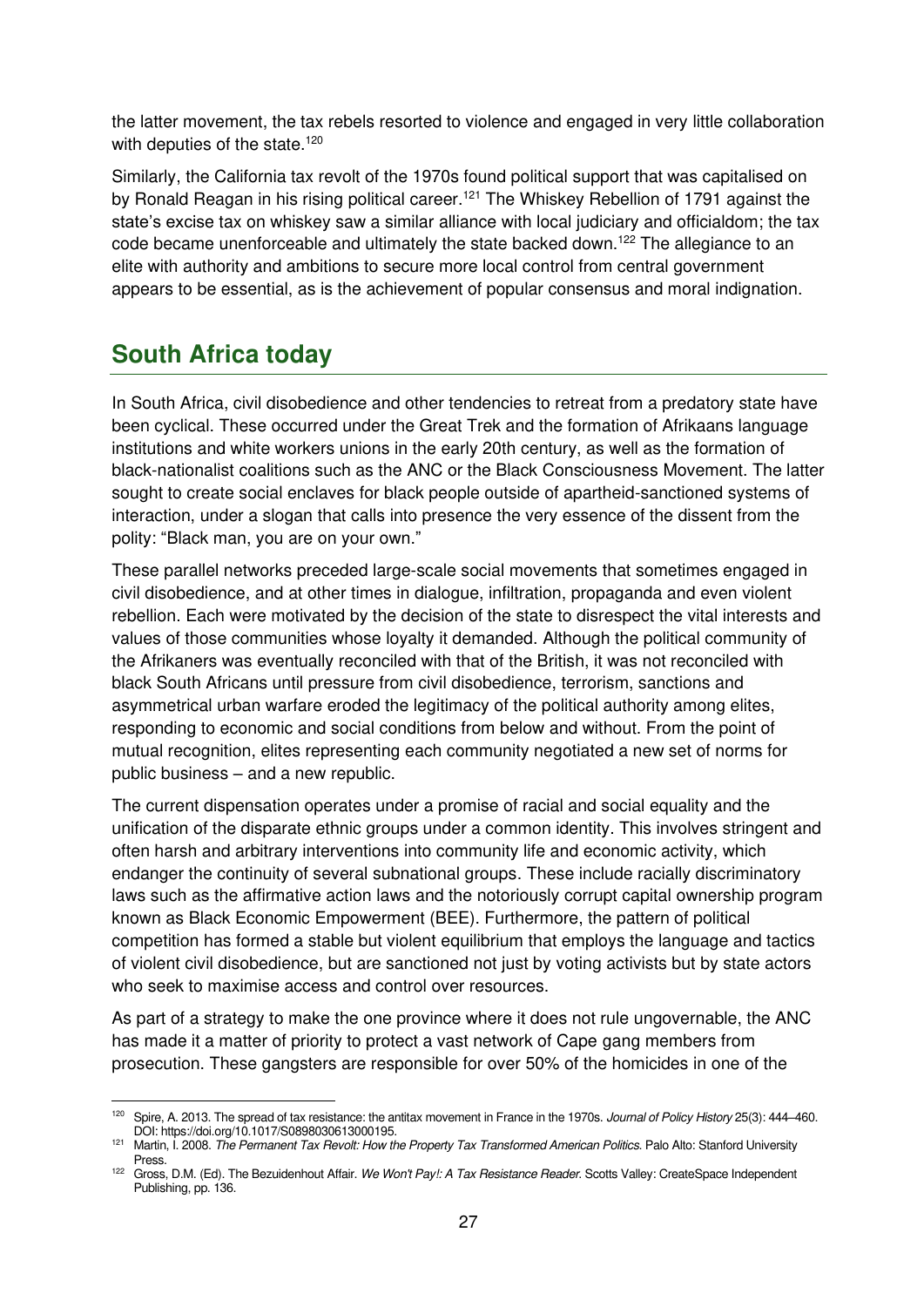the latter movement, the tax rebels resorted to violence and engaged in very little collaboration with deputies of the state.<sup>120</sup>

Similarly, the California tax revolt of the 1970s found political support that was capitalised on by Ronald Reagan in his rising political career.<sup>121</sup> The Whiskey Rebellion of 1791 against the state's excise tax on whiskey saw a similar alliance with local judiciary and officialdom; the tax code became unenforceable and ultimately the state backed down.<sup>122</sup> The allegiance to an elite with authority and ambitions to secure more local control from central government appears to be essential, as is the achievement of popular consensus and moral indignation.

# <span id="page-30-0"></span>**South Africa today**

In South Africa, civil disobedience and other tendencies to retreat from a predatory state have been cyclical. These occurred under the Great Trek and the formation of Afrikaans language institutions and white workers unions in the early 20th century, as well as the formation of black-nationalist coalitions such as the ANC or the Black Consciousness Movement. The latter sought to create social enclaves for black people outside of apartheid-sanctioned systems of interaction, under a slogan that calls into presence the very essence of the dissent from the polity: "Black man, you are on your own."

These parallel networks preceded large-scale social movements that sometimes engaged in civil disobedience, and at other times in dialogue, infiltration, propaganda and even violent rebellion. Each were motivated by the decision of the state to disrespect the vital interests and values of those communities whose loyalty it demanded. Although the political community of the Afrikaners was eventually reconciled with that of the British, it was not reconciled with black South Africans until pressure from civil disobedience, terrorism, sanctions and asymmetrical urban warfare eroded the legitimacy of the political authority among elites, responding to economic and social conditions from below and without. From the point of mutual recognition, elites representing each community negotiated a new set of norms for public business – and a new republic.

The current dispensation operates under a promise of racial and social equality and the unification of the disparate ethnic groups under a common identity. This involves stringent and often harsh and arbitrary interventions into community life and economic activity, which endanger the continuity of several subnational groups. These include racially discriminatory laws such as the affirmative action laws and the notoriously corrupt capital ownership program known as Black Economic Empowerment (BEE). Furthermore, the pattern of political competition has formed a stable but violent equilibrium that employs the language and tactics of violent civil disobedience, but are sanctioned not just by voting activists but by state actors who seek to maximise access and control over resources.

As part of a strategy to make the one province where it does not rule ungovernable, the ANC has made it a matter of priority to protect a vast network of Cape gang members from prosecution. These gangsters are responsible for over 50% of the homicides in one of the

[Spire, A. 2013. The spread of tax resistance: the antitax movement in France in the 1970s.](https://www.cambridge.org/core/journals/journal-of-policy-history/article/spread-of-tax-resistance-the-antitax-movement-in-france-in-the-1970s/034B5DC36A6204408C55B25227ED6894) Journal of Policy History 25(3): 444–460. DOI: [https://doi.org/10.1017/S0898030613000195.](https://doi.org/10.1017/S0898030613000195)

<sup>121</sup> Martin, I. 2008. The Permanent Tax Revolt: How the Property Tax Transformed American Politics. Palo Alto: Stanford University Press.

<sup>122</sup> Gross, D.M. (Ed). The Bezuidenhout Affair. We Won't Pay!: A Tax Resistance Reader. Scotts Valley: CreateSpace Independent Publishing, pp. 136.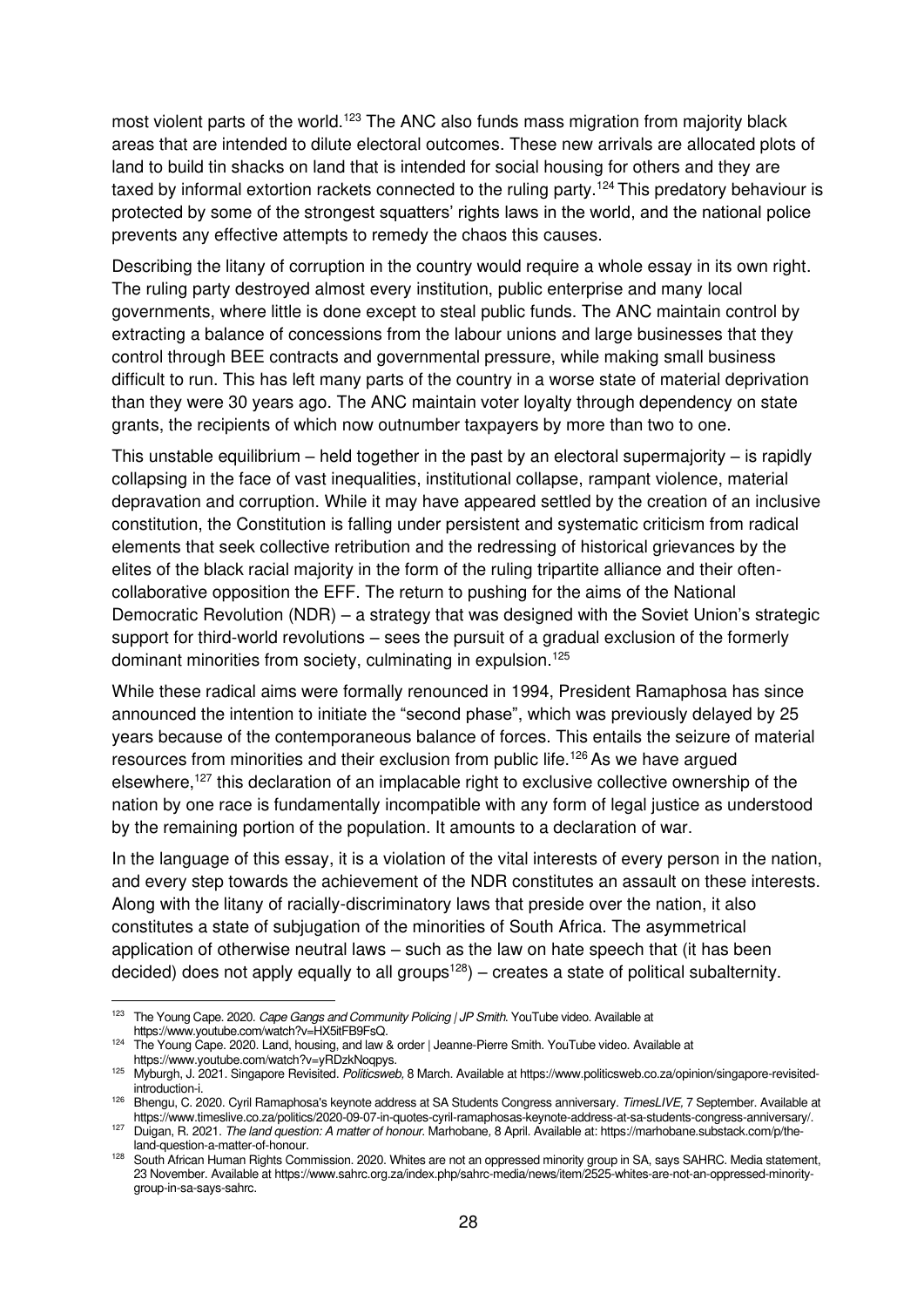most violent parts of the world.<sup>123</sup> The ANC also funds mass migration from majority black areas that are intended to dilute electoral outcomes. These new arrivals are allocated plots of land to build tin shacks on land that is intended for social housing for others and they are taxed by informal extortion rackets connected to the ruling party.<sup>124</sup> This predatory behaviour is protected by some of the strongest squatters' rights laws in the world, and the national police prevents any effective attempts to remedy the chaos this causes.

Describing the litany of corruption in the country would require a whole essay in its own right. The ruling party destroyed almost every institution, public enterprise and many local governments, where little is done except to steal public funds. The ANC maintain control by extracting a balance of concessions from the labour unions and large businesses that they control through BEE contracts and governmental pressure, while making small business difficult to run. This has left many parts of the country in a worse state of material deprivation than they were 30 years ago. The ANC maintain voter loyalty through dependency on state grants, the recipients of which now outnumber taxpayers by more than two to one.

This unstable equilibrium – held together in the past by an electoral supermajority – is rapidly collapsing in the face of vast inequalities, institutional collapse, rampant violence, material depravation and corruption. While it may have appeared settled by the creation of an inclusive constitution, the Constitution is falling under persistent and systematic criticism from radical elements that seek collective retribution and the redressing of historical grievances by the elites of the black racial majority in the form of the ruling tripartite alliance and their oftencollaborative opposition the EFF. The return to pushing for the aims of the National Democratic Revolution (NDR) – a strategy that was designed with the Soviet Union's strategic support for third-world revolutions – sees the pursuit of a gradual exclusion of the formerly dominant minorities from society, culminating in expulsion.<sup>125</sup>

While these radical aims were formally renounced in 1994, President Ramaphosa has since announced the intention to initiate the "second phase", which was previously delayed by 25 years because of the contemporaneous balance of forces. This entails the seizure of material resources from minorities and their exclusion from public life.<sup>126</sup> As we have argued elsewhere,<sup>127</sup> this declaration of an implacable right to exclusive collective ownership of the nation by one race is fundamentally incompatible with any form of legal justice as understood by the remaining portion of the population. It amounts to a declaration of war.

In the language of this essay, it is a violation of the vital interests of every person in the nation, and every step towards the achievement of the NDR constitutes an assault on these interests. Along with the litany of racially-discriminatory laws that preside over the nation, it also constitutes a state of subjugation of the minorities of South Africa. The asymmetrical application of otherwise neutral laws – such as the law on hate speech that (it has been decided) does not apply equally to all groups<sup>128</sup> $)$  – creates a state of political subalternity.

<sup>123</sup> The Young Cape. 2020. Cape Gangs and Community Policing | JP Smith. YouTube video. Available at [https://www.youtube.com/watch?v=HX5itFB9FsQ.](https://www.youtube.com/watch?v=HX5itFB9FsQ)

<sup>124</sup> The Young Cape. 2020. Land, housing, and law & order | Jeanne-Pierre Smith. YouTube video. Available at [https://www.youtube.com/watch?v=yRDzkNoqpys.](https://www.youtube.com/watch?v=yRDzkNoqpys)

<sup>125</sup> Myburgh, J. 2021. Singapore Revisited. Politicsweb, 8 March. Available a[t https://www.politicsweb.co.za/opinion/singapore-revisited](https://www.politicsweb.co.za/opinion/singapore-revisited-introduction-i)[introduction-i.](https://www.politicsweb.co.za/opinion/singapore-revisited-introduction-i)

<sup>126</sup> Bhengu, C. 2020. Cyril Ramaphosa's keynote address at SA Students Congress anniversary. TimesLIVE, 7 September. Available at [https://www.timeslive.co.za/politics/2020-09-07-in-quotes-cyril-ramaphosas-keynote-address-at-sa-students-congress-anniversary/.](https://www.timeslive.co.za/politics/2020-09-07-in-quotes-cyril-ramaphosas-keynote-address-at-sa-students-congress-anniversary/) 

<sup>127</sup> Duigan, R. 2021. The land question: A matter of honour. Marhobane, 8 April. Available at[: https://marhobane.substack.com/p/the](https://marhobane.substack.com/p/the-land-question-a-matter-of-honour)[land-question-a-matter-of-honour.](https://marhobane.substack.com/p/the-land-question-a-matter-of-honour)

<sup>&</sup>lt;sup>128</sup> South African Human Rights Commission. 2020. Whites are not an oppressed minority group in SA, says SAHRC. Media statement, 23 November. Available a[t https://www.sahrc.org.za/index.php/sahrc-media/news/item/2525-whites-are-not-an-oppressed-minority](https://www.sahrc.org.za/index.php/sahrc-media/news/item/2525-whites-are-not-an-oppressed-minority-group-in-sa-says-sahrc)[group-in-sa-says-sahrc.](https://www.sahrc.org.za/index.php/sahrc-media/news/item/2525-whites-are-not-an-oppressed-minority-group-in-sa-says-sahrc)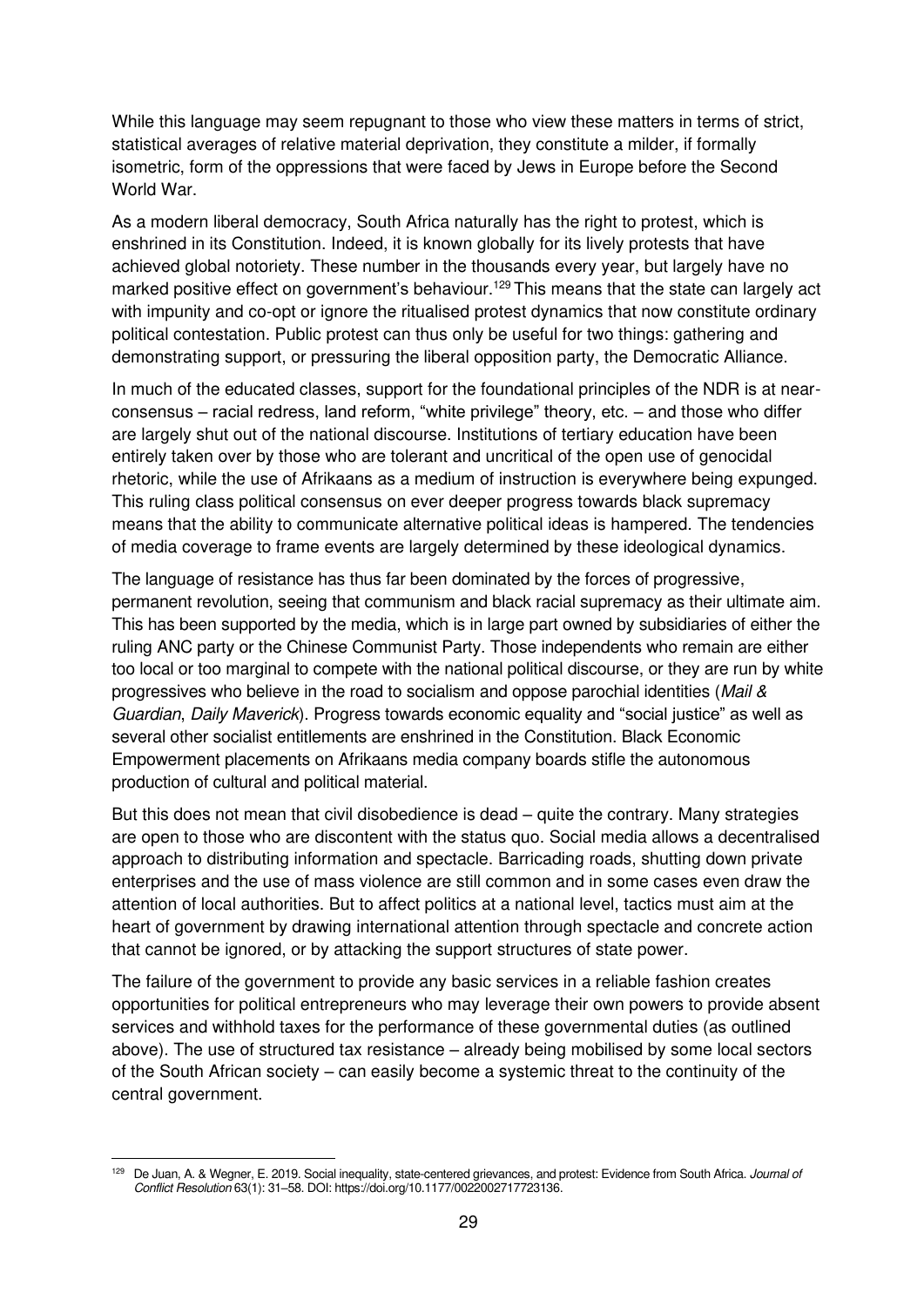While this language may seem repugnant to those who view these matters in terms of strict, statistical averages of relative material deprivation, they constitute a milder, if formally isometric, form of the oppressions that were faced by Jews in Europe before the Second World War.

As a modern liberal democracy, South Africa naturally has the right to protest, which is enshrined in its Constitution. Indeed, it is known globally for its lively protests that have achieved global notoriety. These number in the thousands every year, but largely have no marked positive effect on government's behaviour.<sup>129</sup> This means that the state can largely act with impunity and co-opt or ignore the ritualised protest dynamics that now constitute ordinary political contestation. Public protest can thus only be useful for two things: gathering and demonstrating support, or pressuring the liberal opposition party, the Democratic Alliance.

In much of the educated classes, support for the foundational principles of the NDR is at nearconsensus – racial redress, land reform, "white privilege" theory, etc. – and those who differ are largely shut out of the national discourse. Institutions of tertiary education have been entirely taken over by those who are tolerant and uncritical of the open use of genocidal rhetoric, while the use of Afrikaans as a medium of instruction is everywhere being expunged. This ruling class political consensus on ever deeper progress towards black supremacy means that the ability to communicate alternative political ideas is hampered. The tendencies of media coverage to frame events are largely determined by these ideological dynamics.

The language of resistance has thus far been dominated by the forces of progressive, permanent revolution, seeing that communism and black racial supremacy as their ultimate aim. This has been supported by the media, which is in large part owned by subsidiaries of either the ruling ANC party or the Chinese Communist Party. Those independents who remain are either too local or too marginal to compete with the national political discourse, or they are run by white progressives who believe in the road to socialism and oppose parochial identities (Mail & Guardian, Daily Maverick). Progress towards economic equality and "social justice" as well as several other socialist entitlements are enshrined in the Constitution. Black Economic Empowerment placements on Afrikaans media company boards stifle the autonomous production of cultural and political material.

But this does not mean that civil disobedience is dead – quite the contrary. Many strategies are open to those who are discontent with the status quo. Social media allows a decentralised approach to distributing information and spectacle. Barricading roads, shutting down private enterprises and the use of mass violence are still common and in some cases even draw the attention of local authorities. But to affect politics at a national level, tactics must aim at the heart of government by drawing international attention through spectacle and concrete action that cannot be ignored, or by attacking the support structures of state power.

The failure of the government to provide any basic services in a reliable fashion creates opportunities for political entrepreneurs who may leverage their own powers to provide absent services and withhold taxes for the performance of these governmental duties (as outlined above). The use of structured tax resistance – already being mobilised by some local sectors of the South African society – can easily become a systemic threat to the continuity of the central government.

<sup>129</sup> De Juan, A. & Wegner, E. 2019. Social inequality, state-centered grievances, and protest: Evidence from South Africa. Journal of Conflict Resolution 63(1): 31–58. DOI: [https://doi.org/10.1177/0022002717723136.](https://doi.org/10.1177/0022002717723136)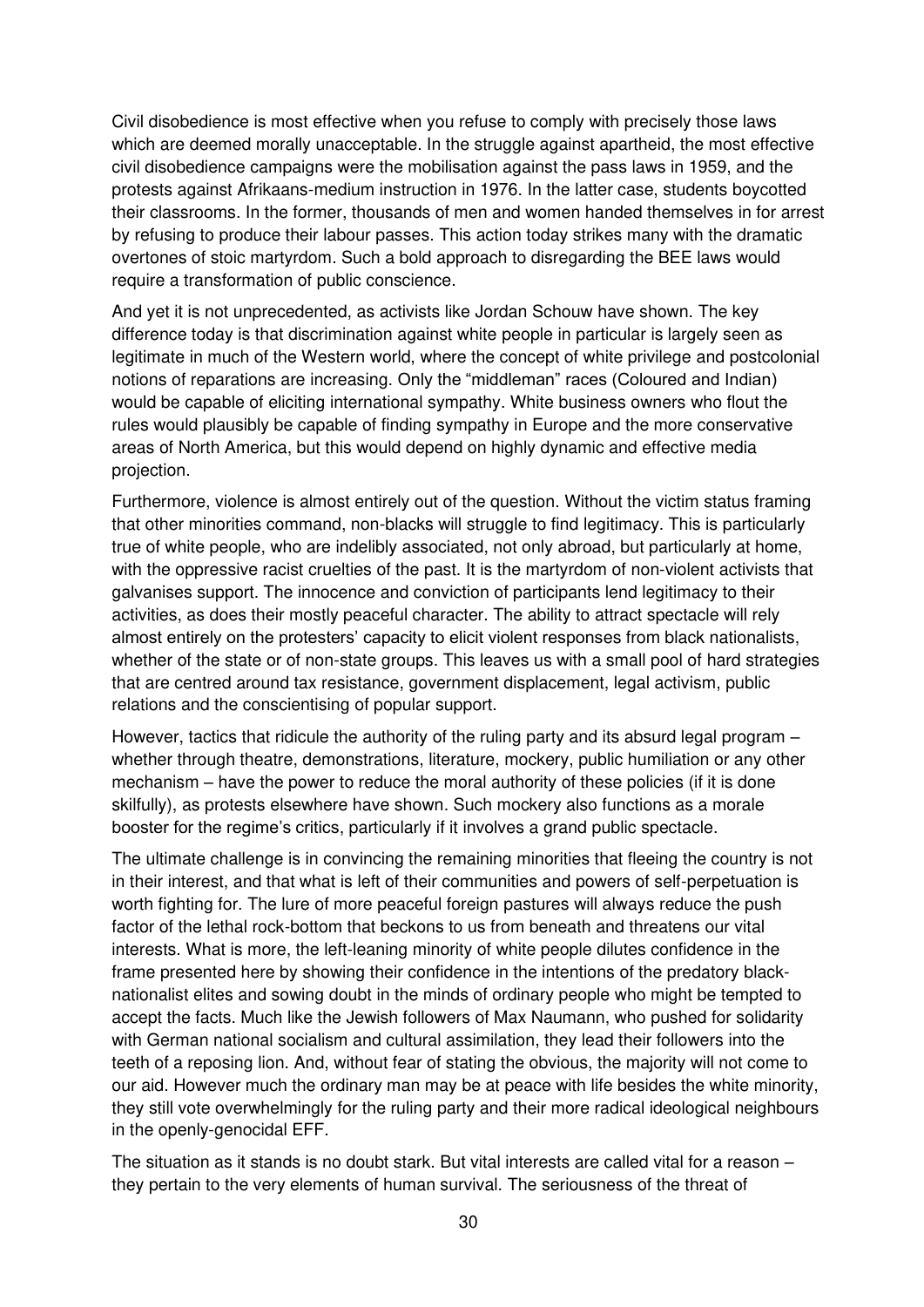Civil disobedience is most effective when you refuse to comply with precisely those laws which are deemed morally unacceptable. In the struggle against apartheid, the most effective civil disobedience campaigns were the mobilisation against the pass laws in 1959, and the protests against Afrikaans-medium instruction in 1976. In the latter case, students boycotted their classrooms. In the former, thousands of men and women handed themselves in for arrest by refusing to produce their labour passes. This action today strikes many with the dramatic overtones of stoic martyrdom. Such a bold approach to disregarding the BEE laws would require a transformation of public conscience.

And yet it is not unprecedented, as activists like Jordan Schouw have shown. The key difference today is that discrimination against white people in particular is largely seen as legitimate in much of the Western world, where the concept of white privilege and postcolonial notions of reparations are increasing. Only the "middleman" races (Coloured and Indian) would be capable of eliciting international sympathy. White business owners who flout the rules would plausibly be capable of finding sympathy in Europe and the more conservative areas of North America, but this would depend on highly dynamic and effective media projection.

Furthermore, violence is almost entirely out of the question. Without the victim status framing that other minorities command, non-blacks will struggle to find legitimacy. This is particularly true of white people, who are indelibly associated, not only abroad, but particularly at home, with the oppressive racist cruelties of the past. It is the martyrdom of non-violent activists that galvanises support. The innocence and conviction of participants lend legitimacy to their activities, as does their mostly peaceful character. The ability to attract spectacle will rely almost entirely on the protesters' capacity to elicit violent responses from black nationalists, whether of the state or of non-state groups. This leaves us with a small pool of hard strategies that are centred around tax resistance, government displacement, legal activism, public relations and the conscientising of popular support.

However, tactics that ridicule the authority of the ruling party and its absurd legal program – whether through theatre, demonstrations, literature, mockery, public humiliation or any other mechanism – have the power to reduce the moral authority of these policies (if it is done skilfully), as protests elsewhere have shown. Such mockery also functions as a morale booster for the regime's critics, particularly if it involves a grand public spectacle.

The ultimate challenge is in convincing the remaining minorities that fleeing the country is not in their interest, and that what is left of their communities and powers of self-perpetuation is worth fighting for. The lure of more peaceful foreign pastures will always reduce the push factor of the lethal rock-bottom that beckons to us from beneath and threatens our vital interests. What is more, the left-leaning minority of white people dilutes confidence in the frame presented here by showing their confidence in the intentions of the predatory blacknationalist elites and sowing doubt in the minds of ordinary people who might be tempted to accept the facts. Much like the Jewish followers of Max Naumann, who pushed for solidarity with German national socialism and cultural assimilation, they lead their followers into the teeth of a reposing lion. And, without fear of stating the obvious, the majority will not come to our aid. However much the ordinary man may be at peace with life besides the white minority, they still vote overwhelmingly for the ruling party and their more radical ideological neighbours in the openly-genocidal EFF.

The situation as it stands is no doubt stark. But vital interests are called vital for a reason – they pertain to the very elements of human survival. The seriousness of the threat of